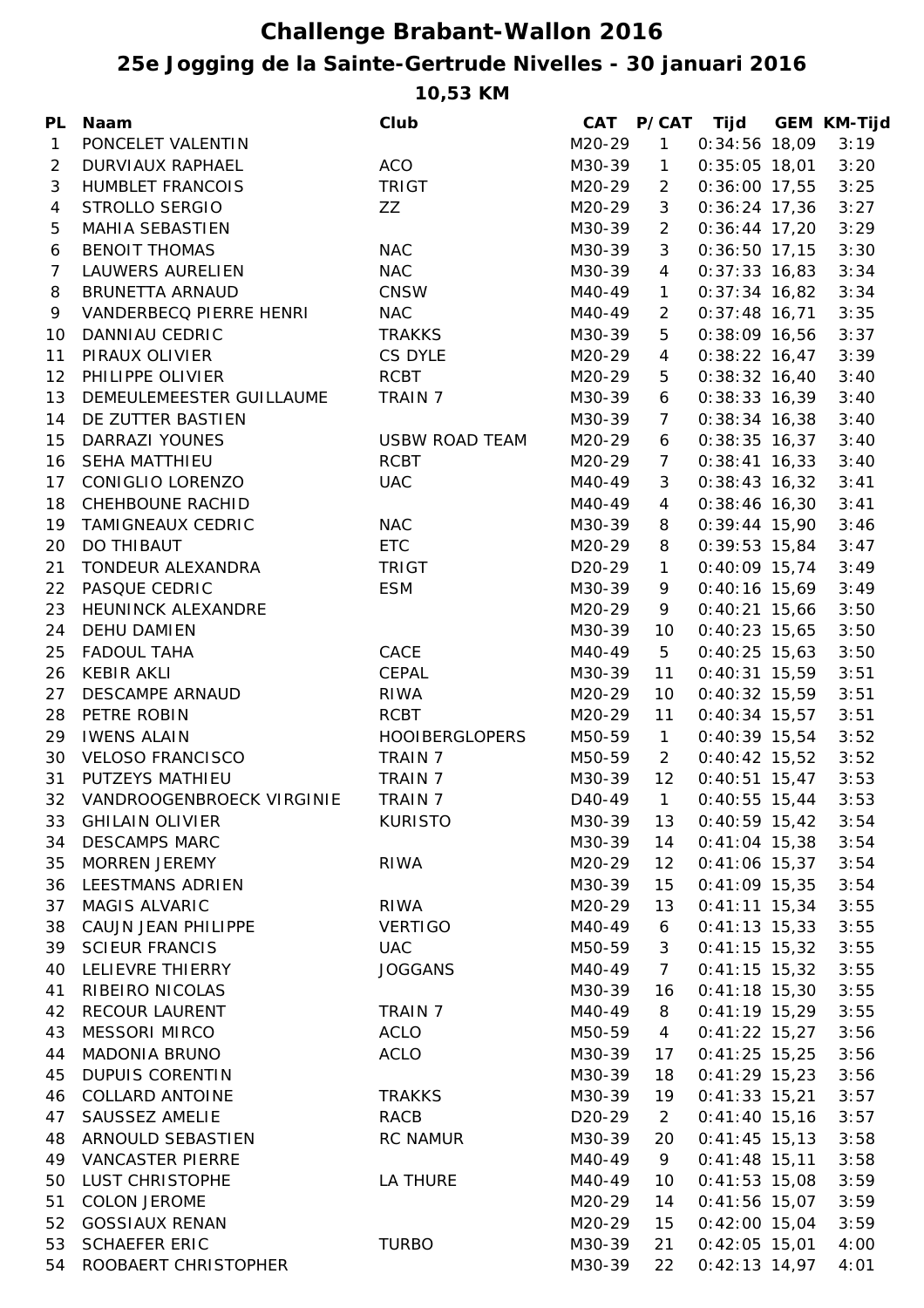## **25e Jogging de la Sainte-Gertrude Nivelles - 30 januari 2016 Challenge Brabant-Wallon 2016**

**10,53 KM**

| <b>PL</b>       | <b>Naam</b>                  | Club                  |                     |                 | CAT P/CAT Tijd  | <b>GEM KM-Tijd</b> |
|-----------------|------------------------------|-----------------------|---------------------|-----------------|-----------------|--------------------|
| $\mathbf{1}$    | PONCELET VALENTIN            |                       | M20-29              | 1               | $0:34:56$ 18,09 | 3:19               |
| $\overline{2}$  | DURVIAUX RAPHAEL             | <b>ACO</b>            | M30-39              | $\mathbf{1}$    | $0:35:05$ 18,01 | 3:20               |
| 3               | <b>HUMBLET FRANCOIS</b>      | <b>TRIGT</b>          | M20-29              | $\overline{2}$  | $0:36:00$ 17,55 | 3:25               |
| $\overline{4}$  | STROLLO SERGIO               | ZZ                    | M20-29              | 3               | $0:36:24$ 17,36 | 3:27               |
| 5               | <b>MAHIA SEBASTIEN</b>       |                       | M30-39              | $\overline{2}$  | $0:36:44$ 17,20 | 3:29               |
| 6               | <b>BENOIT THOMAS</b>         | <b>NAC</b>            | M30-39              | 3               | $0:36:50$ 17,15 | 3:30               |
| $\overline{7}$  | <b>LAUWERS AURELIEN</b>      | <b>NAC</b>            | M30-39              | $\overline{4}$  | $0:37:33$ 16,83 | 3:34               |
| 8               | <b>BRUNETTA ARNAUD</b>       | <b>CNSW</b>           | M40-49              | $\mathbf{1}$    | $0:37:34$ 16,82 | 3:34               |
| 9               | VANDERBECQ PIERRE HENRI      | <b>NAC</b>            | M40-49              | $\overline{2}$  | $0:37:48$ 16,71 | 3:35               |
| 10              | DANNIAU CEDRIC               | <b>TRAKKS</b>         | M30-39              | 5               | $0:38:09$ 16,56 | 3:37               |
| 11              | PIRAUX OLIVIER               | CS DYLE               | M20-29              | $\overline{4}$  | $0:38:22$ 16,47 | 3:39               |
| 12 <sub>2</sub> | PHILIPPE OLIVIER             | <b>RCBT</b>           | M20-29              | 5               | $0:38:32$ 16,40 | 3:40               |
| 13              | DEMEULEMEESTER GUILLAUME     | <b>TRAIN 7</b>        | M30-39              | 6               | $0:38:33$ 16,39 | 3:40               |
| 14              | DE ZUTTER BASTIEN            |                       | M30-39              | $7\overline{ }$ | $0:38:34$ 16,38 | 3:40               |
| 15              | <b>DARRAZI YOUNES</b>        | <b>USBW ROAD TEAM</b> | M20-29              | 6               | $0:38:35$ 16,37 | 3:40               |
| 16              | <b>SEHA MATTHIEU</b>         | <b>RCBT</b>           | M20-29              | $\overline{7}$  | $0:38:41$ 16,33 | 3:40               |
| 17 <sub>1</sub> | CONIGLIO LORENZO             | <b>UAC</b>            | M40-49              | 3               | $0:38:43$ 16,32 | 3:41               |
| 18              | CHEHBOUNE RACHID             |                       | M40-49              | $\overline{4}$  | $0:38:46$ 16,30 | 3:41               |
| 19              | <b>TAMIGNEAUX CEDRIC</b>     | <b>NAC</b>            | M30-39              | 8               | $0:39:44$ 15,90 | 3:46               |
| 20              | DO THIBAUT                   | <b>ETC</b>            | M20-29              | 8               | $0:39:53$ 15,84 | 3:47               |
| 21              | TONDEUR ALEXANDRA            | <b>TRIGT</b>          | D <sub>20</sub> -29 | $\mathbf{1}$    | $0:40:09$ 15,74 | 3:49               |
| 22              | PASQUE CEDRIC                | <b>ESM</b>            | M30-39              | 9               | $0:40:16$ 15,69 | 3:49               |
| 23              | HEUNINCK ALEXANDRE           |                       | M20-29              | 9               | $0:40:21$ 15,66 | 3:50               |
| 24              | DEHU DAMIEN                  |                       | M30-39              | 10              | $0:40:23$ 15,65 | 3:50               |
| 25              | <b>FADOUL TAHA</b>           | CACE                  | M40-49              | 5               | $0:40:25$ 15,63 | 3:50               |
| 26              | <b>KEBIR AKLI</b>            | CEPAL                 | M30-39              | 11              | $0:40:31$ 15,59 | 3:51               |
| 27              | <b>DESCAMPE ARNAUD</b>       | <b>RIWA</b>           | M20-29              | 10              | $0:40:32$ 15,59 | 3:51               |
| 28              | PETRE ROBIN                  | <b>RCBT</b>           | M20-29              | 11              | $0:40:34$ 15,57 | 3:51               |
| 29              | <b>IWENS ALAIN</b>           | <b>HOOIBERGLOPERS</b> | M50-59              | $\mathbf{1}$    | $0:40:39$ 15,54 | 3:52               |
| 30              | <b>VELOSO FRANCISCO</b>      | TRAIN 7               | M50-59              | $\overline{2}$  | $0:40:42$ 15,52 | 3:52               |
| 31              | PUTZEYS MATHIEU              | TRAIN 7               | M30-39              | 12              | $0:40:51$ 15,47 | 3:53               |
|                 | 32 VANDROOGENBROECK VIRGINIE | TRAIN 7               | D40-49              | 1               | $0:40:55$ 15,44 | 3:53               |
| 33              | <b>GHILAIN OLIVIER</b>       | <b>KURISTO</b>        | M30-39              | 13              | $0:40:59$ 15,42 | 3:54               |
| 34              | <b>DESCAMPS MARC</b>         |                       | M30-39              | 14              | $0:41:04$ 15,38 | 3:54               |
| 35              | <b>MORREN JEREMY</b>         | <b>RIWA</b>           | M20-29              | 12              | $0:41:06$ 15,37 | 3:54               |
| 36              | <b>LEESTMANS ADRIEN</b>      |                       | M30-39              | 15              | $0:41:09$ 15,35 | 3:54               |
| 37              | MAGIS ALVARIC                | <b>RIWA</b>           | M20-29              | 13              | $0:41:11$ 15,34 | 3:55               |
| 38              | CAUJN JEAN PHILIPPE          | <b>VERTIGO</b>        | M40-49              | 6               | $0:41:13$ 15,33 | 3:55               |
| 39              | <b>SCIEUR FRANCIS</b>        | <b>UAC</b>            | M50-59              | 3               | $0:41:15$ 15,32 | 3:55               |
| 40              | LELIEVRE THIERRY             | <b>JOGGANS</b>        | M40-49              | $\overline{7}$  | $0:41:15$ 15,32 | 3:55               |
| 41              | RIBEIRO NICOLAS              |                       | M30-39              | 16              | $0:41:18$ 15,30 | 3:55               |
| 42              | <b>RECOUR LAURENT</b>        | <b>TRAIN 7</b>        | M40-49              |                 | $0:41:19$ 15,29 | 3:55               |
|                 | <b>MESSORI MIRCO</b>         | <b>ACLO</b>           |                     | 8               |                 |                    |
| 43              | <b>MADONIA BRUNO</b>         | <b>ACLO</b>           | M50-59<br>M30-39    | $\overline{4}$  | $0:41:22$ 15,27 | 3:56               |
| 44              | <b>DUPUIS CORENTIN</b>       |                       |                     | 17              | $0:41:25$ 15,25 | 3:56               |
| 45              | <b>COLLARD ANTOINE</b>       |                       | M30-39              | 18              | $0:41:29$ 15,23 | 3:56               |
| 46              |                              | <b>TRAKKS</b>         | M30-39              | 19              | $0:41:33$ 15,21 | 3:57               |
| 47              | SAUSSEZ AMELIE               | <b>RACB</b>           | D <sub>20</sub> -29 | $\overline{2}$  | $0:41:40$ 15,16 | 3:57               |
| 48              | ARNOULD SEBASTIEN            | <b>RC NAMUR</b>       | M30-39              | 20              | $0:41:45$ 15,13 | 3:58               |
| 49              | <b>VANCASTER PIERRE</b>      |                       | M40-49              | 9               | $0:41:48$ 15,11 | 3:58               |
| 50              | LUST CHRISTOPHE              | LA THURE              | M40-49              | 10              | $0:41:53$ 15,08 | 3:59               |
| 51              | <b>COLON JEROME</b>          |                       | M20-29              | 14              | $0:41:56$ 15,07 | 3:59               |
| 52              | <b>GOSSIAUX RENAN</b>        |                       | M20-29              | 15              | $0:42:00$ 15,04 | 3:59               |
| 53              | <b>SCHAEFER ERIC</b>         | <b>TURBO</b>          | M30-39              | 21              | $0:42:05$ 15,01 | 4:00               |
| 54              | ROOBAERT CHRISTOPHER         |                       | M30-39              | 22              | $0:42:13$ 14,97 | 4:01               |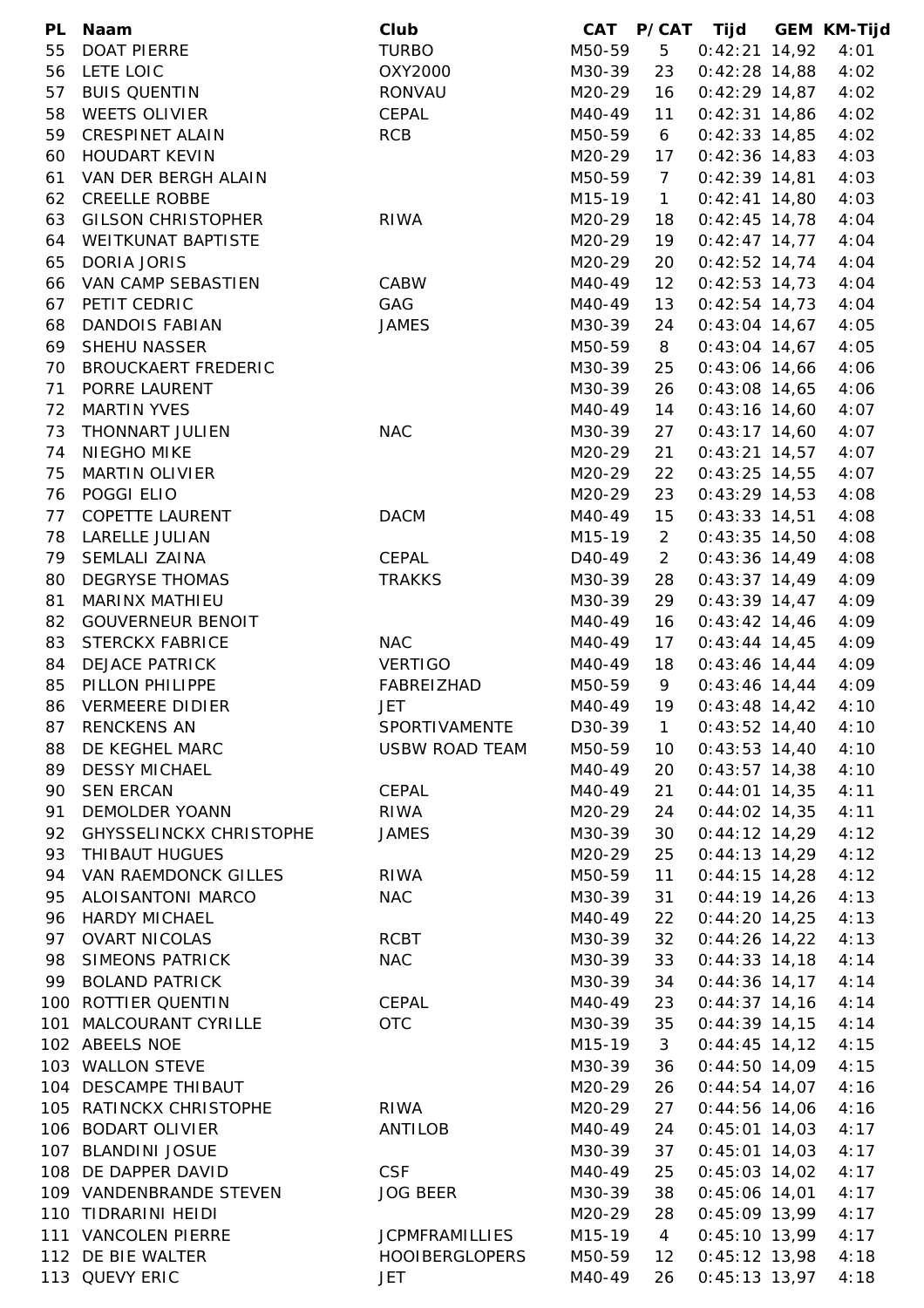| PL       | <b>Naam</b>                                    | Club                          | <b>CAT</b>          |                | P/CAT Tijd                         | <b>GEM KM-Tijd</b> |
|----------|------------------------------------------------|-------------------------------|---------------------|----------------|------------------------------------|--------------------|
| 55       | <b>DOAT PIERRE</b>                             | <b>TURBO</b>                  | M50-59              | 5              | $0:42:21$ 14,92                    | 4:01               |
| 56       | LETE LOIC                                      | OXY2000                       | M30-39              | 23             | $0:42:28$ 14,88                    | 4:02               |
| 57       | <b>BUIS QUENTIN</b>                            | RONVAU                        | M20-29              | 16             | $0:42:29$ 14,87                    | 4:02               |
| 58       | <b>WEETS OLIVIER</b>                           | CEPAL                         | M40-49              | 11             | $0:42:31$ 14,86                    | 4:02               |
| 59       | <b>CRESPINET ALAIN</b>                         | <b>RCB</b>                    | M50-59              | 6              | $0:42:33$ 14,85                    | 4:02               |
| 60       | <b>HOUDART KEVIN</b>                           |                               | M20-29              | 17             | $0:42:36$ 14,83                    | 4:03               |
| 61       | VAN DER BERGH ALAIN                            |                               | M50-59              | $\overline{7}$ | $0:42:39$ 14,81                    | 4:03               |
| 62       | <b>CREELLE ROBBE</b>                           |                               | M15-19              | $\mathbf{1}$   | $0:42:41$ 14,80                    | 4:03               |
| 63       | <b>GILSON CHRISTOPHER</b>                      | <b>RIWA</b>                   | M20-29              | 18             | $0:42:45$ 14,78                    | 4:04               |
| 64       | <b>WEITKUNAT BAPTISTE</b>                      |                               | M20-29              | 19             | $0:42:47$ 14,77                    | 4:04               |
| 65       | <b>DORIA JORIS</b>                             |                               | M20-29              | 20             | $0:42:52$ 14,74                    | 4:04               |
| 66       | VAN CAMP SEBASTIEN                             | CABW                          | M40-49              | 12             | $0:42:53$ 14,73                    | 4:04               |
| 67       | PETIT CEDRIC                                   | GAG                           | M40-49              | 13             | $0:42:54$ 14,73                    | 4:04               |
| 68       | <b>DANDOIS FABIAN</b>                          | <b>JAMES</b>                  | M30-39              | 24             | $0:43:04$ 14,67                    | 4:05               |
| 69       | SHEHU NASSER                                   |                               | M50-59              | 8              | $0:43:04$ 14,67                    | 4:05               |
| 70       | <b>BROUCKAERT FREDERIC</b>                     |                               | M30-39              | 25             | $0:43:06$ 14,66                    | 4:06               |
| 71       | PORRE LAURENT                                  |                               | M30-39              | 26             | $0:43:08$ 14,65                    | 4:06               |
| 72       | <b>MARTIN YVES</b>                             |                               | M40-49              | 14             | $0:43:16$ 14,60                    | 4:07               |
| 73       | <b>THONNART JULIEN</b>                         | <b>NAC</b>                    | M30-39              | 27             | $0:43:17$ 14,60                    | 4:07               |
| 74       | <b>NIEGHO MIKE</b>                             |                               | M20-29              | 21             | $0:43:21$ 14,57                    | 4:07               |
| 75       | <b>MARTIN OLIVIER</b>                          |                               | M20-29              | 22             | $0:43:25$ 14,55                    | 4:07               |
| 76       | POGGI ELIO                                     |                               | M20-29              | 23             | $0:43:29$ 14,53                    | 4:08               |
| 77       | <b>COPETTE LAURENT</b>                         | <b>DACM</b>                   | M40-49              | 15             | $0:43:33$ 14,51                    | 4:08               |
| 78       | LARELLE JULIAN                                 |                               | M15-19              | $\overline{2}$ | $0:43:35$ 14,50                    | 4:08               |
| 79       | SEMLALI ZAINA                                  | CEPAL                         | D <sub>40</sub> -49 | $\overline{2}$ | $0:43:36$ 14,49                    | 4:08               |
| 80       | <b>DEGRYSE THOMAS</b>                          | <b>TRAKKS</b>                 | M30-39              | 28             | $0:43:37$ 14,49                    | 4:09               |
| 81       | MARINX MATHIEU                                 |                               | M30-39              | 29             | $0:43:39$ 14,47                    | 4:09               |
| 82       | <b>GOUVERNEUR BENOIT</b>                       |                               | M40-49              | 16             | $0:43:42$ 14,46                    | 4:09               |
| 83       | <b>STERCKX FABRICE</b>                         | <b>NAC</b>                    | M40-49              | 17             | $0:43:44$ 14,45                    | 4:09               |
| 84       | <b>DEJACE PATRICK</b>                          | <b>VERTIGO</b>                | M40-49              | 18             | $0:43:46$ 14,44                    | 4:09               |
| 85       | PILLON PHILIPPE                                | FABREIZHAD                    | M50-59              | 9              | $0:43:46$ 14,44                    | 4:09               |
|          | <b>VERMEERE DIDIER</b>                         |                               | M40-49              | 19             |                                    |                    |
| 86       | <b>RENCKENS AN</b>                             | <b>JET</b><br>SPORTIVAMENTE   | D30-39              |                | $0:43:48$ 14,42                    | 4:10<br>4:10       |
| 87<br>88 | DE KEGHEL MARC                                 | <b>USBW ROAD TEAM</b>         | M50-59              | $\mathbf{1}$   | $0:43:52$ 14,40<br>$0:43:53$ 14,40 | 4:10               |
|          | <b>DESSY MICHAEL</b>                           |                               | M40-49              | 10             | $0:43:57$ 14,38                    |                    |
| 89<br>90 | <b>SEN ERCAN</b>                               | CEPAL                         | M40-49              | 20             | $0:44:01$ 14,35                    | 4:10<br>4:11       |
| 91       | <b>DEMOLDER YOANN</b>                          | RIWA                          | M20-29              | 21             | $0:44:02$ 14,35                    | 4:11               |
|          | <b>GHYSSELINCKX CHRISTOPHE</b>                 |                               |                     | 24             |                                    |                    |
| 92<br>93 | THIBAUT HUGUES                                 | <b>JAMES</b>                  | M30-39<br>M20-29    | 30<br>25       | $0:44:12$ 14,29<br>$0:44:13$ 14,29 | 4:12<br>4:12       |
| 94       | VAN RAEMDONCK GILLES                           | <b>RIWA</b>                   |                     |                | $0:44:15$ 14,28                    | 4:12               |
|          | ALOISANTONI MARCO                              | <b>NAC</b>                    | M50-59              | 11             |                                    |                    |
| 95       | <b>HARDY MICHAEL</b>                           |                               | M30-39              | 31             | $0:44:19$ 14,26<br>$0:44:20$ 14,25 | 4:13               |
| 96<br>97 |                                                | <b>RCBT</b>                   | M40-49              | 22             |                                    | 4:13               |
|          | <b>OVART NICOLAS</b><br><b>SIMEONS PATRICK</b> | <b>NAC</b>                    | M30-39              | 32             | $0:44:26$ 14,22                    | 4:13               |
| 98       | <b>BOLAND PATRICK</b>                          |                               | M30-39              | 33             | $0:44:33$ 14,18                    | 4:14               |
| 99       | 100 ROTTIER QUENTIN                            | CEPAL                         | M30-39<br>M40-49    | 34             | $0:44:36$ 14,17<br>$0:44:37$ 14,16 | 4:14               |
|          | 101 MALCOURANT CYRILLE                         | <b>OTC</b>                    | M30-39              | 23             |                                    | 4:14               |
|          | 102 ABEELS NOE                                 |                               |                     | 35             | $0:44:39$ 14,15                    | 4:14               |
|          | 103 WALLON STEVE                               |                               | M15-19              | 3              | $0:44:45$ 14,12<br>$0:44:50$ 14,09 | 4:15<br>4:15       |
|          | 104 DESCAMPE THIBAUT                           |                               | M30-39              | 36             |                                    |                    |
|          | 105 RATINCKX CHRISTOPHE                        |                               | M20-29              | 26             | $0:44:54$ 14,07                    | 4:16               |
|          | 106 BODART OLIVIER                             | RIWA                          | M20-29              | 27             | $0:44:56$ 14,06<br>$0:45:01$ 14,03 | 4:16<br>4:17       |
|          |                                                | ANTILOB                       | M40-49              | 24             |                                    |                    |
|          | 107 BLANDINI JOSUE                             |                               | M30-39              | 37             | $0:45:01$ 14,03                    | 4:17               |
|          | 108 DE DAPPER DAVID<br>109 VANDENBRANDE STEVEN | <b>CSF</b><br><b>JOG BEER</b> | M40-49              | 25             | $0:45:03$ 14,02<br>$0:45:06$ 14,01 | 4:17               |
|          |                                                |                               | M30-39              | 38             |                                    | 4:17               |
|          | 110 TIDRARINI HEIDI<br>111 VANCOLEN PIERRE     | <b>JCPMFRAMILLIES</b>         | M20-29              | 28             | $0:45:09$ 13,99<br>$0:45:10$ 13,99 | 4:17               |
|          |                                                | <b>HOOIBERGLOPERS</b>         | M15-19              | $\overline{4}$ | $0:45:12$ 13,98                    | 4:17<br>4:18       |
|          | 112 DE BIE WALTER                              |                               | M50-59              | 12             |                                    |                    |
|          | 113 QUEVY ERIC                                 | <b>JET</b>                    | M40-49              | 26             | $0:45:13$ 13,97                    | 4:18               |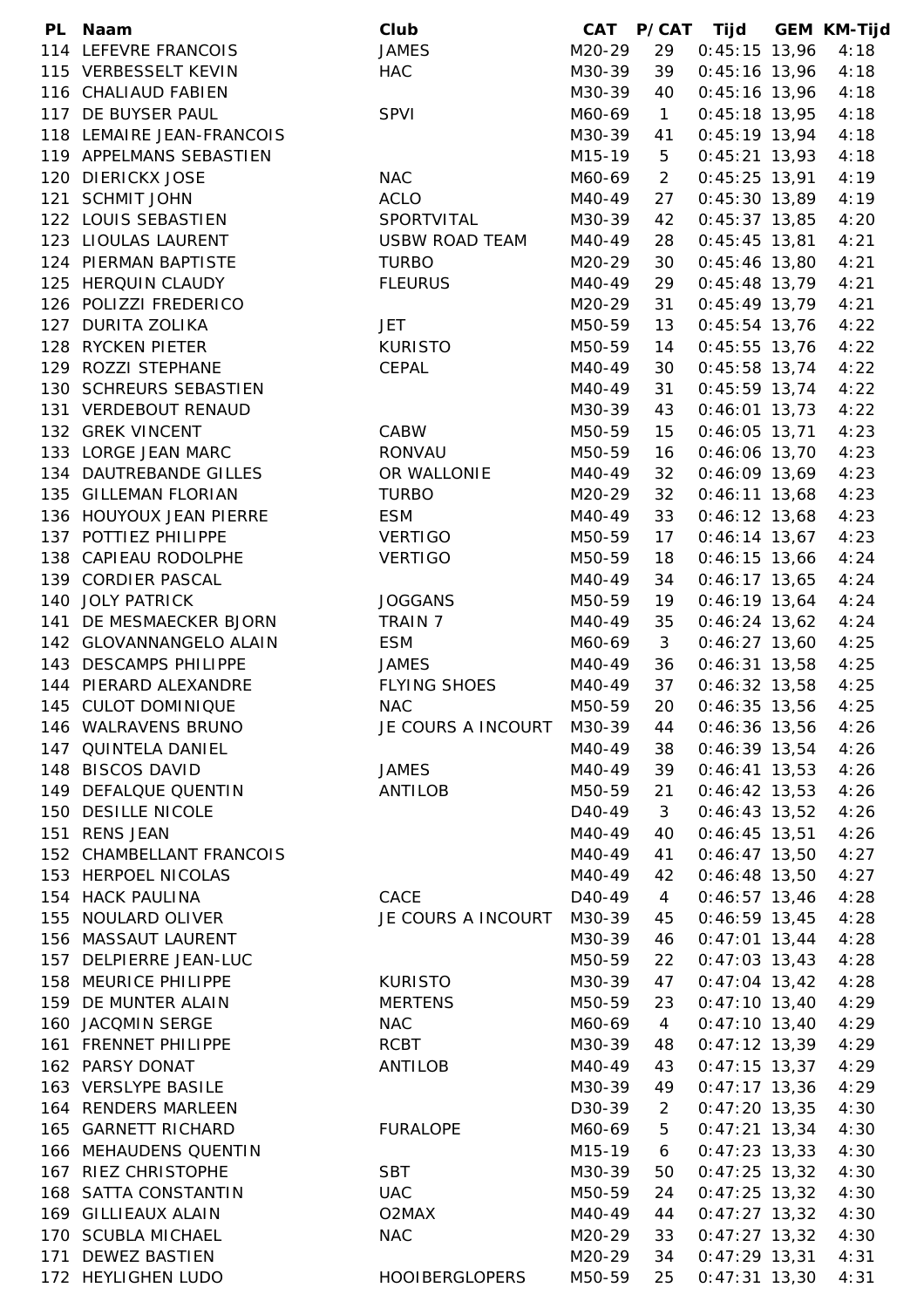|     | PL Naam                   | Club                  | CAT                 |                | P/CAT Tijd      | <b>GEM KM-Tijd</b> |
|-----|---------------------------|-----------------------|---------------------|----------------|-----------------|--------------------|
|     | 114 LEFEVRE FRANCOIS      | <b>JAMES</b>          | M20-29              | 29             | $0:45:15$ 13,96 | 4:18               |
|     | 115 VERBESSELT KEVIN      | <b>HAC</b>            | M30-39              | 39             | $0:45:16$ 13,96 | 4:18               |
|     | 116 CHALIAUD FABIEN       |                       | M30-39              | 40             | $0:45:16$ 13,96 | 4:18               |
|     | 117 DE BUYSER PAUL        | <b>SPVI</b>           | M60-69              | $\mathbf{1}$   | $0:45:18$ 13,95 | 4:18               |
|     | 118 LEMAIRE JEAN-FRANCOIS |                       | M30-39              | 41             | $0:45:19$ 13,94 | 4:18               |
|     | 119 APPELMANS SEBASTIEN   |                       | M15-19              | $\overline{5}$ | $0:45:21$ 13,93 | 4:18               |
|     | 120 DIERICKX JOSE         | <b>NAC</b>            | M60-69              | $\overline{2}$ | $0:45:25$ 13,91 | 4:19               |
|     | 121 SCHMIT JOHN           | <b>ACLO</b>           | M40-49              | 27             | $0:45:30$ 13,89 | 4:19               |
|     | 122 LOUIS SEBASTIEN       | SPORTVITAL            | M30-39              | 42             | $0:45:37$ 13,85 | 4:20               |
|     | 123 LIOULAS LAURENT       | <b>USBW ROAD TEAM</b> | M40-49              | 28             | $0:45:45$ 13,81 | 4:21               |
|     | 124 PIERMAN BAPTISTE      | <b>TURBO</b>          | M20-29              | 30             | $0:45:46$ 13,80 | 4:21               |
|     | 125 HERQUIN CLAUDY        | <b>FLEURUS</b>        | M40-49              | 29             | $0:45:48$ 13,79 | 4:21               |
|     | 126 POLIZZI FREDERICO     |                       | M20-29              | 31             | $0:45:49$ 13,79 | 4:21               |
|     | 127 DURITA ZOLIKA         | JET                   | M50-59              | 13             | $0:45:54$ 13,76 | 4:22               |
|     | 128 RYCKEN PIETER         | <b>KURISTO</b>        | M50-59              | 14             | $0:45:55$ 13,76 | 4:22               |
|     | 129 ROZZI STEPHANE        |                       |                     |                |                 |                    |
|     |                           | CEPAL                 | M40-49              | 30             | $0:45:58$ 13,74 | 4:22               |
|     | 130 SCHREURS SEBASTIEN    |                       | M40-49              | 31             | $0:45:59$ 13,74 | 4:22               |
|     | 131 VERDEBOUT RENAUD      |                       | M30-39              | 43             | $0:46:01$ 13,73 | 4:22               |
|     | 132 GREK VINCENT          | CABW                  | M50-59              | 15             | $0:46:05$ 13,71 | 4:23               |
|     | 133 LORGE JEAN MARC       | <b>RONVAU</b>         | M50-59              | 16             | $0:46:06$ 13,70 | 4:23               |
|     | 134 DAUTREBANDE GILLES    | OR WALLONIE           | M40-49              | 32             | $0:46:09$ 13,69 | 4:23               |
|     | 135 GILLEMAN FLORIAN      | <b>TURBO</b>          | M20-29              | 32             | $0:46:11$ 13,68 | 4:23               |
|     | 136 HOUYOUX JEAN PIERRE   | <b>ESM</b>            | M40-49              | 33             | $0:46:12$ 13,68 | 4:23               |
|     | 137 POTTIEZ PHILIPPE      | <b>VERTIGO</b>        | M50-59              | 17             | $0:46:14$ 13,67 | 4:23               |
|     | 138 CAPIEAU RODOLPHE      | <b>VERTIGO</b>        | M50-59              | 18             | $0:46:15$ 13,66 | 4:24               |
|     | 139 CORDIER PASCAL        |                       | M40-49              | 34             | $0:46:17$ 13,65 | 4:24               |
|     | 140 JOLY PATRICK          | <b>JOGGANS</b>        | M50-59              | 19             | $0:46:19$ 13,64 | 4:24               |
| 141 | DE MESMAECKER BJORN       | TRAIN 7               | M40-49              | 35             | $0:46:24$ 13,62 | 4:24               |
|     | 142 GLOVANNANGELO ALAIN   | <b>ESM</b>            | M60-69              | 3              | $0:46:27$ 13,60 | 4:25               |
|     | 143 DESCAMPS PHILIPPE     | <b>JAMES</b>          | M40-49              | 36             | $0:46:31$ 13,58 | 4:25               |
|     | 144 PIERARD ALEXANDRE     | <b>FLYING SHOES</b>   | M40-49              | 37             | $0:46:32$ 13,58 | 4:25               |
|     | 145 CULOT DOMINIQUE       | <b>NAC</b>            | M50-59              | 20             | $0:46:35$ 13,56 | 4:25               |
|     | 146 WALRAVENS BRUNO       | JE COURS A INCOURT    | M30-39              | 44             | $0:46:36$ 13,56 | 4:26               |
|     | 147 QUINTELA DANIEL       |                       | M40-49              | 38             | $0:46:39$ 13,54 | 4:26               |
|     | 148 BISCOS DAVID          | <b>JAMES</b>          | M40-49              | 39             | $0:46:41$ 13,53 | 4:26               |
|     | 149 DEFALQUE QUENTIN      | <b>ANTILOB</b>        | M50-59              | 21             | $0:46:42$ 13,53 | 4:26               |
|     | 150 DESILLE NICOLE        |                       | D <sub>40</sub> -49 | 3              | $0:46:43$ 13,52 | 4:26               |
|     | 151 RENS JEAN             |                       | M40-49              | 40             | $0:46:45$ 13,51 | 4:26               |
|     | 152 CHAMBELLANT FRANCOIS  |                       | M40-49              | 41             | $0:46:47$ 13,50 | 4:27               |
|     | 153 HERPOEL NICOLAS       |                       | M40-49              | 42             | $0:46:48$ 13,50 | 4:27               |
|     | 154 HACK PAULINA          | CACE                  | D <sub>40</sub> -49 | 4              | $0:46:57$ 13,46 | 4:28               |
| 155 | NOULARD OLIVER            | JE COURS A INCOURT    | M30-39              | 45             | $0:46:59$ 13,45 | 4:28               |
|     | 156 MASSAUT LAURENT       |                       | M30-39              | 46             | $0:47:01$ 13,44 | 4:28               |
|     | 157 DELPIERRE JEAN-LUC    |                       | M50-59              | 22             | $0:47:03$ 13,43 | 4:28               |
|     | 158 MEURICE PHILIPPE      | <b>KURISTO</b>        | M30-39              | 47             | $0:47:04$ 13,42 | 4:28               |
|     | 159 DE MUNTER ALAIN       | <b>MERTENS</b>        | M50-59              | 23             | $0:47:10$ 13,40 | 4:29               |
|     | 160 JACQMIN SERGE         |                       |                     |                |                 |                    |
|     |                           | <b>NAC</b>            | M60-69              | $\overline{4}$ | $0:47:10$ 13,40 | 4:29               |
|     | 161 FRENNET PHILIPPE      | <b>RCBT</b>           | M30-39              | 48             | $0:47:12$ 13,39 | 4:29               |
|     | 162 PARSY DONAT           | ANTILOB               | M40-49              | 43             | $0:47:15$ 13,37 | 4:29               |
|     | 163 VERSLYPE BASILE       |                       | M30-39              | 49             | $0:47:17$ 13,36 | 4:29               |
|     | 164 RENDERS MARLEEN       |                       | D30-39              | 2              | $0:47:20$ 13,35 | 4:30               |
|     | 165 GARNETT RICHARD       | <b>FURALOPE</b>       | M60-69              | 5              | $0:47:21$ 13,34 | 4:30               |
|     | 166 MEHAUDENS QUENTIN     |                       | M15-19              | 6              | $0:47:23$ 13,33 | 4:30               |
|     | 167 RIEZ CHRISTOPHE       | <b>SBT</b>            | M30-39              | 50             | $0:47:25$ 13,32 | 4:30               |
|     | 168 SATTA CONSTANTIN      | <b>UAC</b>            | M50-59              | 24             | $0:47:25$ 13,32 | 4:30               |
|     | 169 GILLIEAUX ALAIN       | O2MAX                 | M40-49              | 44             | $0:47:27$ 13,32 | 4:30               |
|     | 170 SCUBLA MICHAEL        | <b>NAC</b>            | M20-29              | 33             | $0:47:27$ 13,32 | 4:30               |
|     | 171 DEWEZ BASTIEN         |                       | M20-29              | 34             | $0:47:29$ 13,31 | 4:31               |
|     | 172 HEYLIGHEN LUDO        | <b>HOOIBERGLOPERS</b> | M50-59              | 25             | $0:47:31$ 13,30 | 4:31               |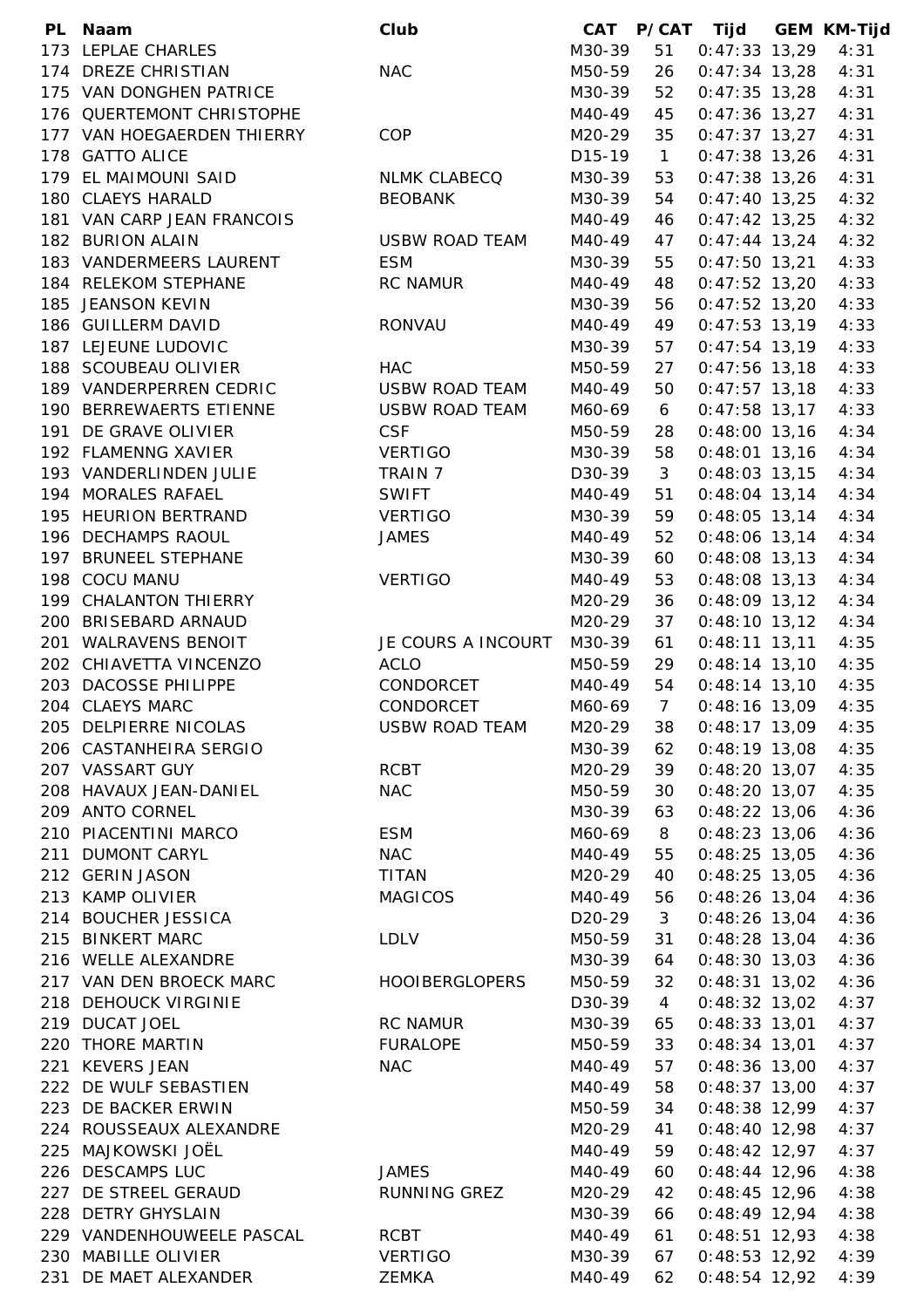|     | PL Naam                    | Club                  | <b>CAT</b>          |                | P/CAT Tijd      | <b>GEM KM-Tijd</b> |
|-----|----------------------------|-----------------------|---------------------|----------------|-----------------|--------------------|
|     | 173 LEPLAE CHARLES         |                       | M30-39              | 51             | $0:47:33$ 13,29 | 4:31               |
|     | 174 DREZE CHRISTIAN        | <b>NAC</b>            | M50-59              | 26             | $0:47:34$ 13,28 | 4:31               |
|     | 175 VAN DONGHEN PATRICE    |                       | M30-39              | 52             | $0:47:35$ 13,28 | 4:31               |
|     | 176 QUERTEMONT CHRISTOPHE  |                       | M40-49              | 45             | $0:47:36$ 13,27 | 4:31               |
|     | 177 VAN HOEGAERDEN THIERRY | COP                   | M20-29              | 35             | $0:47:37$ 13,27 | 4:31               |
|     | 178 GATTO ALICE            |                       | D15-19              | $\overline{1}$ | $0:47:38$ 13,26 | 4:31               |
|     | 179 EL MAIMOUNI SAID       | <b>NLMK CLABECQ</b>   | M30-39              | 53             | $0:47:38$ 13,26 | 4:31               |
|     | 180 CLAEYS HARALD          | <b>BEOBANK</b>        | M30-39              | 54             | $0:47:40$ 13,25 | 4:32               |
|     | 181 VAN CARP JEAN FRANCOIS |                       | M40-49              | 46             | $0:47:42$ 13,25 | 4:32               |
|     | 182 BURION ALAIN           | <b>USBW ROAD TEAM</b> | M40-49              | 47             | $0:47:44$ 13,24 | 4:32               |
|     | 183 VANDERMEERS LAURENT    | <b>ESM</b>            | M30-39              | 55             | $0:47:50$ 13,21 | 4:33               |
|     | 184 RELEKOM STEPHANE       | <b>RC NAMUR</b>       | M40-49              | 48             | $0:47:52$ 13,20 | 4:33               |
|     | 185 JEANSON KEVIN          |                       | M30-39              | 56             | $0:47:52$ 13,20 | 4:33               |
|     | 186 GUILLERM DAVID         | RONVAU                | M40-49              | 49             | $0:47:53$ 13,19 | 4:33               |
|     | 187 LEJEUNE LUDOVIC        |                       | M30-39              | 57             | $0:47:54$ 13,19 | 4:33               |
|     | 188 SCOUBEAU OLIVIER       | <b>HAC</b>            | M50-59              | 27             | $0:47:56$ 13,18 | 4:33               |
|     | 189 VANDERPERREN CEDRIC    | <b>USBW ROAD TEAM</b> | M40-49              | 50             | $0:47:57$ 13,18 | 4:33               |
|     | 190 BERREWAERTS ETIENNE    | <b>USBW ROAD TEAM</b> | M60-69              | 6              | $0:47:58$ 13,17 | 4:33               |
|     | 191 DE GRAVE OLIVIER       | <b>CSF</b>            | M50-59              | 28             | $0:48:00$ 13,16 | 4:34               |
|     | 192 FLAMENNG XAVIER        | <b>VERTIGO</b>        | M30-39              | 58             | $0:48:01$ 13,16 | 4:34               |
|     | 193 VANDERLINDEN JULIE     | TRAIN 7               | D30-39              | 3              | $0:48:03$ 13,15 | 4:34               |
|     | 194 MORALES RAFAEL         | <b>SWIFT</b>          | M40-49              | 51             | $0:48:04$ 13,14 | 4:34               |
|     | 195 HEURION BERTRAND       | <b>VERTIGO</b>        | M30-39              | 59             | $0:48:05$ 13,14 | 4:34               |
|     | 196 DECHAMPS RAOUL         | <b>JAMES</b>          | M40-49              |                |                 | 4:34               |
|     | 197 BRUNEEL STEPHANE       |                       |                     | 52             | $0:48:06$ 13,14 |                    |
|     |                            |                       | M30-39              | 60             | $0:48:08$ 13,13 | 4:34               |
|     | 198 COCU MANU              | <b>VERTIGO</b>        | M40-49              | 53             | $0:48:08$ 13,13 | 4:34               |
|     | 199 CHALANTON THIERRY      |                       | M20-29              | 36             | $0:48:09$ 13,12 | 4:34               |
|     | 200 BRISEBARD ARNAUD       |                       | M20-29              | 37             | $0:48:10$ 13,12 | 4:34               |
|     | 201 WALRAVENS BENOIT       | JE COURS A INCOURT    | M30-39              | 61             | $0:48:11$ 13,11 | 4:35               |
|     | 202 CHIAVETTA VINCENZO     | <b>ACLO</b>           | M50-59              | 29             | $0:48:14$ 13,10 | 4:35               |
|     | 203 DACOSSE PHILIPPE       | CONDORCET             | M40-49              | 54             | $0:48:14$ 13,10 | 4:35               |
|     | 204 CLAEYS MARC            | CONDORCET             | M60-69              | $\overline{7}$ | $0:48:16$ 13,09 | 4:35               |
|     | 205 DELPIERRE NICOLAS      | <b>USBW ROAD TEAM</b> | M20-29              | 38             | $0:48:17$ 13,09 | 4:35               |
|     | 206 CASTANHEIRA SERGIO     |                       | M30-39              | 62             | $0:48:19$ 13,08 | 4:35               |
|     | 207 VASSART GUY            | <b>RCBT</b>           | M20-29              | 39             | $0:48:20$ 13,07 | 4:35               |
|     | 208 HAVAUX JEAN-DANIEL     | <b>NAC</b>            | M50-59              | 30             | $0:48:20$ 13,07 | 4:35               |
|     | 209 ANTO CORNEL            |                       | M30-39              | 63             | $0:48:22$ 13,06 | 4:36               |
|     | 210 PIACENTINI MARCO       | <b>ESM</b>            | M60-69              | 8              | $0:48:23$ 13,06 | 4:36               |
|     | 211 DUMONT CARYL           | <b>NAC</b>            | M40-49              | 55             | $0:48:25$ 13,05 | 4:36               |
|     | 212 GERIN JASON            | <b>TITAN</b>          | M20-29              | 40             | $0:48:25$ 13,05 | 4:36               |
|     | 213 KAMP OLIVIER           | <b>MAGICOS</b>        | M40-49              | 56             | $0:48:26$ 13,04 | 4:36               |
|     | 214 BOUCHER JESSICA        |                       | D <sub>20</sub> -29 | 3              | $0:48:26$ 13,04 | 4:36               |
|     | 215 BINKERT MARC           | <b>LDLV</b>           | M50-59              | 31             | $0:48:28$ 13,04 | 4:36               |
|     | 216 WELLE ALEXANDRE        |                       | M30-39              | 64             | $0:48:30$ 13,03 | 4:36               |
|     | 217 VAN DEN BROECK MARC    | <b>HOOIBERGLOPERS</b> | M50-59              | 32             | $0:48:31$ 13,02 | 4:36               |
|     | 218 DEHOUCK VIRGINIE       |                       | D30-39              | $\overline{4}$ | $0:48:32$ 13,02 | 4:37               |
|     | 219 DUCAT JOEL             | <b>RC NAMUR</b>       | M30-39              | 65             | $0:48:33$ 13,01 | 4:37               |
|     | 220 THORE MARTIN           | <b>FURALOPE</b>       | M50-59              | 33             | $0:48:34$ 13,01 | 4:37               |
|     | 221 KEVERS JEAN            | <b>NAC</b>            | M40-49              | 57             | $0:48:36$ 13,00 | 4:37               |
|     | 222 DE WULF SEBASTIEN      |                       | M40-49              | 58             | $0:48:37$ 13,00 | 4:37               |
|     | 223 DE BACKER ERWIN        |                       | M50-59              | 34             | $0:48:38$ 12,99 | 4:37               |
|     | 224 ROUSSEAUX ALEXANDRE    |                       | M20-29              | 41             | $0:48:40$ 12,98 | 4:37               |
|     | 225 MAJKOWSKI JOËL         |                       | M40-49              | 59             | $0:48:42$ 12,97 | 4:37               |
|     | 226 DESCAMPS LUC           | <b>JAMES</b>          | M40-49              | 60             | $0:48:44$ 12,96 | 4:38               |
|     | 227 DE STREEL GERAUD       | RUNNING GREZ          | M20-29              | 42             | $0:48:45$ 12,96 | 4:38               |
|     | 228 DETRY GHYSLAIN         |                       | M30-39              | 66             | $0:48:49$ 12,94 | 4:38               |
|     | 229 VANDENHOUWEELE PASCAL  | <b>RCBT</b>           | M40-49              | 61             | $0:48:51$ 12,93 | 4:38               |
|     | 230 MABILLE OLIVIER        | <b>VERTIGO</b>        | M30-39              | 67             | $0:48:53$ 12,92 | 4:39               |
| 231 | DE MAET ALEXANDER          | ZEMKA                 | M40-49              | 62             | $0:48:54$ 12,92 | 4:39               |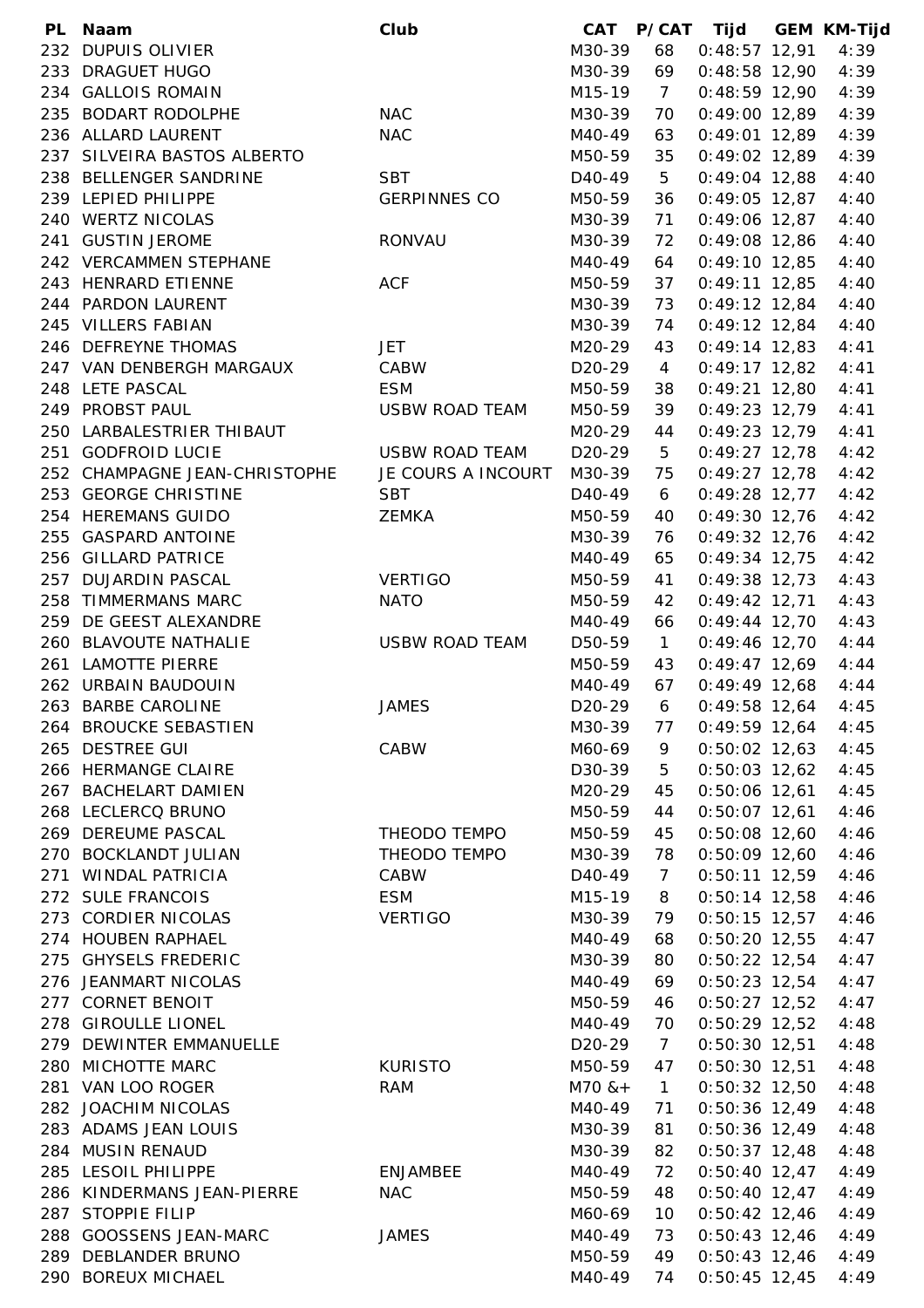| PL. | Naam                          | Club                  | CAT                 |                | P/CAT Tijd      | <b>GEM KM-Tijd</b> |
|-----|-------------------------------|-----------------------|---------------------|----------------|-----------------|--------------------|
|     | 232 DUPUIS OLIVIER            |                       | M30-39              | 68             | $0:48:57$ 12,91 | 4:39               |
|     | 233 DRAGUET HUGO              |                       | M30-39              | 69             | $0:48:58$ 12,90 | 4:39               |
|     | 234 GALLOIS ROMAIN            |                       | M15-19              | $\overline{7}$ | $0:48:59$ 12,90 | 4:39               |
| 235 | <b>BODART RODOLPHE</b>        | <b>NAC</b>            | M30-39              | 70             | $0:49:00$ 12,89 | 4:39               |
|     | 236 ALLARD LAURENT            | <b>NAC</b>            | M40-49              | 63             | $0:49:01$ 12,89 | 4:39               |
|     | 237 SILVEIRA BASTOS ALBERTO   |                       | M50-59              | 35             | $0:49:02$ 12,89 | 4:39               |
|     | 238 BELLENGER SANDRINE        | <b>SBT</b>            | D <sub>40</sub> -49 | 5              | $0:49:04$ 12,88 | 4:40               |
|     | 239 LEPIED PHILIPPE           | <b>GERPINNES CO</b>   | M50-59              | 36             | $0:49:05$ 12,87 | 4:40               |
|     | 240 WERTZ NICOLAS             |                       | M30-39              | 71             | $0:49:06$ 12,87 | 4:40               |
|     | 241 GUSTIN JEROME             | <b>RONVAU</b>         | M30-39              | 72             | $0:49:08$ 12,86 | 4:40               |
|     | 242 VERCAMMEN STEPHANE        |                       | M40-49              | 64             | $0:49:10$ 12,85 | 4:40               |
|     | 243 HENRARD ETIENNE           | <b>ACF</b>            | M50-59              | 37             | $0:49:11$ 12,85 | 4:40               |
|     | 244 PARDON LAURENT            |                       | M30-39              | 73             | $0:49:12$ 12,84 | 4:40               |
|     | 245 VILLERS FABIAN            |                       | M30-39              | 74             | $0:49:12$ 12,84 | 4:40               |
|     | 246 DEFREYNE THOMAS           | <b>JET</b>            | M20-29              | 43             | $0:49:14$ 12,83 | 4:41               |
|     | 247 VAN DENBERGH MARGAUX      | CABW                  | D <sub>20</sub> -29 | $\overline{4}$ | $0:49:17$ 12,82 | 4:41               |
|     | 248 LETE PASCAL               | <b>ESM</b>            | M50-59              | 38             | $0:49:21$ 12,80 | 4:41               |
|     | 249 PROBST PAUL               | <b>USBW ROAD TEAM</b> | M50-59              | 39             | $0:49:23$ 12,79 | 4:41               |
|     | 250 LARBALESTRIER THIBAUT     |                       | M20-29              | 44             | 0:49:23 12,79   | 4:41               |
|     |                               | <b>USBW ROAD TEAM</b> |                     |                |                 |                    |
|     | 251 GODFROID LUCIE            |                       | D <sub>20</sub> -29 | 5              | $0:49:27$ 12,78 | 4:42               |
|     | 252 CHAMPAGNE JEAN-CHRISTOPHE | JE COURS A INCOURT    | M30-39              | 75             | $0:49:27$ 12,78 | 4:42               |
|     | 253 GEORGE CHRISTINE          | <b>SBT</b>            | D40-49              | 6              | $0:49:28$ 12,77 | 4:42               |
|     | 254 HEREMANS GUIDO            | ZEMKA                 | M50-59              | 40             | $0:49:30$ 12,76 | 4:42               |
|     | 255 GASPARD ANTOINE           |                       | M30-39              | 76             | $0:49:32$ 12,76 | 4:42               |
|     | 256 GILLARD PATRICE           |                       | M40-49              | 65             | $0:49:34$ 12,75 | 4:42               |
|     | 257 DUJARDIN PASCAL           | <b>VERTIGO</b>        | M50-59              | 41             | $0:49:38$ 12,73 | 4:43               |
| 258 | <b>TIMMERMANS MARC</b>        | <b>NATO</b>           | M50-59              | 42             | $0:49:42$ 12,71 | 4:43               |
| 259 | DE GEEST ALEXANDRE            |                       | M40-49              | 66             | $0:49:44$ 12,70 | 4:43               |
|     | 260 BLAVOUTE NATHALIE         | <b>USBW ROAD TEAM</b> | D50-59              | $\mathbf{1}$   | $0:49:46$ 12,70 | 4:44               |
| 261 | <b>LAMOTTE PIERRE</b>         |                       | M50-59              | 43             | $0:49:47$ 12,69 | 4:44               |
|     | 262 URBAIN BAUDOUIN           |                       | M40-49              | 67             | $0:49:49$ 12,68 | 4:44               |
|     | 263 BARBE CAROLINE            | <b>JAMES</b>          | D <sub>20</sub> -29 | 6              | $0:49:58$ 12,64 | 4:45               |
|     | 264 BROUCKE SEBASTIEN         |                       | M30-39              | 77             | $0:49:59$ 12,64 | 4:45               |
|     | 265 DESTREE GUI               | CABW                  | M60-69              | 9              | $0:50:02$ 12,63 | 4:45               |
|     | 266 HERMANGE CLAIRE           |                       | D30-39              | 5              | $0:50:03$ 12,62 | 4:45               |
|     | 267 BACHELART DAMIEN          |                       | M20-29              | 45             | $0:50:06$ 12,61 | 4:45               |
|     | 268 LECLERCQ BRUNO            |                       | M50-59              | 44             | $0:50:07$ 12,61 | 4:46               |
|     | 269 DEREUME PASCAL            | THEODO TEMPO          | M50-59              | 45             | $0:50:08$ 12,60 | 4:46               |
|     | 270 BOCKLANDT JULIAN          | THEODO TEMPO          | M30-39              | 78             | $0:50:09$ 12,60 | 4:46               |
|     | 271 WINDAL PATRICIA           | CABW                  | D <sub>40</sub> -49 | $\overline{7}$ | $0:50:11$ 12,59 | 4:46               |
|     | 272 SULE FRANCOIS             | <b>ESM</b>            | M15-19              | 8              | $0:50:14$ 12,58 | 4:46               |
|     | 273 CORDIER NICOLAS           | <b>VERTIGO</b>        | M30-39              | 79             | $0:50:15$ 12,57 | 4:46               |
|     | 274 HOUBEN RAPHAEL            |                       | M40-49              | 68             | $0:50:20$ 12,55 | 4:47               |
|     | 275 GHYSELS FREDERIC          |                       | M30-39              | 80             | $0:50:22$ 12,54 | 4:47               |
|     | 276 JEANMART NICOLAS          |                       | M40-49              | 69             | $0:50:23$ 12,54 | 4:47               |
|     | 277 CORNET BENOIT             |                       | M50-59              | 46             | $0:50:27$ 12,52 | 4:47               |
|     | 278 GIROULLE LIONEL           |                       | M40-49              | 70             | $0:50:29$ 12,52 | 4:48               |
|     | 279 DEWINTER EMMANUELLE       |                       | D <sub>20</sub> -29 | $\overline{7}$ | $0:50:30$ 12,51 | 4:48               |
|     | 280 MICHOTTE MARC             | <b>KURISTO</b>        | M50-59              | 47             | $0:50:30$ 12,51 | 4:48               |
|     | 281 VAN LOO ROGER             | <b>RAM</b>            | $M70$ & +           | $\mathbf{1}$   | $0:50:32$ 12,50 | 4:48               |
|     | 282 JOACHIM NICOLAS           |                       | M40-49              | 71             | $0:50:36$ 12,49 | 4:48               |
|     | 283 ADAMS JEAN LOUIS          |                       | M30-39              | 81             | $0:50:36$ 12,49 | 4:48               |
|     | 284 MUSIN RENAUD              |                       | M30-39              | 82             | $0:50:37$ 12,48 | 4:48               |
| 285 | LESOIL PHILIPPE               | <b>ENJAMBEE</b>       | M40-49              | 72             | $0:50:40$ 12,47 | 4:49               |
|     | 286 KINDERMANS JEAN-PIERRE    | <b>NAC</b>            | M50-59              | 48             | $0:50:40$ 12,47 | 4:49               |
|     | 287 STOPPIE FILIP             |                       | M60-69              | 10             | $0:50:42$ 12,46 | 4:49               |
|     | 288 GOOSSENS JEAN-MARC        | <b>JAMES</b>          | M40-49              | 73             | $0:50:43$ 12,46 | 4:49               |
|     | 289 DEBLANDER BRUNO           |                       | M50-59              | 49             | $0:50:43$ 12,46 | 4:49               |
|     | 290 BOREUX MICHAEL            |                       | M40-49              |                | $0:50:45$ 12,45 | 4:49               |
|     |                               |                       |                     | 74             |                 |                    |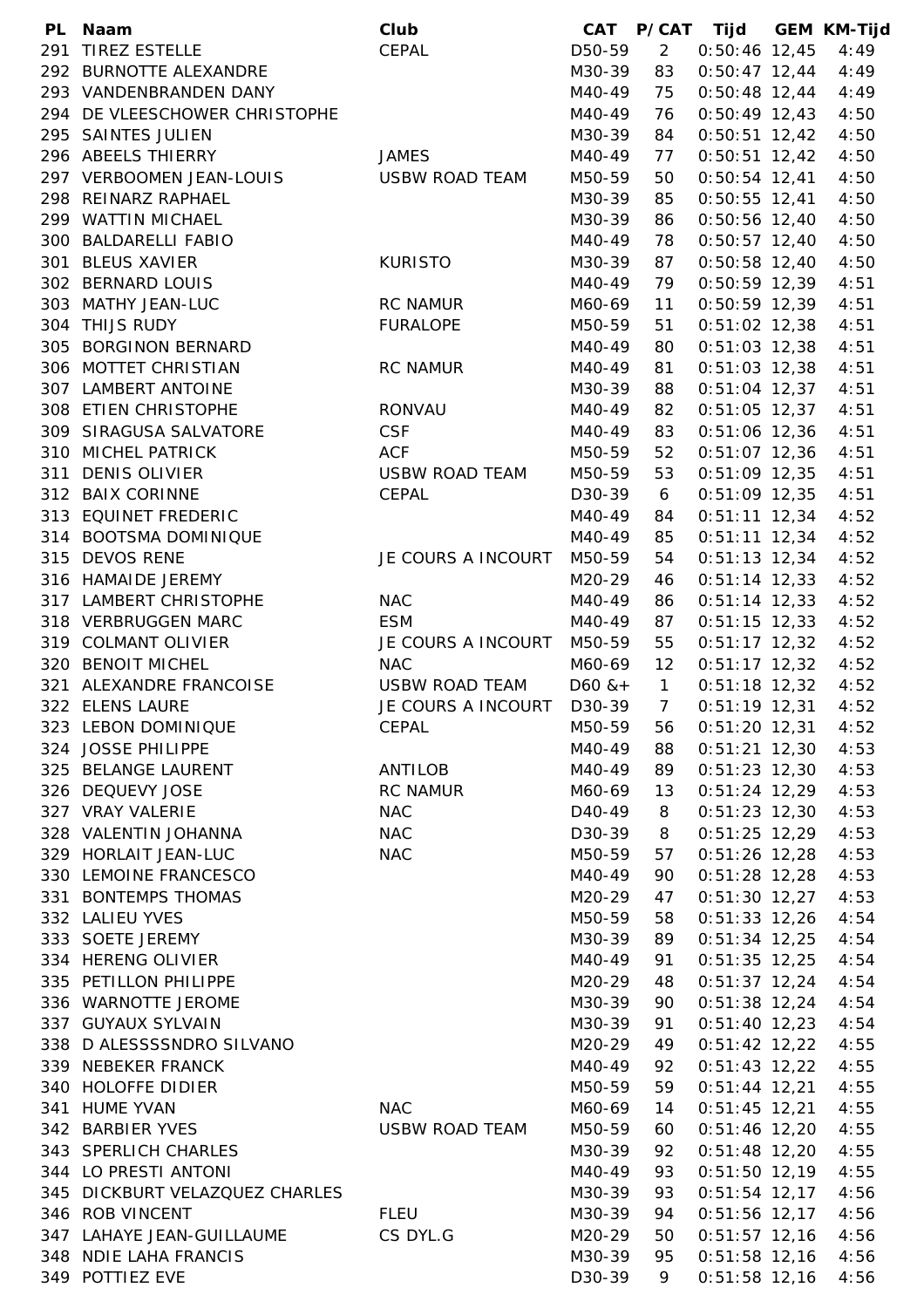| PL Naam                        | Club                  | CAT       |                | P/CAT Tijd      | <b>GEM KM-Tijd</b> |
|--------------------------------|-----------------------|-----------|----------------|-----------------|--------------------|
| 291 TIREZ ESTELLE              | CEPAL                 | D50-59    | $\overline{2}$ | $0:50:46$ 12,45 | 4:49               |
| 292 BURNOTTE ALEXANDRE         |                       | M30-39    | 83             | $0:50:47$ 12,44 | 4:49               |
| 293 VANDENBRANDEN DANY         |                       | M40-49    | 75             | $0:50:48$ 12,44 | 4:49               |
| 294 DE VLEESCHOWER CHRISTOPHE  |                       | M40-49    | 76             | $0:50:49$ 12,43 | 4:50               |
| 295 SAINTES JULIEN             |                       | M30-39    | 84             | $0:50:51$ 12,42 | 4:50               |
| 296 ABEELS THIERRY             | <b>JAMES</b>          | M40-49    | 77             | $0:50:51$ 12,42 | 4:50               |
| 297 VERBOOMEN JEAN-LOUIS       | <b>USBW ROAD TEAM</b> | M50-59    | 50             | $0:50:54$ 12,41 | 4:50               |
| 298 REINARZ RAPHAEL            |                       | M30-39    | 85             | $0:50:55$ 12,41 | 4:50               |
| 299 WATTIN MICHAEL             |                       | M30-39    | 86             | $0:50:56$ 12,40 | 4:50               |
| 300 BALDARELLI FABIO           |                       | M40-49    | 78             | $0:50:57$ 12,40 | 4:50               |
| 301 BLEUS XAVIER               | <b>KURISTO</b>        | M30-39    | 87             | $0:50:58$ 12,40 | 4:50               |
| 302 BERNARD LOUIS              |                       | M40-49    | 79             | $0:50:59$ 12,39 | 4:51               |
| 303 MATHY JEAN-LUC             | <b>RC NAMUR</b>       | M60-69    | 11             | $0:50:59$ 12,39 | 4:51               |
| 304 THIJS RUDY                 | <b>FURALOPE</b>       | M50-59    | 51             | $0:51:02$ 12,38 | 4:51               |
| 305 BORGINON BERNARD           |                       | M40-49    | 80             | $0:51:03$ 12,38 | 4:51               |
| 306 MOTTET CHRISTIAN           | <b>RC NAMUR</b>       | M40-49    | 81             | $0:51:03$ 12,38 | 4:51               |
| 307 LAMBERT ANTOINE            |                       | M30-39    | 88             | $0:51:04$ 12,37 | 4:51               |
| 308 ETIEN CHRISTOPHE           | <b>RONVAU</b>         | M40-49    | 82             | $0:51:05$ 12,37 | 4:51               |
| 309 SIRAGUSA SALVATORE         | <b>CSF</b>            | M40-49    | 83             | $0:51:06$ 12,36 | 4:51               |
| 310 MICHEL PATRICK             | <b>ACF</b>            | M50-59    | 52             | $0:51:07$ 12,36 | 4:51               |
| 311 DENIS OLIVIER              | <b>USBW ROAD TEAM</b> | M50-59    | 53             | $0:51:09$ 12,35 | 4:51               |
| 312 BAIX CORINNE               | CEPAL                 | D30-39    | 6              | $0:51:09$ 12,35 | 4:51               |
| 313 EQUINET FREDERIC           |                       | M40-49    | 84             | $0:51:11$ 12,34 | 4:52               |
| 314 BOOTSMA DOMINIQUE          |                       | M40-49    | 85             | $0:51:11$ 12,34 | 4:52               |
| 315 DEVOS RENE                 | JE COURS A INCOURT    | M50-59    | 54             | $0:51:13$ 12,34 | 4:52               |
| 316 HAMAIDE JEREMY             |                       | M20-29    | 46             | $0:51:14$ 12,33 | 4:52               |
| 317 LAMBERT CHRISTOPHE         | <b>NAC</b>            | M40-49    | 86             | $0:51:14$ 12,33 | 4:52               |
| 318 VERBRUGGEN MARC            | <b>ESM</b>            | M40-49    | 87             | $0:51:15$ 12,33 | 4:52               |
| 319 COLMANT OLIVIER            | JE COURS A INCOURT    | M50-59    | 55             | $0:51:17$ 12,32 | 4:52               |
| 320 BENOIT MICHEL              | <b>NAC</b>            | M60-69    | 12             | $0:51:17$ 12,32 | 4:52               |
| 321 ALEXANDRE FRANCOISE        | <b>USBW ROAD TEAM</b> | $D60$ & + | $\mathbf{1}$   | $0:51:18$ 12,32 | 4:52               |
| 322 ELENS LAURE                | JE COURS A INCOURT    | D30-39    | $\overline{7}$ | $0:51:19$ 12,31 | 4:52               |
| 323 LEBON DOMINIQUE            | CEPAL                 | M50-59    | 56             | $0:51:20$ 12,31 | 4:52               |
| 324 JOSSE PHILIPPE             |                       | M40-49    | 88             | $0:51:21$ 12,30 | 4:53               |
| 325 BELANGE LAURENT            | ANTILOB               | M40-49    | 89             | $0:51:23$ 12,30 | 4:53               |
| 326 DEQUEVY JOSE               | <b>RC NAMUR</b>       | M60-69    | 13             | $0:51:24$ 12,29 | 4:53               |
| 327 VRAY VALERIE               | <b>NAC</b>            | D40-49    | 8              | $0:51:23$ 12,30 | 4:53               |
| 328 VALENTIN JOHANNA           | <b>NAC</b>            | D30-39    | 8              | $0:51:25$ 12,29 | 4:53               |
| 329 HORLAIT JEAN-LUC           | <b>NAC</b>            | M50-59    | 57             | $0:51:26$ 12,28 | 4:53               |
| 330 LEMOINE FRANCESCO          |                       | M40-49    | 90             | $0:51:28$ 12,28 | 4:53               |
| 331 BONTEMPS THOMAS            |                       | M20-29    | 47             | $0:51:30$ 12,27 | 4:53               |
| 332 LALIEU YVES                |                       | M50-59    | 58             | $0:51:33$ 12,26 | 4:54               |
| 333 SOETE JEREMY               |                       | M30-39    | 89             | $0:51:34$ 12,25 | 4:54               |
| 334 HERENG OLIVIER             |                       | M40-49    | 91             | $0:51:35$ 12,25 | 4:54               |
| 335 PETILLON PHILIPPE          |                       | M20-29    | 48             | $0:51:37$ 12,24 | 4:54               |
| 336 WARNOTTE JEROME            |                       | M30-39    | 90             | $0:51:38$ 12,24 | 4:54               |
| 337 GUYAUX SYLVAIN             |                       | M30-39    | 91             | $0:51:40$ 12,23 | 4:54               |
| 338 D ALESSSSNDRO SILVANO      |                       | M20-29    | 49             | $0:51:42$ 12,22 | 4:55               |
| 339 NEBEKER FRANCK             |                       | M40-49    | 92             | $0:51:43$ 12,22 | 4:55               |
| 340 HOLOFFE DIDIER             |                       | M50-59    | 59             | $0:51:44$ 12,21 | 4:55               |
| 341 HUME YVAN                  | <b>NAC</b>            | M60-69    | 14             | $0:51:45$ 12,21 | 4:55               |
| 342 BARBIER YVES               | <b>USBW ROAD TEAM</b> | M50-59    | 60             | $0:51:46$ 12,20 | 4:55               |
| 343 SPERLICH CHARLES           |                       | M30-39    | 92             | $0:51:48$ 12,20 | 4:55               |
| 344 LO PRESTI ANTONI           |                       | M40-49    | 93             | $0:51:50$ 12,19 | 4:55               |
| 345 DICKBURT VELAZQUEZ CHARLES |                       | M30-39    | 93             | $0:51:54$ 12,17 | 4:56               |
| 346 ROB VINCENT                | <b>FLEU</b>           | M30-39    | 94             | $0:51:56$ 12,17 | 4:56               |
| 347 LAHAYE JEAN-GUILLAUME      | CS DYL.G              | M20-29    | 50             | $0:51:57$ 12,16 | 4:56               |
| 348 NDIE LAHA FRANCIS          |                       | M30-39    | 95             | $0:51:58$ 12,16 | 4:56               |
| 349 POTTIEZ EVE                |                       | D30-39    | 9              | $0:51:58$ 12,16 | 4:56               |
|                                |                       |           |                |                 |                    |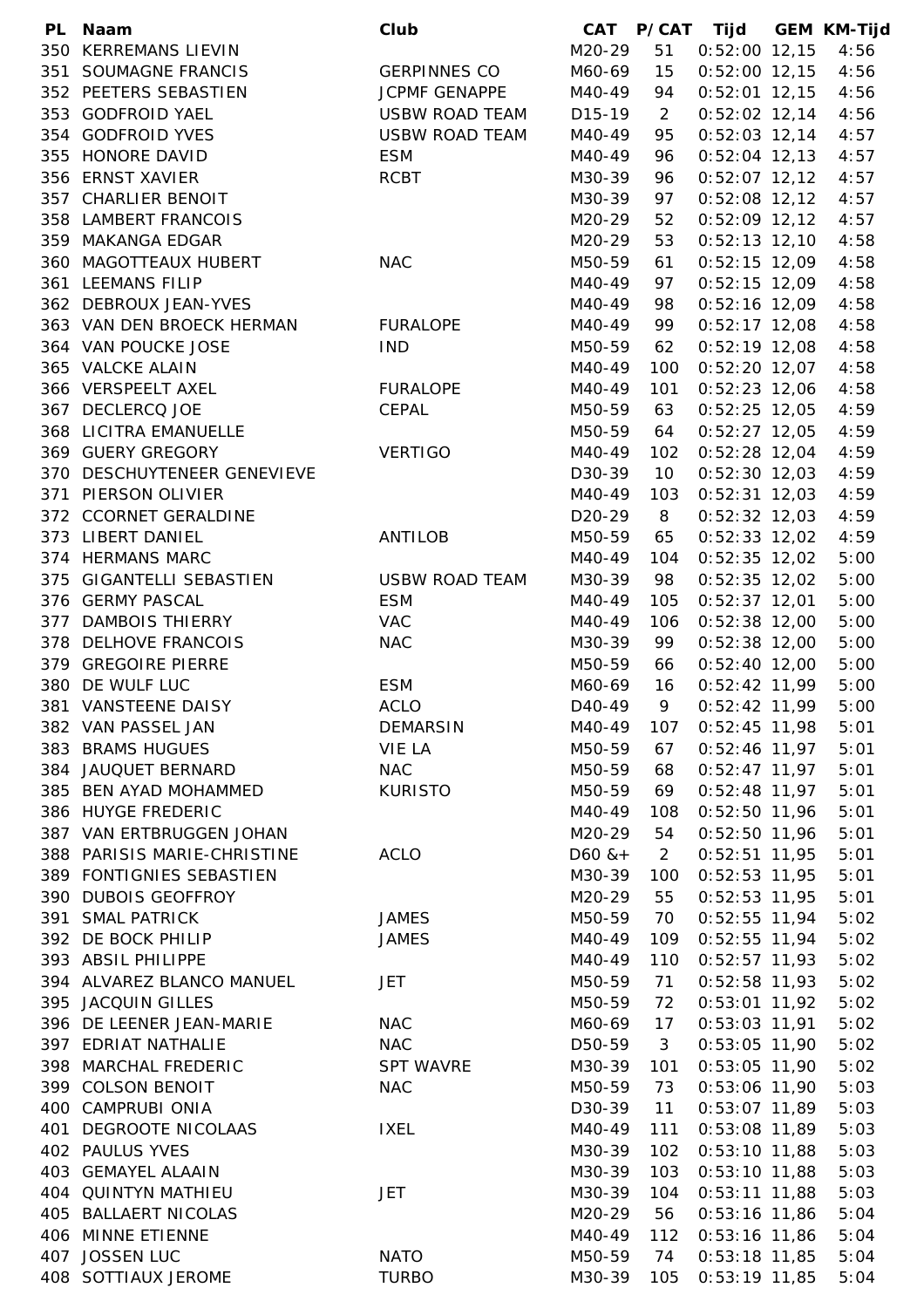| PL. | <b>Naam</b>                 | Club                  |                     |                | CAT P/CAT Tijd  | <b>GEM KM-Tijd</b> |
|-----|-----------------------------|-----------------------|---------------------|----------------|-----------------|--------------------|
|     | 350 KERREMANS LIEVIN        |                       | M20-29              | 51             | $0:52:00$ 12,15 | 4:56               |
|     | 351 SOUMAGNE FRANCIS        | <b>GERPINNES CO</b>   | M60-69              | 15             | $0:52:00$ 12,15 | 4:56               |
|     | 352 PEETERS SEBASTIEN       | JCPMF GENAPPE         | M40-49              | 94             | $0:52:01$ 12,15 | 4:56               |
|     | 353 GODFROID YAEL           | <b>USBW ROAD TEAM</b> | D <sub>15</sub> -19 | $\overline{2}$ | $0:52:02$ 12,14 | 4:56               |
|     | 354 GODFROID YVES           | <b>USBW ROAD TEAM</b> | M40-49              | 95             | $0:52:03$ 12,14 | 4:57               |
|     | 355 HONORE DAVID            | <b>ESM</b>            | M40-49              | 96             | $0:52:04$ 12,13 | 4:57               |
|     | 356 ERNST XAVIER            | <b>RCBT</b>           | M30-39              | 96             | $0:52:07$ 12,12 | 4:57               |
|     | 357 CHARLIER BENOIT         |                       | M30-39              | 97             | $0:52:08$ 12,12 | 4:57               |
|     |                             |                       |                     |                |                 |                    |
|     | 358 LAMBERT FRANCOIS        |                       | M20-29              | 52             | $0:52:09$ 12,12 | 4:57               |
|     | 359 MAKANGA EDGAR           |                       | M20-29              | 53             | $0:52:13$ 12,10 | 4:58               |
|     | 360 MAGOTTEAUX HUBERT       | <b>NAC</b>            | M50-59              | 61             | $0:52:15$ 12,09 | 4:58               |
|     | 361 LEEMANS FILIP           |                       | M40-49              | 97             | $0:52:15$ 12,09 | 4:58               |
|     | 362 DEBROUX JEAN-YVES       |                       | M40-49              | 98             | $0:52:16$ 12,09 | 4:58               |
|     | 363 VAN DEN BROECK HERMAN   | <b>FURALOPE</b>       | M40-49              | 99             | $0:52:17$ 12,08 | 4:58               |
|     | 364 VAN POUCKE JOSE         | <b>IND</b>            | M50-59              | 62             | $0:52:19$ 12,08 | 4:58               |
|     | 365 VALCKE ALAIN            |                       | M40-49              | 100            | $0:52:20$ 12,07 | 4:58               |
|     | 366 VERSPEELT AXEL          | <b>FURALOPE</b>       | M40-49              | 101            | $0:52:23$ 12,06 | 4:58               |
|     | 367 DECLERCQ JOE            | CEPAL                 | M50-59              | 63             | $0:52:25$ 12,05 | 4:59               |
|     | 368 LICITRA EMANUELLE       |                       | M50-59              | 64             | $0:52:27$ 12,05 | 4:59               |
|     | 369 GUERY GREGORY           | <b>VERTIGO</b>        | M40-49              | 102            | $0:52:28$ 12,04 | 4:59               |
|     | 370 DESCHUYTENEER GENEVIEVE |                       | D30-39              | 10             | $0:52:30$ 12,03 | 4:59               |
|     | 371 PIERSON OLIVIER         |                       | M40-49              | 103            | $0:52:31$ 12,03 | 4:59               |
|     | 372 CCORNET GERALDINE       |                       | D20-29              | 8              | $0:52:32$ 12,03 | 4:59               |
|     | 373 LIBERT DANIEL           | <b>ANTILOB</b>        | M50-59              | 65             | $0:52:33$ 12,02 | 4:59               |
|     |                             |                       |                     |                |                 |                    |
|     | 374 HERMANS MARC            |                       | M40-49              | 104            | $0:52:35$ 12,02 | 5:00               |
|     | 375 GIGANTELLI SEBASTIEN    | <b>USBW ROAD TEAM</b> | M30-39              | 98             | $0:52:35$ 12,02 | 5:00               |
|     | 376 GERMY PASCAL            | <b>ESM</b>            | M40-49              | 105            | $0:52:37$ 12,01 | 5:00               |
|     | 377 DAMBOIS THIERRY         | <b>VAC</b>            | M40-49              | 106            | $0:52:38$ 12,00 | 5:00               |
|     | 378 DELHOVE FRANCOIS        | <b>NAC</b>            | M30-39              | 99             | $0:52:38$ 12,00 | 5:00               |
|     | 379 GREGOIRE PIERRE         |                       | M50-59              | 66             | $0:52:40$ 12,00 | 5:00               |
|     | 380 DE WULF LUC             | <b>ESM</b>            | M60-69              | 16             | $0:52:42$ 11,99 | 5:00               |
|     | 381 VANSTEENE DAISY         | <b>ACLO</b>           | D <sub>40</sub> -49 | 9              | $0:52:42$ 11,99 | 5:00               |
|     | 382 VAN PASSEL JAN          | <b>DEMARSIN</b>       | M40-49              | 107            | $0:52:45$ 11,98 | 5:01               |
|     | 383 BRAMS HUGUES            | VIE LA                | M50-59              | 67             | $0:52:46$ 11,97 | 5:01               |
|     | 384 JAUQUET BERNARD         | <b>NAC</b>            | M50-59              | 68             | $0:52:47$ 11,97 | 5:01               |
|     | 385 BEN AYAD MOHAMMED       | <b>KURISTO</b>        | M50-59              | 69             | $0:52:48$ 11,97 | 5:01               |
|     | 386 HUYGE FREDERIC          |                       | M40-49              | 108            | $0:52:50$ 11,96 | 5:01               |
|     | 387 VAN ERTBRUGGEN JOHAN    |                       | M20-29              | 54             | $0:52:50$ 11,96 | 5:01               |
|     | 388 PARISIS MARIE-CHRISTINE | <b>ACLO</b>           | $D60$ & +           | $\overline{2}$ | $0:52:51$ 11,95 | 5:01               |
|     | 389 FONTIGNIES SEBASTIEN    |                       | M30-39              | 100            | $0:52:53$ 11,95 | 5:01               |
|     | 390 DUBOIS GEOFFROY         |                       | M20-29              | 55             | $0:52:53$ 11,95 | 5:01               |
|     |                             |                       |                     |                |                 |                    |
|     | 391 SMAL PATRICK            | <b>JAMES</b>          | M50-59              | 70             | $0:52:55$ 11,94 | 5:02               |
|     | 392 DE BOCK PHILIP          | <b>JAMES</b>          | M40-49              | 109            | $0:52:55$ 11,94 | 5:02               |
|     | 393 ABSIL PHILIPPE          |                       | M40-49              | 110            | $0:52:57$ 11,93 | 5:02               |
|     | 394 ALVAREZ BLANCO MANUEL   | <b>JET</b>            | M50-59              | 71             | $0:52:58$ 11,93 | 5:02               |
|     | 395 JACQUIN GILLES          |                       | M50-59              | 72             | $0:53:01$ 11,92 | 5:02               |
|     | 396 DE LEENER JEAN-MARIE    | <b>NAC</b>            | M60-69              | 17             | $0:53:03$ 11,91 | 5:02               |
|     | 397 EDRIAT NATHALIE         | <b>NAC</b>            | D50-59              | 3              | $0:53:05$ 11,90 | 5:02               |
|     | 398 MARCHAL FREDERIC        | <b>SPT WAVRE</b>      | M30-39              | 101            | $0:53:05$ 11,90 | 5:02               |
|     | 399 COLSON BENOIT           | <b>NAC</b>            | M50-59              | 73             | $0:53:06$ 11,90 | 5:03               |
|     | 400 CAMPRUBI ONIA           |                       | D30-39              | 11             | $0:53:07$ 11,89 | 5:03               |
|     | 401 DEGROOTE NICOLAAS       | <b>IXEL</b>           | M40-49              | 111            | $0:53:08$ 11,89 | 5:03               |
|     | 402 PAULUS YVES             |                       | M30-39              | 102            | $0:53:10$ 11,88 | 5:03               |
|     | 403 GEMAYEL ALAAIN          |                       | M30-39              | 103            | $0:53:10$ 11,88 | 5:03               |
|     | 404 QUINTYN MATHIEU         | JET                   | M30-39              | 104            | $0:53:11$ 11,88 | 5:03               |
|     | 405 BALLAERT NICOLAS        |                       | M20-29              |                | $0:53:16$ 11,86 | 5:04               |
|     |                             |                       |                     | 56             |                 |                    |
|     | 406 MINNE ETIENNE           |                       | M40-49              | 112            | $0:53:16$ 11,86 | 5:04               |
|     | 407 JOSSEN LUC              | <b>NATO</b>           | M50-59              | 74             | $0:53:18$ 11,85 | 5:04               |
|     | 408 SOTTIAUX JEROME         | <b>TURBO</b>          | M30-39              | 105            | $0:53:19$ 11,85 | 5:04               |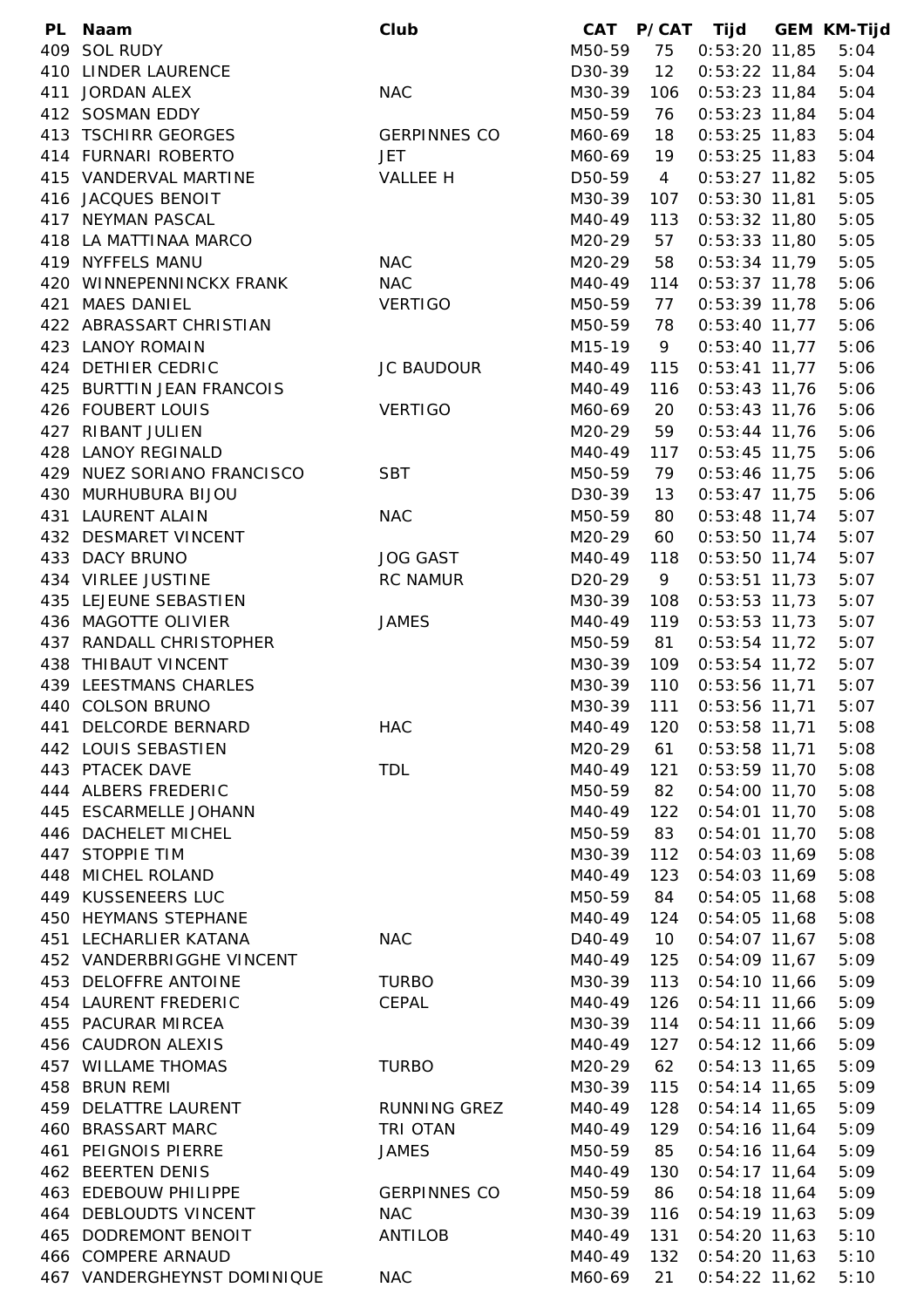|     | PL Naam                     | Club                | CAT                 |                | P/CAT Tijd                         | <b>GEM KM-Tijd</b> |
|-----|-----------------------------|---------------------|---------------------|----------------|------------------------------------|--------------------|
|     | 409 SOL RUDY                |                     | M50-59              | 75             | $0:53:20$ 11,85                    | 5:04               |
|     | 410 LINDER LAURENCE         |                     | D30-39              | 12             | $0:53:22$ 11,84                    | 5:04               |
|     | 411 JORDAN ALEX             | <b>NAC</b>          | M30-39              | 106            | $0:53:23$ 11,84                    | 5:04               |
|     | 412 SOSMAN EDDY             |                     | M50-59              | 76             | $0:53:23$ 11,84                    | 5:04               |
|     | 413 TSCHIRR GEORGES         | <b>GERPINNES CO</b> | M60-69              | 18             | $0:53:25$ 11,83                    | 5:04               |
|     | 414 FURNARI ROBERTO         | <b>JET</b>          | M60-69              | 19             | $0:53:25$ 11,83                    | 5:04               |
|     | 415 VANDERVAL MARTINE       | VALLEE H            | D50-59              | $\overline{4}$ | $0:53:27$ 11,82                    | 5:05               |
|     | 416 JACQUES BENOIT          |                     | M30-39              | 107            | $0:53:30$ 11,81                    | 5:05               |
|     | 417 NEYMAN PASCAL           |                     | M40-49              | 113            | $0:53:32$ 11,80                    | 5:05               |
|     | 418 LA MATTINAA MARCO       |                     | M20-29              | 57             | $0:53:33$ 11,80                    | 5:05               |
|     | 419 NYFFELS MANU            | <b>NAC</b>          | M20-29              | 58             | $0:53:34$ 11,79                    | 5:05               |
|     | 420 WINNEPENNINCKX FRANK    | <b>NAC</b>          | M40-49              | 114            | $0:53:37$ 11,78                    | 5:06               |
|     | 421 MAES DANIEL             | <b>VERTIGO</b>      | M50-59              | 77             | $0:53:39$ 11,78                    | 5:06               |
|     | 422 ABRASSART CHRISTIAN     |                     | M50-59              | 78             | $0:53:40$ 11,77                    | 5:06               |
|     | 423 LANOY ROMAIN            |                     | M15-19              | 9              | $0:53:40$ 11,77                    | 5:06               |
|     | 424 DETHIER CEDRIC          | <b>JC BAUDOUR</b>   | M40-49              | 115            | $0:53:41$ 11,77                    | 5:06               |
|     | 425 BURTTIN JEAN FRANCOIS   |                     | M40-49              | 116            | $0:53:43$ 11,76                    | 5:06               |
|     | 426 FOUBERT LOUIS           | <b>VERTIGO</b>      | M60-69              | 20             | $0:53:43$ 11,76                    | 5:06               |
|     | 427 RIBANT JULIEN           |                     | M20-29              | 59             | $0:53:44$ 11,76                    | 5:06               |
|     | 428 LANOY REGINALD          |                     | M40-49              | 117            | $0:53:45$ 11,75                    | 5:06               |
|     | 429 NUEZ SORIANO FRANCISCO  | <b>SBT</b>          | M50-59              | 79             | $0:53:46$ 11,75                    | 5:06               |
|     | 430 MURHUBURA BIJOU         |                     | D30-39              | 13             | $0:53:47$ 11,75                    | 5:06               |
| 431 | <b>LAURENT ALAIN</b>        | <b>NAC</b>          | M50-59              | 80             | $0:53:48$ 11,74                    | 5:07               |
|     | 432 DESMARET VINCENT        |                     | M20-29              | 60             | $0:53:50$ 11,74                    | 5:07               |
|     | 433 DACY BRUNO              | <b>JOG GAST</b>     | M40-49              | 118            | $0:53:50$ 11,74                    | 5:07               |
|     | 434 VIRLEE JUSTINE          | <b>RC NAMUR</b>     | D <sub>20</sub> -29 | 9              | $0:53:51$ 11,73                    | 5:07               |
|     | 435 LEJEUNE SEBASTIEN       |                     | M30-39              | 108            | $0:53:53$ 11,73                    | 5:07               |
|     | 436 MAGOTTE OLIVIER         | <b>JAMES</b>        | M40-49              | 119            | $0:53:53$ 11,73                    | 5:07               |
|     | 437 RANDALL CHRISTOPHER     |                     | M50-59              | 81             | $0:53:54$ 11,72                    | 5:07               |
|     | 438 THIBAUT VINCENT         |                     | M30-39              | 109            | $0:53:54$ 11,72                    | 5:07               |
|     | 439 LEESTMANS CHARLES       |                     | M30-39              | 110            | $0:53:56$ 11,71                    | 5:07               |
|     | 440 COLSON BRUNO            |                     | M30-39              | 111            | 0:53:56 11,71                      | 5:07               |
|     | 441 DELCORDE BERNARD        | <b>HAC</b>          | M40-49              | 120            | $0:53:58$ 11,71                    | 5:08               |
|     | 442 LOUIS SEBASTIEN         |                     | M20-29              | 61             | $0:53:58$ 11,71                    | 5:08               |
|     | 443 PTACEK DAVE             | <b>TDL</b>          | M40-49              | 121            | $0:53:59$ 11,70                    | 5:08               |
|     | 444 ALBERS FREDERIC         |                     | M50-59              | 82             | $0:54:00$ 11,70                    | 5:08               |
|     | 445 ESCARMELLE JOHANN       |                     | M40-49              | 122            | $0:54:01$ 11,70                    | 5:08               |
|     | 446 DACHELET MICHEL         |                     | M50-59              | 83             | $0:54:01$ 11,70                    | 5:08               |
|     | 447 STOPPIE TIM             |                     | M30-39              | 112            | $0:54:03$ 11,69                    | 5:08               |
|     | 448 MICHEL ROLAND           |                     | M40-49              | 123            | $0:54:03$ 11,69                    | 5:08               |
|     | 449 KUSSENEERS LUC          |                     | M50-59              | 84             | $0:54:05$ 11,68                    | 5:08               |
|     | 450 HEYMANS STEPHANE        |                     | M40-49              | 124            | $0:54:05$ 11,68                    | 5:08               |
|     | 451 LECHARLIER KATANA       | <b>NAC</b>          | D <sub>40</sub> -49 | 10             | $0:54:07$ 11,67                    | 5:08               |
|     | 452 VANDERBRIGGHE VINCENT   |                     | M40-49              | 125            | $0:54:09$ 11,67                    | 5:09               |
|     | 453 DELOFFRE ANTOINE        | <b>TURBO</b>        | M30-39              | 113            | $0:54:10$ 11,66                    | 5:09               |
|     | 454 LAURENT FREDERIC        | CEPAL               | M40-49              | 126            | $0:54:11$ 11,66                    | 5:09               |
|     | 455 PACURAR MIRCEA          |                     | M30-39              | 114            | $0:54:11$ 11,66                    | 5:09               |
|     | 456 CAUDRON ALEXIS          |                     | M40-49              | 127            | $0:54:12$ 11,66                    | 5:09               |
|     | 457 WILLAME THOMAS          | <b>TURBO</b>        | M20-29              | 62             | $0:54:13$ 11,65                    | 5:09               |
|     | 458 BRUN REMI               |                     | M30-39              | 115            | $0:54:14$ 11,65                    | 5:09               |
|     | 459 DELATTRE LAURENT        | <b>RUNNING GREZ</b> | M40-49              | 128            | $0:54:14$ 11,65                    | 5:09               |
|     | 460 BRASSART MARC           | TRI OTAN            | M40-49              | 129            | $0:54:16$ 11,64                    | 5:09               |
| 461 | PEIGNOIS PIERRE             | <b>JAMES</b>        | M50-59              | 85             | $0:54:16$ 11,64                    | 5:09               |
|     | 462 BEERTEN DENIS           |                     | M40-49              | 130            | $0:54:17$ 11,64                    | 5:09               |
|     | 463 EDEBOUW PHILIPPE        | <b>GERPINNES CO</b> | M50-59              | 86             | $0:54:18$ 11,64                    | 5:09               |
|     | 464 DEBLOUDTS VINCENT       | <b>NAC</b>          | M30-39              | 116            | $0:54:19$ 11,63                    | 5:09               |
|     | 465 DODREMONT BENOIT        | <b>ANTILOB</b>      | M40-49              | 131            |                                    |                    |
|     | 466 COMPERE ARNAUD          |                     | M40-49              | 132            | $0:54:20$ 11,63<br>$0:54:20$ 11,63 | 5:10<br>5:10       |
|     | 467 VANDERGHEYNST DOMINIQUE | <b>NAC</b>          | M60-69              | 21             | $0:54:22$ 11,62                    | 5:10               |
|     |                             |                     |                     |                |                                    |                    |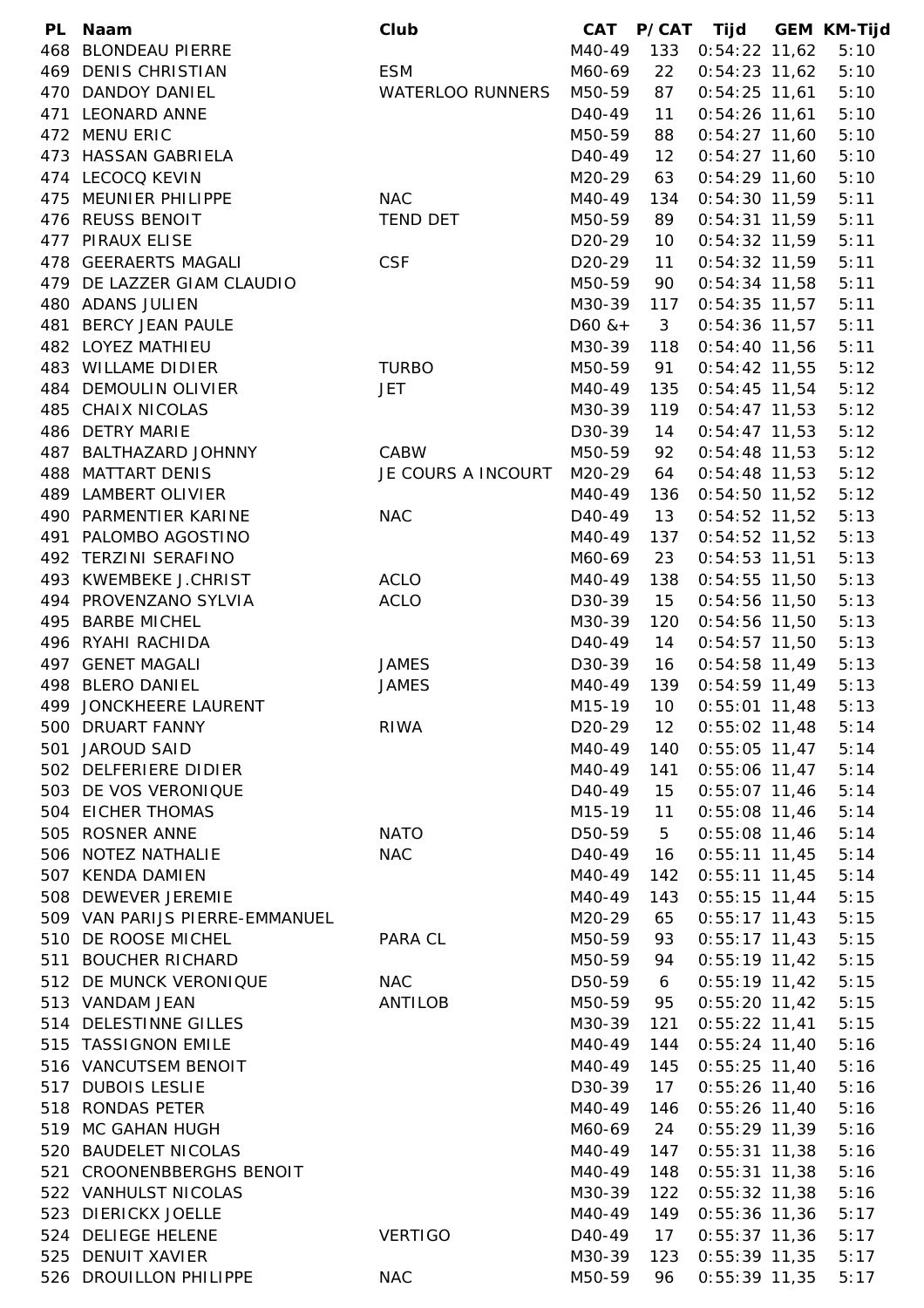| PL. | <b>Naam</b>                    | Club                    | <b>CAT</b>          |              | P/CAT Tijd      | <b>GEM KM-Tijd</b> |
|-----|--------------------------------|-------------------------|---------------------|--------------|-----------------|--------------------|
| 468 | <b>BLONDEAU PIERRE</b>         |                         | M40-49              | 133          | $0:54:22$ 11,62 | 5:10               |
|     | 469 DENIS CHRISTIAN            | <b>ESM</b>              | M60-69              | 22           | $0:54:23$ 11,62 | 5:10               |
|     | 470 DANDOY DANIEL              | <b>WATERLOO RUNNERS</b> | M50-59              | 87           | $0:54:25$ 11,61 | 5:10               |
|     | 471 LEONARD ANNE               |                         | D <sub>40</sub> -49 | 11           | $0:54:26$ 11,61 | 5:10               |
|     | 472 MENU ERIC                  |                         | M50-59              | 88           | $0:54:27$ 11,60 | 5:10               |
|     | 473 HASSAN GABRIELA            |                         | D <sub>40</sub> -49 | 12           | $0:54:27$ 11,60 | 5:10               |
|     | 474 LECOCQ KEVIN               |                         | M20-29              | 63           | $0:54:29$ 11,60 | 5:10               |
|     | 475 MEUNIER PHILIPPE           | <b>NAC</b>              | M40-49              | 134          | $0:54:30$ 11,59 | 5:11               |
|     | 476 REUSS BENOIT               | <b>TEND DET</b>         | M50-59              | 89           | $0:54:31$ 11,59 | 5:11               |
|     | 477 PIRAUX ELISE               |                         | D <sub>20</sub> -29 | 10           | $0:54:32$ 11,59 | 5:11               |
|     | 478 GEERAERTS MAGALI           | <b>CSF</b>              | D <sub>20</sub> -29 | 11           | $0:54:32$ 11,59 | 5:11               |
|     | 479 DE LAZZER GIAM CLAUDIO     |                         | M50-59              | 90           | $0:54:34$ 11,58 | 5:11               |
|     | 480 ADANS JULIEN               |                         | M30-39              | 117          | $0:54:35$ 11,57 | 5:11               |
|     | 481 BERCY JEAN PAULE           |                         | $D60$ & +           | $\mathbf{3}$ | $0:54:36$ 11,57 | 5:11               |
|     | 482 LOYEZ MATHIEU              |                         | M30-39              | 118          | $0:54:40$ 11,56 | 5:11               |
|     | 483 WILLAME DIDIER             | <b>TURBO</b>            | M50-59              | 91           | $0:54:42$ 11,55 | 5:12               |
|     | 484 DEMOULIN OLIVIER           | <b>JET</b>              | M40-49              | 135          | $0:54:45$ 11,54 | 5:12               |
|     | 485 CHAIX NICOLAS              |                         | M30-39              | 119          | $0:54:47$ 11,53 | 5:12               |
|     | 486 DETRY MARIE                |                         | D30-39              | 14           | $0:54:47$ 11,53 | 5:12               |
| 487 | <b>BALTHAZARD JOHNNY</b>       | CABW                    | M50-59              | 92           | $0:54:48$ 11,53 | 5:12               |
|     | 488 MATTART DENIS              | JE COURS A INCOURT      | M20-29              | 64           | $0:54:48$ 11,53 | 5:12               |
|     | 489 LAMBERT OLIVIER            |                         | M40-49              | 136          |                 | 5:12               |
|     |                                |                         |                     |              | $0:54:50$ 11,52 |                    |
|     | 490 PARMENTIER KARINE          | <b>NAC</b>              | D <sub>40</sub> -49 | 13           | $0:54:52$ 11,52 | 5:13               |
| 491 | PALOMBO AGOSTINO               |                         | M40-49              | 137          | $0:54:52$ 11,52 | 5:13               |
|     | 492 TERZINI SERAFINO           |                         | M60-69              | 23           | $0:54:53$ 11,51 | 5:13               |
|     | 493 KWEMBEKE J.CHRIST          | <b>ACLO</b>             | M40-49              | 138          | $0:54:55$ 11,50 | 5:13               |
|     | 494 PROVENZANO SYLVIA          | <b>ACLO</b>             | D30-39              | 15           | 0:54:56 11,50   | 5:13               |
| 495 | <b>BARBE MICHEL</b>            |                         | M30-39              | 120          | $0:54:56$ 11,50 | 5:13               |
|     | 496 RYAHI RACHIDA              |                         | D <sub>40</sub> -49 | 14           | $0:54:57$ 11,50 | 5:13               |
|     | 497 GENET MAGALI               | <b>JAMES</b>            | D30-39              | 16           | $0:54:58$ 11,49 | 5:13               |
| 498 | <b>BLERO DANIEL</b>            | <b>JAMES</b>            | M40-49              | 139          | $0:54:59$ 11,49 | 5:13               |
|     | 499 JONCKHEERE LAURENT         |                         | M15-19              | 10           | $0:55:01$ 11,48 | 5:13               |
|     | 500 DRUART FANNY               | <b>RIWA</b>             | D <sub>20</sub> -29 | 12           | $0:55:02$ 11,48 | 5:14               |
| 501 | JAROUD SAID                    |                         | M40-49              | 140          | $0:55:05$ 11,47 | 5:14               |
|     | 502 DELFERIERE DIDIER          |                         | M40-49              | 141          | $0:55:06$ 11,47 | 5:14               |
|     | 503 DE VOS VERONIQUE           |                         | D <sub>40</sub> -49 | 15           | $0:55:07$ 11,46 | 5:14               |
|     | 504 EICHER THOMAS              |                         | M15-19              | 11           | $0:55:08$ 11,46 | 5:14               |
| 505 | <b>ROSNER ANNE</b>             | <b>NATO</b>             | D50-59              | 5            | $0:55:08$ 11,46 | 5:14               |
|     | 506 NOTEZ NATHALIE             | <b>NAC</b>              | D <sub>40</sub> -49 | 16           | $0:55:11$ 11,45 | 5:14               |
|     | 507 KENDA DAMIEN               |                         | M40-49              | 142          | $0:55:11$ 11,45 | 5:14               |
|     | 508 DEWEVER JEREMIE            |                         | M40-49              | 143          | $0:55:15$ 11,44 | 5:15               |
|     | 509 VAN PARIJS PIERRE-EMMANUEL |                         | M20-29              | 65           | $0:55:17$ 11,43 | 5:15               |
|     | 510 DE ROOSE MICHEL            | PARA CL                 | M50-59              | 93           | $0:55:17$ 11,43 | 5:15               |
| 511 | <b>BOUCHER RICHARD</b>         |                         | M50-59              | 94           | $0:55:19$ 11,42 | 5:15               |
|     | 512 DE MUNCK VERONIQUE         | <b>NAC</b>              | D50-59              | 6            | $0:55:19$ 11,42 | 5:15               |
|     | 513 VANDAM JEAN                | ANTILOB                 | M50-59              | 95           | $0:55:20$ 11,42 | 5:15               |
|     | 514 DELESTINNE GILLES          |                         | M30-39              | 121          | $0:55:22$ 11,41 | 5:15               |
|     | 515 TASSIGNON EMILE            |                         | M40-49              | 144          | $0:55:24$ 11,40 | 5:16               |
|     | 516 VANCUTSEM BENOIT           |                         | M40-49              | 145          | $0:55:25$ 11,40 | 5:16               |
|     | 517 DUBOIS LESLIE              |                         | D30-39              | 17           | $0:55:26$ 11,40 | 5:16               |
|     | 518 RONDAS PETER               |                         | M40-49              | 146          | $0:55:26$ 11,40 | 5:16               |
|     | 519 MC GAHAN HUGH              |                         | M60-69              | 24           | $0:55:29$ 11,39 | 5:16               |
| 520 | <b>BAUDELET NICOLAS</b>        |                         | M40-49              | 147          | $0:55:31$ 11,38 | 5:16               |
|     | 521 CROONENBBERGHS BENOIT      |                         | M40-49              | 148          | $0:55:31$ 11,38 | 5:16               |
|     | 522 VANHULST NICOLAS           |                         | M30-39              | 122          | $0:55:32$ 11,38 | 5:16               |
|     | 523 DIERICKX JOELLE            |                         | M40-49              | 149          | $0:55:36$ 11,36 | 5:17               |
|     | 524 DELIEGE HELENE             | <b>VERTIGO</b>          | D <sub>40</sub> -49 | 17           | $0:55:37$ 11,36 | 5:17               |
|     | 525 DENUIT XAVIER              |                         | M30-39              | 123          | $0:55:39$ 11,35 | 5:17               |
|     | 526 DROUILLON PHILIPPE         | <b>NAC</b>              | M50-59              | 96           | $0:55:39$ 11,35 | 5:17               |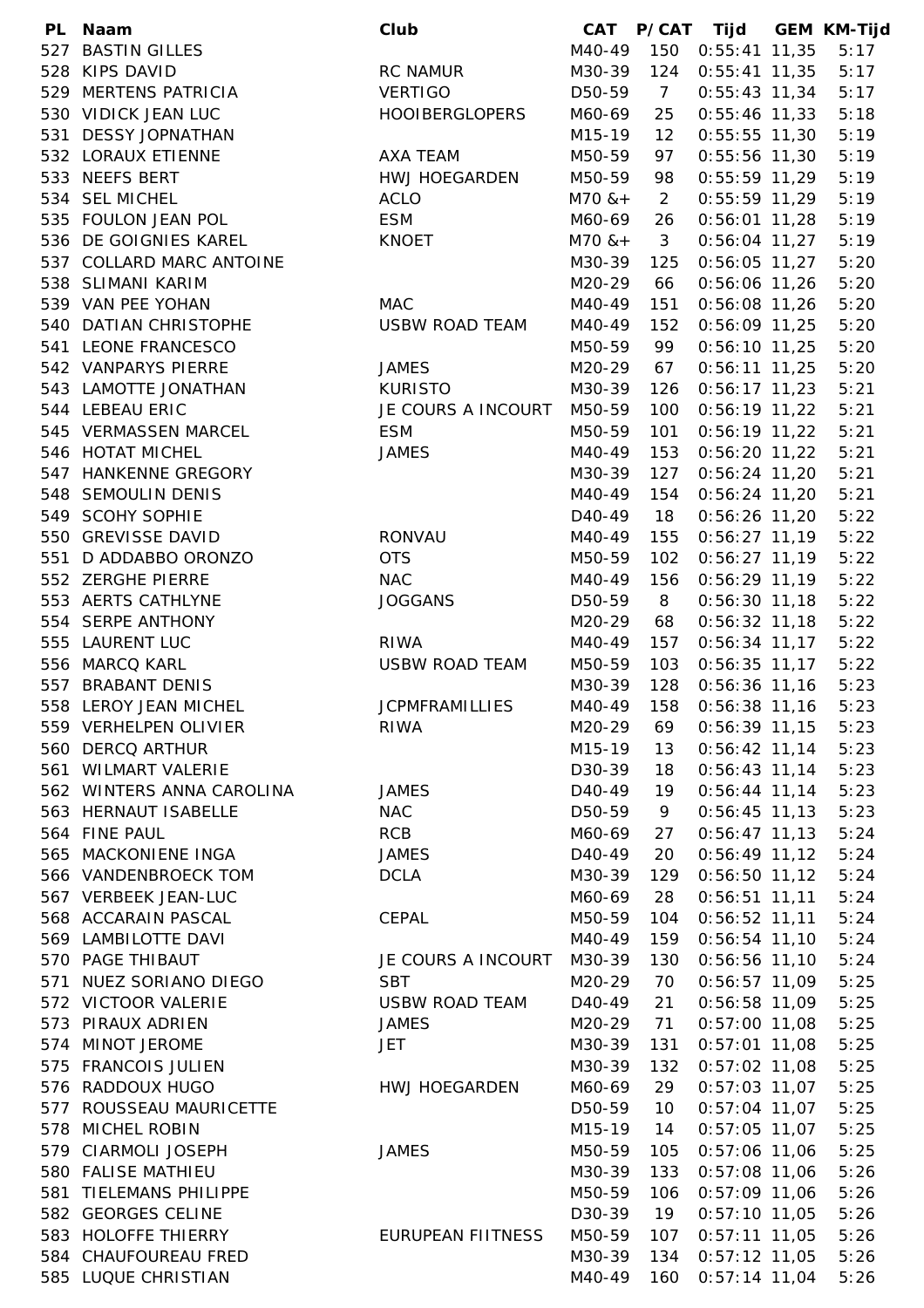| <b>PL</b> | Naam                      | Club                     |                     |                | CAT P/CAT Tijd GEM KM-Tijd |      |
|-----------|---------------------------|--------------------------|---------------------|----------------|----------------------------|------|
| 527       | <b>BASTIN GILLES</b>      |                          | M40-49              | 150            | $0:55:41$ 11,35            | 5:17 |
|           | 528 KIPS DAVID            | <b>RC NAMUR</b>          | M30-39              | 124            | $0:55:41$ 11,35            | 5:17 |
|           | 529 MERTENS PATRICIA      | <b>VERTIGO</b>           | D50-59              | $\overline{7}$ | $0:55:43$ 11,34            | 5:17 |
|           | 530 VIDICK JEAN LUC       | <b>HOOIBERGLOPERS</b>    | M60-69              | 25             | $0:55:46$ 11,33            | 5:18 |
|           | 531 DESSY JOPNATHAN       |                          | M15-19              | 12             | $0:55:55$ 11,30            | 5:19 |
|           | 532 LORAUX ETIENNE        | AXA TEAM                 | M50-59              | 97             | $0:55:56$ 11,30            | 5:19 |
|           | 533 NEEFS BERT            | HWJ HOEGARDEN            | M50-59              | 98             | $0:55:59$ 11,29            | 5:19 |
|           | 534 SEL MICHEL            | <b>ACLO</b>              | $M70$ & +           | $\overline{2}$ | $0:55:59$ 11,29            | 5:19 |
|           | 535 FOULON JEAN POL       | <b>ESM</b>               | M60-69              | 26             | $0:56:01$ 11,28            | 5:19 |
|           | 536 DE GOIGNIES KAREL     | <b>KNOET</b>             | $M70$ & +           | $\mathbf{3}$   | $0:56:04$ 11,27            | 5:19 |
|           | 537 COLLARD MARC ANTOINE  |                          | M30-39              | 125            | $0:56:05$ 11,27            | 5:20 |
|           | 538 SLIMANI KARIM         |                          | M20-29              | 66             | $0:56:06$ 11,26            | 5:20 |
|           | 539 VAN PEE YOHAN         | <b>MAC</b>               | M40-49              | 151            | $0:56:08$ 11,26            | 5:20 |
|           | 540 DATIAN CHRISTOPHE     | <b>USBW ROAD TEAM</b>    | M40-49              | 152            | $0:56:09$ 11,25            | 5:20 |
|           | 541 LEONE FRANCESCO       |                          | M50-59              | 99             | $0:56:10$ 11,25            | 5:20 |
|           | 542 VANPARYS PIERRE       | <b>JAMES</b>             | M20-29              | 67             | $0:56:11$ 11,25            | 5:20 |
|           | 543 LAMOTTE JONATHAN      | <b>KURISTO</b>           | M30-39              | 126            | $0:56:17$ 11,23            | 5:21 |
|           | 544 LEBEAU ERIC           | JE COURS A INCOURT       | M50-59              | 100            | $0:56:19$ 11,22            | 5:21 |
|           | 545 VERMASSEN MARCEL      | <b>ESM</b>               | M50-59              | 101            | $0:56:19$ 11,22            | 5:21 |
|           | 546 HOTAT MICHEL          | <b>JAMES</b>             | M40-49              | 153            | $0:56:20$ 11,22            | 5:21 |
|           | 547 HANKENNE GREGORY      |                          | M30-39              | 127            | $0:56:24$ 11,20            | 5:21 |
|           | 548 SEMOULIN DENIS        |                          | M40-49              | 154            | $0:56:24$ 11,20            | 5:21 |
|           | 549 SCOHY SOPHIE          |                          | D <sub>40</sub> -49 | 18             | $0:56:26$ 11,20            | 5:22 |
|           | 550 GREVISSE DAVID        | <b>RONVAU</b>            | M40-49              | 155            |                            | 5:22 |
|           | 551 D ADDABBO ORONZO      | <b>OTS</b>               |                     | 102            | $0:56:27$ 11,19            | 5:22 |
|           |                           |                          | M50-59              |                | $0:56:27$ 11,19            |      |
|           | 552 ZERGHE PIERRE         | <b>NAC</b>               | M40-49              | 156            | $0:56:29$ 11,19            | 5:22 |
|           | 553 AERTS CATHLYNE        | <b>JOGGANS</b>           | D50-59              | 8              | $0:56:30$ 11,18            | 5:22 |
|           | 554 SERPE ANTHONY         |                          | M20-29              | 68             | $0:56:32$ 11,18            | 5:22 |
|           | 555 LAURENT LUC           | <b>RIWA</b>              | M40-49              | 157            | $0:56:34$ 11,17            | 5:22 |
|           | 556 MARCQ KARL            | <b>USBW ROAD TEAM</b>    | M50-59              | 103            | $0:56:35$ 11,17            | 5:22 |
|           | 557 BRABANT DENIS         |                          | M30-39              | 128            | $0:56:36$ 11,16            | 5:23 |
|           | 558 LEROY JEAN MICHEL     | <b>JCPMFRAMILLIES</b>    | M40-49              | 158            | $0:56:38$ 11,16            | 5:23 |
|           | 559 VERHELPEN OLIVIER     | <b>RIWA</b>              | M20-29              | 69             | $0:56:39$ 11,15            | 5:23 |
|           | 560 DERCQ ARTHUR          |                          | M15-19              | 13             | $0:56:42$ 11,14            | 5:23 |
|           | 561 WILMART VALERIE       |                          | D30-39              | 18             | $0:56:43$ 11,14            | 5:23 |
|           | 562 WINTERS ANNA CAROLINA | <b>JAMES</b>             | D <sub>40</sub> -49 | 19             | $0:56:44$ 11,14            | 5:23 |
|           | 563 HERNAUT ISABELLE      | <b>NAC</b>               | D50-59              | 9              | $0:56:45$ 11,13            | 5:23 |
|           | 564 FINE PAUL             | <b>RCB</b>               | M60-69              | 27             | $0:56:47$ 11,13            | 5:24 |
|           | 565 MACKONIENE INGA       | <b>JAMES</b>             | D <sub>40</sub> -49 | 20             | $0:56:49$ 11,12            | 5:24 |
|           | 566 VANDENBROECK TOM      | <b>DCLA</b>              | M30-39              | 129            | $0:56:50$ 11,12            | 5:24 |
|           | 567 VERBEEK JEAN-LUC      |                          | M60-69              | 28             | $0:56:51$ 11,11            | 5:24 |
|           | 568 ACCARAIN PASCAL       | CEPAL                    | M50-59              | 104            | $0:56:52$ 11,11            | 5:24 |
|           | 569 LAMBILOTTE DAVI       |                          | M40-49              | 159            | $0:56:54$ 11,10            | 5:24 |
|           | 570 PAGE THIBAUT          | JE COURS A INCOURT       | M30-39              | 130            | $0:56:56$ 11,10            | 5:24 |
|           | 571 NUEZ SORIANO DIEGO    | <b>SBT</b>               | M20-29              | 70             | $0:56:57$ 11,09            | 5:25 |
|           | 572 VICTOOR VALERIE       | <b>USBW ROAD TEAM</b>    | D <sub>40</sub> -49 | 21             | $0:56:58$ 11,09            | 5:25 |
|           | 573 PIRAUX ADRIEN         | <b>JAMES</b>             | M20-29              | 71             | $0:57:00$ 11,08            | 5:25 |
|           | 574 MINOT JEROME          | <b>JET</b>               | M30-39              | 131            | $0:57:01$ 11,08            | 5:25 |
|           | 575 FRANCOIS JULIEN       |                          | M30-39              | 132            | $0:57:02$ 11,08            | 5:25 |
|           | 576 RADDOUX HUGO          | HWJ HOEGARDEN            | M60-69              | 29             | $0:57:03$ 11,07            | 5:25 |
|           | 577 ROUSSEAU MAURICETTE   |                          | D50-59              | 10             | $0:57:04$ 11,07            | 5:25 |
| 578       | MICHEL ROBIN              |                          | M15-19              | 14             | $0:57:05$ 11,07            | 5:25 |
|           | 579 CIARMOLI JOSEPH       | <b>JAMES</b>             | M50-59              | 105            | $0:57:06$ 11,06            | 5:25 |
|           | 580 FALISE MATHIEU        |                          | M30-39              | 133            | $0:57:08$ 11,06            | 5:26 |
| 581       | TIELEMANS PHILIPPE        |                          | M50-59              | 106            | $0:57:09$ 11,06            | 5:26 |
|           | 582 GEORGES CELINE        |                          | D30-39              | 19             | $0:57:10$ 11,05            | 5:26 |
|           | 583 HOLOFFE THIERRY       | <b>EURUPEAN FIITNESS</b> | M50-59              | 107            | $0:57:11$ 11,05            | 5:26 |
|           | 584 CHAUFOUREAU FRED      |                          | M30-39              | 134            | $0:57:12$ 11,05            | 5:26 |
|           | 585 LUQUE CHRISTIAN       |                          | M40-49              | 160            | $0:57:14$ 11,04            | 5:26 |
|           |                           |                          |                     |                |                            |      |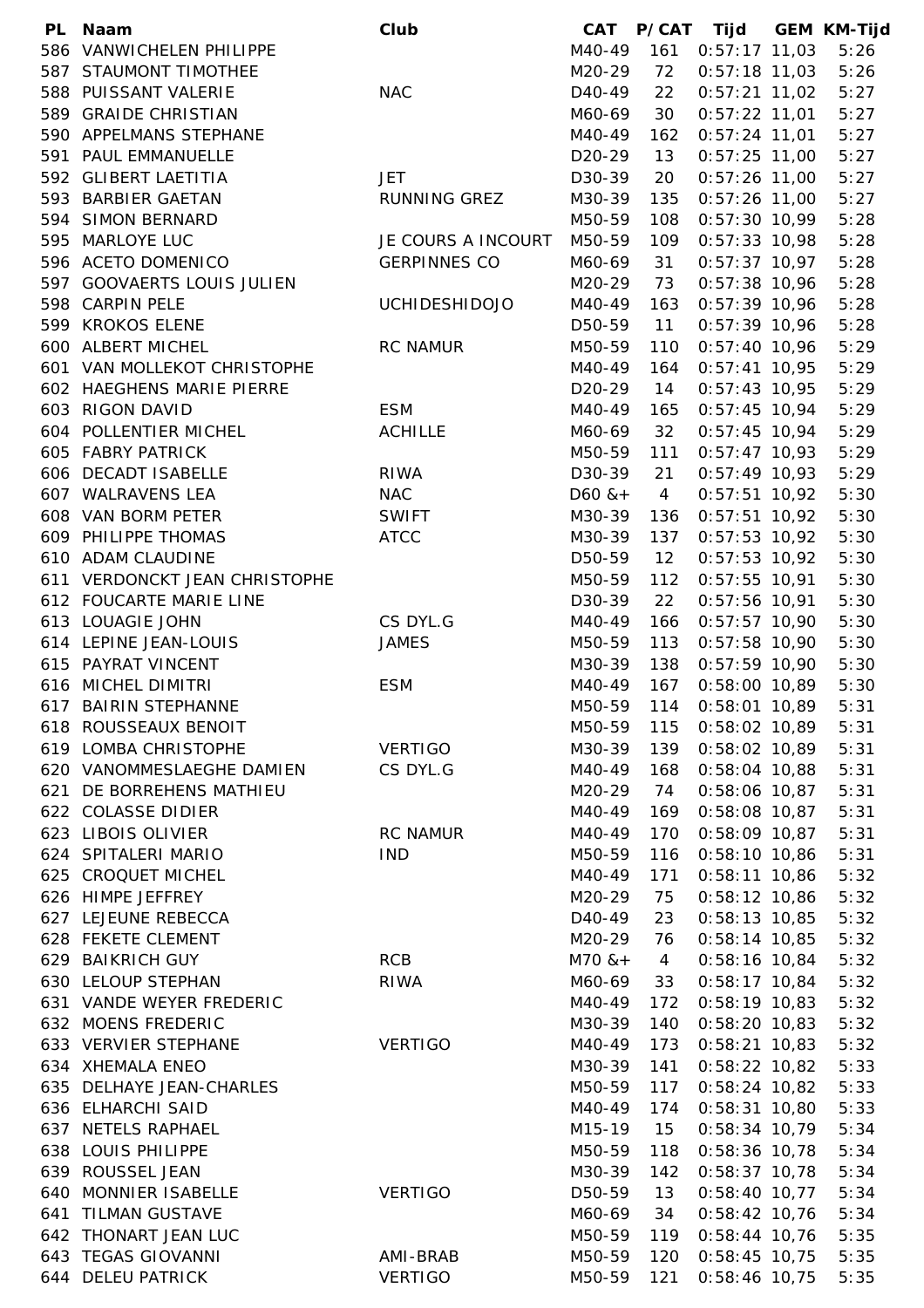|     | PL Naam                       | Club                 | CAT                 |                | P/CAT Tijd GEM KM-Tijd |      |
|-----|-------------------------------|----------------------|---------------------|----------------|------------------------|------|
|     | 586 VANWICHELEN PHILIPPE      |                      | M40-49              | 161            | $0:57:17$ 11,03        | 5:26 |
|     | 587 STAUMONT TIMOTHEE         |                      | M20-29              | 72             | $0:57:18$ 11,03        | 5:26 |
|     | 588 PUISSANT VALERIE          | <b>NAC</b>           | D <sub>40</sub> -49 | 22             | $0:57:21$ 11,02        | 5:27 |
|     | 589 GRAIDE CHRISTIAN          |                      | M60-69              | 30             | $0:57:22$ 11,01        | 5:27 |
|     | 590 APPELMANS STEPHANE        |                      | M40-49              | 162            | $0:57:24$ 11,01        | 5:27 |
|     | 591 PAUL EMMANUELLE           |                      | D <sub>20</sub> -29 | 13             | $0:57:25$ 11,00        | 5:27 |
|     | 592 GLIBERT LAETITIA          | <b>JET</b>           | D30-39              | 20             | $0:57:26$ 11,00        | 5:27 |
|     | 593 BARBIER GAETAN            | RUNNING GREZ         | M30-39              | 135            | $0:57:26$ 11,00        | 5:27 |
|     | 594 SIMON BERNARD             |                      | M50-59              | 108            | $0:57:30$ 10,99        | 5:28 |
|     | 595 MARLOYE LUC               | JE COURS A INCOURT   | M50-59              | 109            | $0:57:33$ 10,98        | 5:28 |
|     | 596 ACETO DOMENICO            | <b>GERPINNES CO</b>  | M60-69              | 31             | $0:57:37$ 10,97        | 5:28 |
|     | 597 GOOVAERTS LOUIS JULIEN    |                      | M20-29              | 73             | $0:57:38$ 10,96        | 5:28 |
|     | 598 CARPIN PELE               | <b>UCHIDESHIDOJO</b> | M40-49              | 163            | $0:57:39$ 10,96        | 5:28 |
|     | 599 KROKOS ELENE              |                      | D50-59              | 11             | $0:57:39$ 10,96        | 5:28 |
|     | 600 ALBERT MICHEL             | <b>RC NAMUR</b>      | M50-59              | 110            | $0:57:40$ 10,96        | 5:29 |
|     | 601 VAN MOLLEKOT CHRISTOPHE   |                      | M40-49              | 164            | $0:57:41$ 10,95        | 5:29 |
|     | 602 HAEGHENS MARIE PIERRE     |                      | D <sub>20</sub> -29 | 14             | $0:57:43$ 10,95        | 5:29 |
|     | 603 RIGON DAVID               | <b>ESM</b>           | M40-49              | 165            | $0:57:45$ 10,94        | 5:29 |
|     | 604 POLLENTIER MICHEL         | <b>ACHILLE</b>       | M60-69              | 32             | $0:57:45$ 10,94        | 5:29 |
|     | 605 FABRY PATRICK             |                      | M50-59              | 111            | $0:57:47$ 10,93        | 5:29 |
|     | 606 DECADT ISABELLE           | <b>RIWA</b>          | D30-39              | 21             | $0:57:49$ 10,93        | 5:29 |
|     | 607 WALRAVENS LEA             | <b>NAC</b>           | $D60$ & +           | $\overline{4}$ | $0:57:51$ 10,92        | 5:30 |
|     | 608 VAN BORM PETER            | <b>SWIFT</b>         | M30-39              | 136            | $0:57:51$ 10,92        | 5:30 |
|     | 609 PHILIPPE THOMAS           | <b>ATCC</b>          | M30-39              | 137            | $0:57:53$ 10,92        | 5:30 |
|     | 610 ADAM CLAUDINE             |                      | D50-59              | 12             | $0:57:53$ 10,92        | 5:30 |
|     | 611 VERDONCKT JEAN CHRISTOPHE |                      |                     |                | $0:57:55$ 10,91        | 5:30 |
|     |                               |                      | M50-59              | 112            |                        |      |
|     | 612 FOUCARTE MARIE LINE       |                      | D30-39              | 22             | $0:57:56$ 10,91        | 5:30 |
|     | 613 LOUAGIE JOHN              | CS DYL.G             | M40-49              | 166            | $0:57:57$ 10,90        | 5:30 |
|     | 614 LEPINE JEAN-LOUIS         | <b>JAMES</b>         | M50-59              | 113            | $0:57:58$ 10,90        | 5:30 |
|     | 615 PAYRAT VINCENT            |                      | M30-39              | 138            | $0:57:59$ 10,90        | 5:30 |
|     | 616 MICHEL DIMITRI            | <b>ESM</b>           | M40-49              | 167            | $0:58:00$ 10,89        | 5:30 |
|     | 617 BAIRIN STEPHANNE          |                      | M50-59              | 114            | $0:58:01$ 10,89        | 5:31 |
|     | 618 ROUSSEAUX BENOIT          |                      | M50-59              | 115            | $0:58:02$ 10,89        | 5:31 |
|     | 619 LOMBA CHRISTOPHE          | <b>VERTIGO</b>       | M30-39              | 139            | $0:58:02$ 10,89        | 5:31 |
|     | 620 VANOMMESLAEGHE DAMIEN     | CS DYL.G             | M40-49              | 168            | $0:58:04$ 10,88        | 5:31 |
|     | 621 DE BORREHENS MATHIEU      |                      | M20-29              | 74             | $0:58:06$ 10,87        | 5:31 |
|     | 622 COLASSE DIDIER            |                      | M40-49              | 169            | $0:58:08$ 10,87        | 5:31 |
|     | 623 LIBOIS OLIVIER            | <b>RC NAMUR</b>      | M40-49              | 170            | $0:58:09$ 10,87        | 5:31 |
|     | 624 SPITALERI MARIO           | <b>IND</b>           | M50-59              | 116            | $0:58:10$ 10,86        | 5:31 |
|     | 625 CROQUET MICHEL            |                      | M40-49              | 171            | $0:58:11$ 10,86        | 5:32 |
|     | 626 HIMPE JEFFREY             |                      | M20-29              | 75             | $0:58:12$ 10,86        | 5:32 |
|     | 627 LEJEUNE REBECCA           |                      | D40-49              | 23             | $0:58:13$ 10,85        | 5:32 |
|     | 628 FEKETE CLEMENT            |                      | M20-29              | 76             | $0:58:14$ 10,85        | 5:32 |
|     | 629 BAIKRICH GUY              | <b>RCB</b>           | $M70$ & +           | $\overline{4}$ | $0:58:16$ 10,84        | 5:32 |
|     | 630 LELOUP STEPHAN            | <b>RIWA</b>          | M60-69              | 33             | $0:58:17$ 10,84        | 5:32 |
|     | 631 VANDE WEYER FREDERIC      |                      | M40-49              | 172            | $0:58:19$ 10,83        | 5:32 |
|     | 632 MOENS FREDERIC            |                      | M30-39              | 140            | $0:58:20$ 10,83        | 5:32 |
|     | 633 VERVIER STEPHANE          | <b>VERTIGO</b>       | M40-49              | 173            | $0:58:21$ 10,83        | 5:32 |
|     | 634 XHEMALA ENEO              |                      | M30-39              | 141            | $0:58:22$ 10,82        | 5:33 |
|     | 635 DELHAYE JEAN-CHARLES      |                      | M50-59              | 117            | $0:58:24$ 10,82        | 5:33 |
|     | 636 ELHARCHI SAID             |                      | M40-49              | 174            | $0:58:31$ 10,80        | 5:33 |
|     | 637 NETELS RAPHAEL            |                      | M15-19              | 15             | $0:58:34$ 10,79        | 5:34 |
|     | 638 LOUIS PHILIPPE            |                      | M50-59              | 118            | $0:58:36$ 10,78        | 5:34 |
|     | 639 ROUSSEL JEAN              |                      | M30-39              | 142            | $0:58:37$ 10,78        | 5:34 |
|     | 640 MONNIER ISABELLE          | <b>VERTIGO</b>       | D50-59              | 13             | $0:58:40$ 10,77        | 5:34 |
| 641 | <b>TILMAN GUSTAVE</b>         |                      | M60-69              | 34             | $0:58:42$ 10,76        | 5:34 |
|     | 642 THONART JEAN LUC          |                      | M50-59              | 119            | $0:58:44$ 10,76        | 5:35 |
|     | 643 TEGAS GIOVANNI            | AMI-BRAB             | M50-59              | 120            | $0:58:45$ 10,75        | 5:35 |
|     | 644 DELEU PATRICK             | <b>VERTIGO</b>       | M50-59              | 121            | $0:58:46$ 10,75        | 5:35 |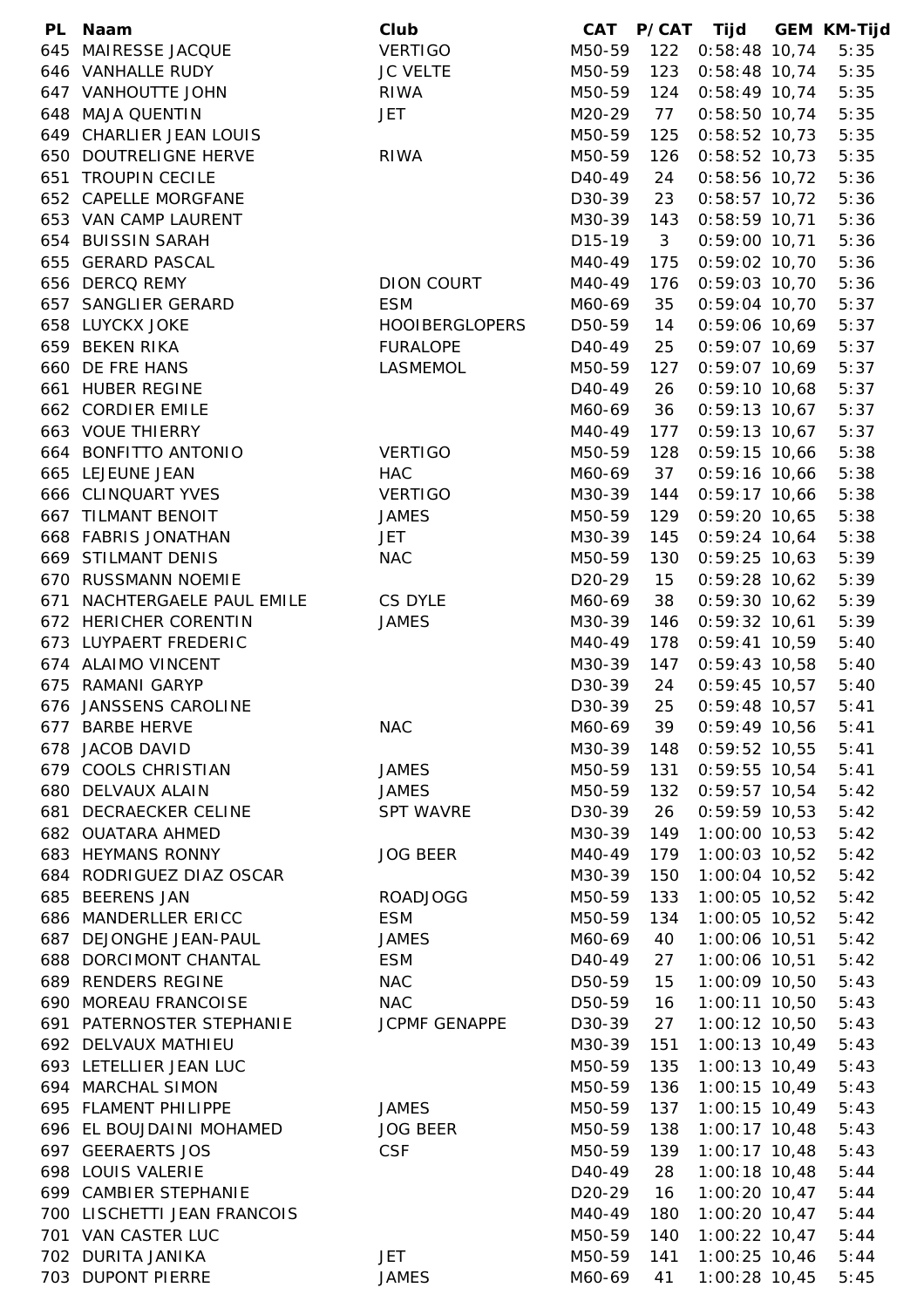|     | PL Naam                     | Club                  | <b>CAT</b>          |     | P/CAT Tijd        | <b>GEM KM-Tijd</b> |
|-----|-----------------------------|-----------------------|---------------------|-----|-------------------|--------------------|
|     | 645 MAIRESSE JACQUE         | <b>VERTIGO</b>        | M50-59              | 122 | $0:58:48$ 10,74   | 5:35               |
|     | 646 VANHALLE RUDY           | <b>JC VELTE</b>       | M50-59              | 123 | $0:58:48$ 10,74   | 5:35               |
|     | 647 VANHOUTTE JOHN          | <b>RIWA</b>           | M50-59              | 124 | $0:58:49$ 10,74   | 5:35               |
|     | 648 MAJA QUENTIN            | <b>JET</b>            | M20-29              | 77  | $0:58:50$ 10,74   | 5:35               |
|     | 649 CHARLIER JEAN LOUIS     |                       | M50-59              | 125 | $0:58:52$ 10,73   | 5:35               |
|     | 650 DOUTRELIGNE HERVE       | <b>RIWA</b>           | M50-59              | 126 | $0:58:52$ 10,73   | 5:35               |
|     | 651 TROUPIN CECILE          |                       | D40-49              | 24  | 0:58:56 10,72     | 5:36               |
|     | 652 CAPELLE MORGFANE        |                       | D30-39              | 23  | $0:58:57$ 10,72   | 5:36               |
|     | 653 VAN CAMP LAURENT        |                       | M30-39              | 143 | $0:58:59$ 10,71   | 5:36               |
|     | 654 BUISSIN SARAH           |                       | D <sub>15</sub> -19 | 3   | $0:59:00$ 10,71   | 5:36               |
|     | 655 GERARD PASCAL           |                       | M40-49              | 175 | $0:59:02$ 10,70   | 5:36               |
|     | 656 DERCQ REMY              | DION COURT            | M40-49              | 176 | $0:59:03$ 10,70   | 5:36               |
|     | 657 SANGLIER GERARD         | <b>ESM</b>            | M60-69              | 35  | $0:59:04$ 10,70   | 5:37               |
|     | <b>658 LUYCKX JOKE</b>      | <b>HOOIBERGLOPERS</b> | D50-59              | 14  | $0:59:06$ 10,69   | 5:37               |
|     | 659 BEKEN RIKA              | <b>FURALOPE</b>       | D40-49              | 25  | $0:59:07$ 10,69   | 5:37               |
|     | 660 DE FRE HANS             | LASMEMOL              | M50-59              | 127 | $0:59:07$ 10,69   | 5:37               |
|     | 661 HUBER REGINE            |                       | D <sub>40</sub> -49 | 26  | $0:59:10$ 10,68   | 5:37               |
|     | 662 CORDIER EMILE           |                       | M60-69              | 36  | $0:59:13$ 10,67   | 5:37               |
|     | 663 VOUE THIERRY            |                       | M40-49              | 177 | $0:59:13$ 10,67   | 5:37               |
|     | 664 BONFITTO ANTONIO        | <b>VERTIGO</b>        | M50-59              | 128 | $0:59:15$ 10,66   | 5:38               |
|     | 665 LEJEUNE JEAN            | <b>HAC</b>            |                     | 37  |                   | 5:38               |
|     | 666 CLINQUART YVES          | <b>VERTIGO</b>        | M60-69              |     | $0:59:16$ 10,66   |                    |
|     |                             |                       | M30-39              | 144 | $0:59:17$ 10,66   | 5:38               |
|     | 667 TILMANT BENOIT          | <b>JAMES</b>          | M50-59              | 129 | $0:59:20$ 10,65   | 5:38               |
|     | 668 FABRIS JONATHAN         | <b>JET</b>            | M30-39              | 145 | $0:59:24$ 10,64   | 5:38               |
|     | 669 STILMANT DENIS          | <b>NAC</b>            | M50-59              | 130 | $0:59:25$ 10,63   | 5:39               |
|     | 670 RUSSMANN NOEMIE         |                       | D <sub>20</sub> -29 | 15  | $0:59:28$ 10,62   | 5:39               |
| 671 | NACHTERGAELE PAUL EMILE     | CS DYLE               | M60-69              | 38  | $0:59:30$ 10,62   | 5:39               |
|     | 672 HERICHER CORENTIN       | <b>JAMES</b>          | M30-39              | 146 | $0:59:32$ 10,61   | 5:39               |
|     | 673 LUYPAERT FREDERIC       |                       | M40-49              | 178 | $0:59:41$ 10,59   | 5:40               |
|     | 674 ALAIMO VINCENT          |                       | M30-39              | 147 | $0:59:43$ 10,58   | 5:40               |
|     | 675 RAMANI GARYP            |                       | D30-39              | 24  | $0:59:45$ 10,57   | 5:40               |
|     | 676 JANSSENS CAROLINE       |                       | D30-39              | 25  | $0:59:48$ 10,57   | 5:41               |
|     | 677 BARBE HERVE             | <b>NAC</b>            | M60-69              | 39  | $0:59:49$ 10,56   | 5:41               |
|     | 678 JACOB DAVID             |                       | M30-39              | 148 | $0:59:52$ 10,55   | 5:41               |
|     | 679 COOLS CHRISTIAN         | <b>JAMES</b>          | M50-59              | 131 | $0:59:55$ 10,54   | 5:41               |
|     | 680 DELVAUX ALAIN           | <b>JAMES</b>          | M50-59              | 132 | $0:59:57$ 10,54   | 5:42               |
|     | 681 DECRAECKER CELINE       | <b>SPT WAVRE</b>      | D30-39              | 26  | $0:59:59$ 10,53   | 5:42               |
|     | 682 OUATARA AHMED           |                       | M30-39              | 149 | $1:00:00$ 10,53   | 5:42               |
|     | 683 HEYMANS RONNY           | <b>JOG BEER</b>       | M40-49              | 179 | $1:00:03$ 10,52   | 5:42               |
|     | 684 RODRIGUEZ DIAZ OSCAR    |                       | M30-39              | 150 | 1:00:04 10,52     | 5:42               |
|     | 685 BEERENS JAN             | <b>ROADJOGG</b>       | M50-59              | 133 | $1:00:05$ 10,52   | 5:42               |
|     | 686 MANDERLLER ERICC        | <b>ESM</b>            | M50-59              | 134 | 1:00:05 10,52     | 5:42               |
|     | 687 DEJONGHE JEAN-PAUL      | JAMES                 | M60-69              | 40  | 1:00:06 10,51     | 5:42               |
|     | 688 DORCIMONT CHANTAL       | <b>ESM</b>            | D <sub>40</sub> -49 | 27  | 1:00:06 10,51     | 5:42               |
|     | 689 RENDERS REGINE          | <b>NAC</b>            | D50-59              | 15  | 1:00:09 10,50     | 5:43               |
|     | 690 MOREAU FRANCOISE        | <b>NAC</b>            | D50-59              | 16  | $1:00:11$ $10,50$ | 5:43               |
|     | 691 PATERNOSTER STEPHANIE   | JCPMF GENAPPE         | D30-39              | 27  | 1:00:12 10,50     | 5:43               |
|     | 692 DELVAUX MATHIEU         |                       | M30-39              | 151 | $1:00:13$ 10,49   | 5:43               |
|     | 693 LETELLIER JEAN LUC      |                       | M50-59              | 135 | $1:00:13$ 10,49   | 5:43               |
|     | 694 MARCHAL SIMON           |                       | M50-59              | 136 | $1:00:15$ 10,49   | 5:43               |
|     | 695 FLAMENT PHILIPPE        | <b>JAMES</b>          | M50-59              | 137 | $1:00:15$ 10,49   | 5:43               |
|     | 696 EL BOUJDAINI MOHAMED    | <b>JOG BEER</b>       | M50-59              | 138 | $1:00:17$ 10,48   | 5:43               |
|     | 697 GEERAERTS JOS           | <b>CSF</b>            | M50-59              | 139 | $1:00:17$ 10,48   | 5:43               |
|     | 698 LOUIS VALERIE           |                       | D <sub>40</sub> -49 | 28  | $1:00:18$ 10,48   | 5:44               |
|     | 699 CAMBIER STEPHANIE       |                       | D <sub>20</sub> -29 | 16  | $1:00:20$ 10,47   | 5:44               |
|     | 700 LISCHETTI JEAN FRANCOIS |                       | M40-49              | 180 | $1:00:20$ 10,47   | 5:44               |
|     | 701 VAN CASTER LUC          |                       | M50-59              | 140 | $1:00:22$ 10,47   | 5:44               |
|     | 702 DURITA JANIKA           | <b>JET</b>            | M50-59              | 141 | $1:00:25$ 10,46   | 5:44               |
|     | 703 DUPONT PIERRE           | <b>JAMES</b>          | M60-69              | 41  | $1:00:28$ 10,45   | 5:45               |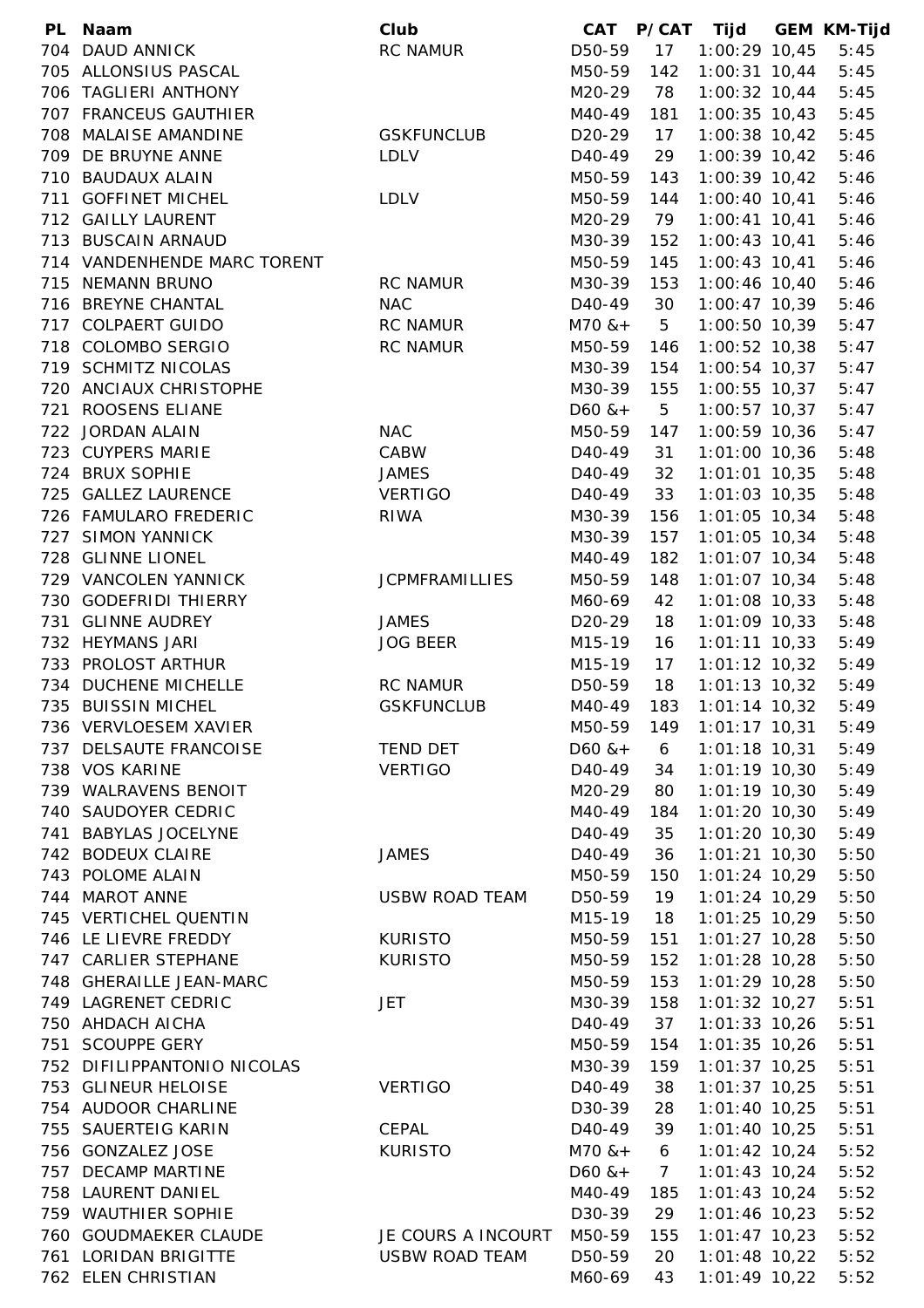| <b>PL</b> | Naam                                 | Club                  | CAT                 |                | P/CAT Tijd      | <b>GEM KM-Tijd</b> |
|-----------|--------------------------------------|-----------------------|---------------------|----------------|-----------------|--------------------|
| 704       | <b>DAUD ANNICK</b>                   | <b>RC NAMUR</b>       | D50-59              | 17             | $1:00:29$ 10,45 | 5:45               |
|           | 705 ALLONSIUS PASCAL                 |                       | M50-59              | 142            | $1:00:31$ 10,44 | 5:45               |
|           | 706 TAGLIERI ANTHONY                 |                       | M20-29              | 78             | 1:00:32 10,44   | 5:45               |
|           | 707 FRANCEUS GAUTHIER                |                       | M40-49              | 181            | $1:00:35$ 10,43 | 5:45               |
|           | 708 MALAISE AMANDINE                 | <b>GSKFUNCLUB</b>     | D <sub>20</sub> -29 | 17             | $1:00:38$ 10,42 | 5:45               |
|           | 709 DE BRUYNE ANNE                   | <b>LDLV</b>           | D40-49              | 29             | 1:00:39 10,42   | 5:46               |
|           | 710 BAUDAUX ALAIN                    |                       | M50-59              | 143            | 1:00:39 10,42   | 5:46               |
|           | 711 GOFFINET MICHEL                  | <b>LDLV</b>           | M50-59              | 144            | $1:00:40$ 10,41 | 5:46               |
|           | 712 GAILLY LAURENT                   |                       | M20-29              | 79             | $1:00:41$ 10,41 | 5:46               |
|           | 713 BUSCAIN ARNAUD                   |                       | M30-39              | 152            | 1:00:43 10,41   | 5:46               |
|           | 714 VANDENHENDE MARC TORENT          |                       | M50-59              | 145            | $1:00:43$ 10,41 | 5:46               |
|           | 715 NEMANN BRUNO                     | <b>RC NAMUR</b>       | M30-39              | 153            | 1:00:46 10,40   | 5:46               |
|           | 716 BREYNE CHANTAL                   | <b>NAC</b>            | D <sub>40</sub> -49 | 30             | 1:00:47 10,39   | 5:46               |
|           | 717 COLPAERT GUIDO                   | <b>RC NAMUR</b>       | $M70$ & +           | 5              | $1:00:50$ 10,39 | 5:47               |
|           | 718 COLOMBO SERGIO                   | <b>RC NAMUR</b>       | M50-59              | 146            | 1:00:52 10,38   | 5:47               |
|           | 719 SCHMITZ NICOLAS                  |                       | M30-39              | 154            | 1:00:54 10,37   | 5:47               |
|           | 720 ANCIAUX CHRISTOPHE               |                       | M30-39              | 155            | $1:00:55$ 10,37 | 5:47               |
|           | 721 ROOSENS ELIANE                   |                       | $D60$ & +           | 5              | 1:00:57 10,37   | 5:47               |
|           | 722 JORDAN ALAIN                     | <b>NAC</b>            | M50-59              | 147            | 1:00:59 10,36   | 5:47               |
|           |                                      |                       | D40-49              |                |                 |                    |
|           | 723 CUYPERS MARIE<br>724 BRUX SOPHIE | CABW                  |                     | 31             | $1:01:00$ 10,36 | 5:48               |
|           |                                      | <b>JAMES</b>          | D <sub>40</sub> -49 | 32             | $1:01:01$ 10,35 | 5:48               |
|           | 725 GALLEZ LAURENCE                  | <b>VERTIGO</b>        | D <sub>40</sub> -49 | 33             | $1:01:03$ 10,35 | 5:48               |
|           | 726 FAMULARO FREDERIC                | <b>RIWA</b>           | M30-39              | 156            | $1:01:05$ 10,34 | 5:48               |
|           | 727 SIMON YANNICK                    |                       | M30-39              | 157            | $1:01:05$ 10,34 | 5:48               |
|           | 728 GLINNE LIONEL                    |                       | M40-49              | 182            | 1:01:07 10,34   | 5:48               |
|           | 729 VANCOLEN YANNICK                 | <b>JCPMFRAMILLIES</b> | M50-59              | 148            | $1:01:07$ 10,34 | 5:48               |
|           | 730 GODEFRIDI THIERRY                |                       | M60-69              | 42             | $1:01:08$ 10,33 | 5:48               |
| 731       | <b>GLINNE AUDREY</b>                 | <b>JAMES</b>          | D <sub>20</sub> -29 | 18             | 1:01:09 10,33   | 5:48               |
|           | 732 HEYMANS JARI                     | <b>JOG BEER</b>       | M15-19              | 16             | $1:01:11$ 10,33 | 5:49               |
|           | 733 PROLOST ARTHUR                   |                       | M15-19              | 17             | 1:01:12 10,32   | 5:49               |
|           | 734 DUCHENE MICHELLE                 | <b>RC NAMUR</b>       | D50-59              | 18             | 1:01:13 10,32   | 5:49               |
|           | 735 BUISSIN MICHEL                   | <b>GSKFUNCLUB</b>     | M40-49              | 183            | $1:01:14$ 10,32 | 5:49               |
|           | 736 VERVLOESEM XAVIER                |                       | M50-59              | 149            | $1:01:17$ 10,31 | 5:49               |
|           | 737 DELSAUTE FRANCOISE               | TEND DET              | $D60$ & +           | 6              | $1:01:18$ 10,31 | 5:49               |
|           | 738 VOS KARINE                       | <b>VERTIGO</b>        | D40-49              | 34             | $1:01:19$ 10,30 | 5:49               |
|           | 739 WALRAVENS BENOIT                 |                       | M20-29              | 80             | $1:01:19$ 10,30 | 5:49               |
|           | 740 SAUDOYER CEDRIC                  |                       | M40-49              | 184            | $1:01:20$ 10,30 | 5:49               |
|           | 741 BABYLAS JOCELYNE                 |                       | D40-49              | 35             | $1:01:20$ 10,30 | 5:49               |
|           | 742 BODEUX CLAIRE                    | <b>JAMES</b>          | D40-49              | 36             | $1:01:21$ 10,30 | 5:50               |
|           | 743 POLOME ALAIN                     |                       | M50-59              | 150            | $1:01:24$ 10,29 | 5:50               |
|           | 744 MAROT ANNE                       | <b>USBW ROAD TEAM</b> | D50-59              | 19             | $1:01:24$ 10,29 | 5:50               |
|           | 745 VERTICHEL QUENTIN                |                       | M15-19              | 18             | $1:01:25$ 10,29 | 5:50               |
|           | 746 LE LIEVRE FREDDY                 | <b>KURISTO</b>        | M50-59              | 151            | 1:01:27 10,28   | 5:50               |
|           | 747 CARLIER STEPHANE                 | <b>KURISTO</b>        | M50-59              | 152            | $1:01:28$ 10,28 | 5:50               |
|           | 748 GHERAILLE JEAN-MARC              |                       | M50-59              | 153            | $1:01:29$ 10,28 | 5:50               |
|           | 749 LAGRENET CEDRIC                  | JET                   | M30-39              | 158            | $1:01:32$ 10,27 | 5:51               |
|           | 750 AHDACH AICHA                     |                       | D <sub>40</sub> -49 | 37             | $1:01:33$ 10,26 | 5:51               |
|           | 751 SCOUPPE GERY                     |                       | M50-59              | 154            | 1:01:35 10,26   | 5:51               |
|           | 752 DIFILIPPANTONIO NICOLAS          |                       | M30-39              | 159            | $1:01:37$ 10,25 | 5:51               |
|           | 753 GLINEUR HELOISE                  | <b>VERTIGO</b>        | D40-49              | 38             | $1:01:37$ 10,25 | 5:51               |
|           | 754 AUDOOR CHARLINE                  |                       | D30-39              | 28             | $1:01:40$ 10,25 | 5:51               |
|           | 755 SAUERTEIG KARIN                  | CEPAL                 | D <sub>40</sub> -49 | 39             | 1:01:40 10,25   | 5:51               |
|           | 756 GONZALEZ JOSE                    | <b>KURISTO</b>        | $M70$ & +           | 6              | $1:01:42$ 10,24 | 5:52               |
| 757       | <b>DECAMP MARTINE</b>                |                       | $D60$ & +           | $\overline{7}$ | $1:01:43$ 10,24 | 5:52               |
|           | 758 LAURENT DANIEL                   |                       | M40-49              | 185            | $1:01:43$ 10,24 | 5:52               |
|           | 759 WAUTHIER SOPHIE                  |                       | D30-39              | 29             | $1:01:46$ 10,23 | 5:52               |
|           | 760 GOUDMAEKER CLAUDE                | JE COURS A INCOURT    | M50-59              | 155            | $1:01:47$ 10,23 | 5:52               |
|           | 761 LORIDAN BRIGITTE                 | <b>USBW ROAD TEAM</b> | D50-59              | 20             | $1:01:48$ 10,22 | 5:52               |
|           | 762 ELEN CHRISTIAN                   |                       | M60-69              | 43             | $1:01:49$ 10,22 | 5:52               |
|           |                                      |                       |                     |                |                 |                    |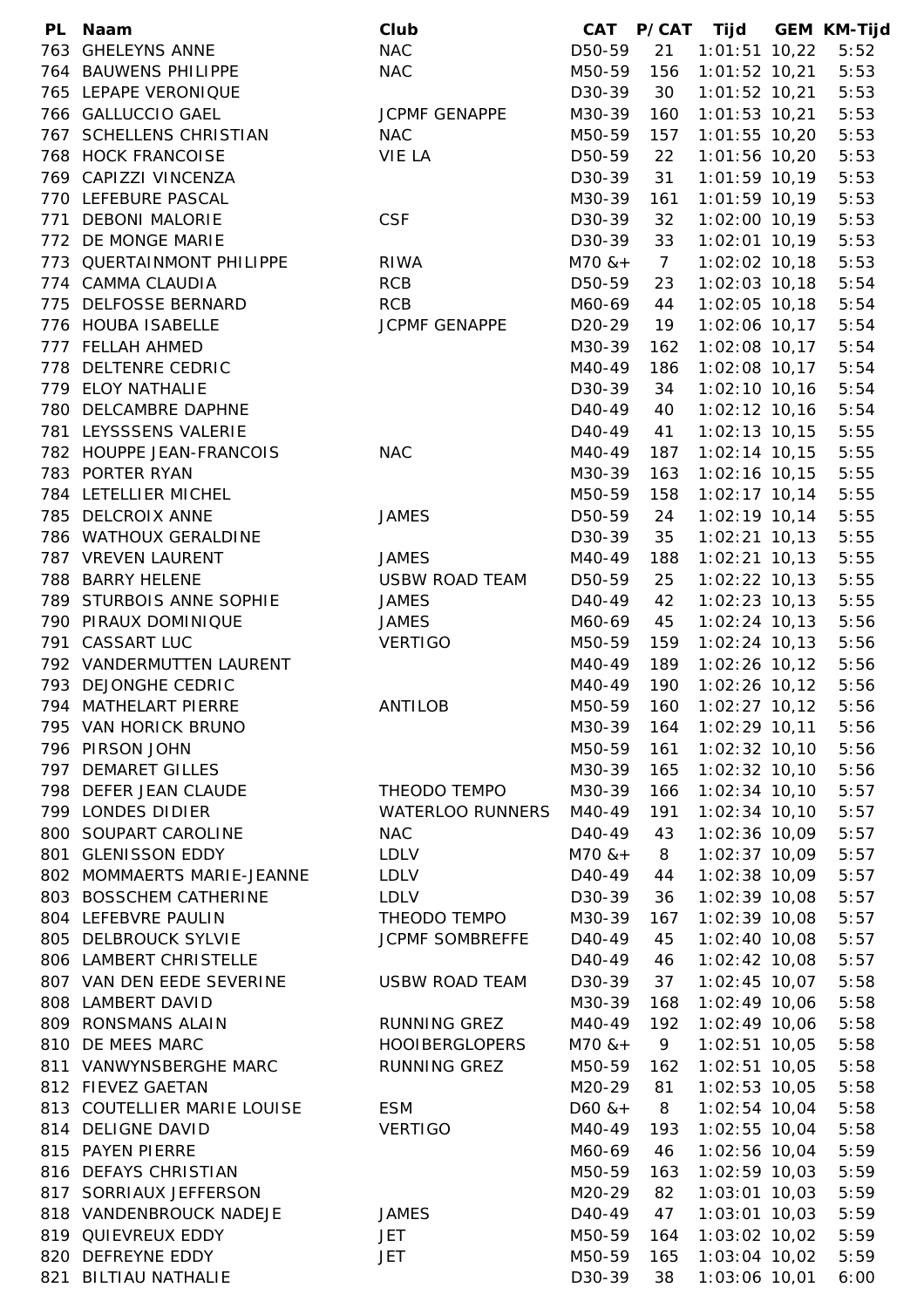| PL Naam                     | Club                    | CAT                 |                | P/CAT Tijd      | <b>GEM KM-Tijd</b> |
|-----------------------------|-------------------------|---------------------|----------------|-----------------|--------------------|
| 763 GHELEYNS ANNE           | <b>NAC</b>              | D50-59              | 21             | 1:01:51 10,22   | 5:52               |
| 764 BAUWENS PHILIPPE        | <b>NAC</b>              | M50-59              | 156            | $1:01:52$ 10,21 | 5:53               |
| 765 LEPAPE VERONIQUE        |                         | D30-39              | 30             | $1:01:52$ 10,21 | 5:53               |
| 766 GALLUCCIO GAEL          | <b>JCPMF GENAPPE</b>    | M30-39              | 160            | $1:01:53$ 10,21 | 5:53               |
| 767 SCHELLENS CHRISTIAN     | <b>NAC</b>              | M50-59              | 157            | $1:01:55$ 10,20 | 5:53               |
| 768 HOCK FRANCOISE          | VIE LA                  | D50-59              | 22             | $1:01:56$ 10,20 | 5:53               |
| 769 CAPIZZI VINCENZA        |                         | D30-39              | 31             | $1:01:59$ 10,19 | 5:53               |
| 770 LEFEBURE PASCAL         |                         | M30-39              | 161            | $1:01:59$ 10,19 | 5:53               |
| 771 DEBONI MALORIE          | <b>CSF</b>              | D30-39              | 32             | 1:02:00 10,19   | 5:53               |
| 772 DE MONGE MARIE          |                         | D30-39              | 33             | $1:02:01$ 10,19 | 5:53               |
| 773 QUERTAINMONT PHILIPPE   | <b>RIWA</b>             | $M70$ & +           | $\overline{7}$ | $1:02:02$ 10,18 | 5:53               |
| 774 CAMMA CLAUDIA           | <b>RCB</b>              | D50-59              | 23             | $1:02:03$ 10,18 | 5:54               |
| 775 DELFOSSE BERNARD        | <b>RCB</b>              | M60-69              | 44             | $1:02:05$ 10,18 | 5:54               |
| 776 HOUBA ISABELLE          | <b>JCPMF GENAPPE</b>    | D <sub>20</sub> -29 | 19             | 1:02:06 10,17   | 5:54               |
| 777 FELLAH AHMED            |                         |                     |                | $1:02:08$ 10,17 | 5:54               |
|                             |                         | M30-39              | 162            |                 |                    |
| 778 DELTENRE CEDRIC         |                         | M40-49              | 186            | 1:02:08 10,17   | 5:54               |
| 779 ELOY NATHALIE           |                         | D30-39              | 34             | $1:02:10$ 10,16 | 5:54               |
| 780 DELCAMBRE DAPHNE        |                         | D40-49              | 40             | $1:02:12$ 10,16 | 5:54               |
| 781 LEYSSSENS VALERIE       |                         | D <sub>40</sub> -49 | 41             | $1:02:13$ 10,15 | 5:55               |
| 782 HOUPPE JEAN-FRANCOIS    | <b>NAC</b>              | M40-49              | 187            | $1:02:14$ 10,15 | 5:55               |
| 783 PORTER RYAN             |                         | M30-39              | 163            | 1:02:16 10,15   | 5:55               |
| 784 LETELLIER MICHEL        |                         | M50-59              | 158            | $1:02:17$ 10,14 | 5:55               |
| 785 DELCROIX ANNE           | <b>JAMES</b>            | D50-59              | 24             | $1:02:19$ 10,14 | 5:55               |
| 786 WATHOUX GERALDINE       |                         | D30-39              | 35             | $1:02:21$ 10,13 | 5:55               |
| 787 VREVEN LAURENT          | <b>JAMES</b>            | M40-49              | 188            | $1:02:21$ 10,13 | 5:55               |
| 788 BARRY HELENE            | <b>USBW ROAD TEAM</b>   | D50-59              | 25             | $1:02:22$ 10,13 | 5:55               |
| 789 STURBOIS ANNE SOPHIE    | <b>JAMES</b>            | D <sub>40</sub> -49 | 42             | $1:02:23$ 10,13 | 5:55               |
| 790 PIRAUX DOMINIQUE        | <b>JAMES</b>            | M60-69              | 45             | $1:02:24$ 10,13 | 5:56               |
| 791 CASSART LUC             | <b>VERTIGO</b>          | M50-59              | 159            | $1:02:24$ 10,13 | 5:56               |
| 792 VANDERMUTTEN LAURENT    |                         | M40-49              | 189            | $1:02:26$ 10,12 | 5:56               |
| 793 DEJONGHE CEDRIC         |                         | M40-49              | 190            | 1:02:26 10,12   | 5:56               |
| 794 MATHELART PIERRE        | <b>ANTILOB</b>          | M50-59              | 160            | $1:02:27$ 10,12 | 5:56               |
| 795 VAN HORICK BRUNO        |                         | M30-39              | 164            | 1:02:29 10,11   | 5:56               |
| 796 PIRSON JOHN             |                         | M50-59              | 161            | $1:02:32$ 10,10 | 5:56               |
| 797 DEMARET GILLES          |                         | M30-39              | 165            | $1:02:32$ 10,10 | 5:56               |
| 798 DEFER JEAN CLAUDE       | THEODO TEMPO            | M30-39              | 166            | $1:02:34$ 10,10 | 5:57               |
| 799 LONDES DIDIER           | <b>WATERLOO RUNNERS</b> | M40-49              | 191            | $1:02:34$ 10,10 | 5:57               |
| 800 SOUPART CAROLINE        | <b>NAC</b>              | D <sub>40</sub> -49 | 43             | 1:02:36 10,09   | 5:57               |
| 801 GLENISSON EDDY          | <b>LDLV</b>             | $M70$ & +           | 8              | $1:02:37$ 10,09 | 5:57               |
| 802 MOMMAERTS MARIE-JEANNE  | <b>LDLV</b>             | D <sub>40</sub> -49 | 44             | 1:02:38 10,09   | 5:57               |
| 803 BOSSCHEM CATHERINE      | <b>LDLV</b>             | D30-39              | 36             | 1:02:39 10,08   | 5:57               |
| 804 LEFEBVRE PAULIN         | THEODO TEMPO            | M30-39              | 167            | $1:02:39$ 10,08 | 5:57               |
| 805 DELBROUCK SYLVIE        | <b>JCPMF SOMBREFFE</b>  | D <sub>40</sub> -49 | 45             | 1:02:40 10,08   | 5:57               |
| 806 LAMBERT CHRISTELLE      |                         | D <sub>40</sub> -49 | 46             | $1:02:42$ 10,08 | 5:57               |
| 807 VAN DEN EEDE SEVERINE   | <b>USBW ROAD TEAM</b>   | D30-39              | 37             | $1:02:45$ 10,07 | 5:58               |
| 808 LAMBERT DAVID           |                         | M30-39              | 168            | $1:02:49$ 10,06 | 5:58               |
| 809 RONSMANS ALAIN          | <b>RUNNING GREZ</b>     | M40-49              | 192            | 1:02:49 10,06   | 5:58               |
|                             |                         |                     |                |                 |                    |
| 810 DE MEES MARC            | <b>HOOIBERGLOPERS</b>   | $M70$ & +           | 9              | $1:02:51$ 10,05 | 5:58               |
| 811 VANWYNSBERGHE MARC      | RUNNING GREZ            | M50-59              | 162            | $1:02:51$ 10,05 | 5:58               |
| 812 FIEVEZ GAETAN           |                         | M20-29              | 81             | $1:02:53$ 10,05 | 5:58               |
| 813 COUTELLIER MARIE LOUISE | <b>ESM</b>              | $D60$ & +           | 8              | $1:02:54$ 10,04 | 5:58               |
| 814 DELIGNE DAVID           | <b>VERTIGO</b>          | M40-49              | 193            | $1:02:55$ 10,04 | 5:58               |
| 815 PAYEN PIERRE            |                         | M60-69              | 46             | 1:02:56 10,04   | 5:59               |
| 816 DEFAYS CHRISTIAN        |                         | M50-59              | 163            | $1:02:59$ 10,03 | 5:59               |
| 817 SORRIAUX JEFFERSON      |                         | M20-29              | 82             | $1:03:01$ 10,03 | 5:59               |
| 818 VANDENBROUCK NADEJE     | JAMES                   | D <sub>40</sub> -49 | 47             | $1:03:01$ 10,03 | 5:59               |
| 819 QUIEVREUX EDDY          | JET                     | M50-59              | 164            | $1:03:02$ 10,02 | 5:59               |
| 820 DEFREYNE EDDY           | <b>JET</b>              | M50-59              | 165            | $1:03:04$ 10,02 | 5:59               |
| 821 BILTIAU NATHALIE        |                         | D30-39              | 38             | 1:03:06 10,01   | 6:00               |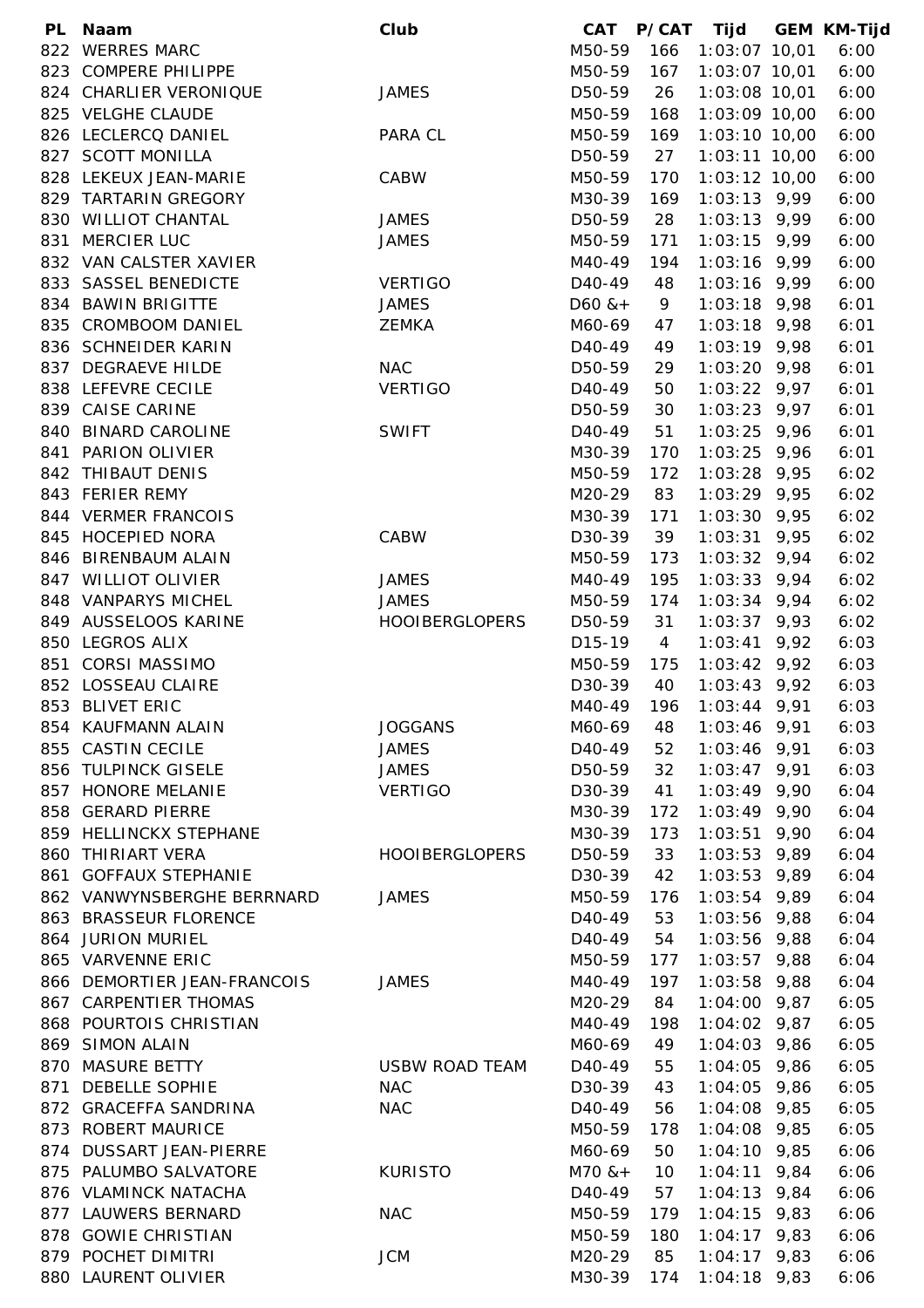| PL. | Naam                        | Club                  | <b>CAT</b>          | <b>P/CAT</b>   | Tijd           | <b>GEM KM-Tijd</b> |
|-----|-----------------------------|-----------------------|---------------------|----------------|----------------|--------------------|
| 822 | <b>WERRES MARC</b>          |                       | M50-59              | 166            | 1:03:07 10,01  | 6:00               |
|     | 823 COMPERE PHILIPPE        |                       | M50-59              | 167            | 1:03:07 10,01  | 6:00               |
|     | 824 CHARLIER VERONIQUE      | <b>JAMES</b>          | D50-59              | 26             | 1:03:08 10,01  | 6:00               |
|     | 825 VELGHE CLAUDE           |                       | M50-59              | 168            | 1:03:09 10,00  | 6:00               |
|     | 826 LECLERCQ DANIEL         | PARA CL               | M50-59              | 169            | 1:03:10 10,00  | 6:00               |
|     | 827 SCOTT MONILLA           |                       | D50-59              | 27             | 1:03:11 10,00  | 6:00               |
|     | 828 LEKEUX JEAN-MARIE       | CABW                  | M50-59              | 170            | 1:03:12 10,00  | 6:00               |
|     | 829 TARTARIN GREGORY        |                       | M30-39              | 169            | $1:03:13$ 9,99 | 6:00               |
|     | 830 WILLIOT CHANTAL         | <b>JAMES</b>          | D50-59              | 28             | $1:03:13$ 9,99 | 6:00               |
| 831 | MERCIER LUC                 | <b>JAMES</b>          | M50-59              | 171            | $1:03:15$ 9,99 | 6:00               |
|     | 832 VAN CALSTER XAVIER      |                       | M40-49              | 194            | $1:03:16$ 9,99 | 6:00               |
|     | 833 SASSEL BENEDICTE        | <b>VERTIGO</b>        | D <sub>40</sub> -49 | 48             | $1:03:16$ 9,99 | 6:00               |
|     | 834 BAWIN BRIGITTE          | <b>JAMES</b>          | $D60$ & +           | 9              | $1:03:18$ 9,98 | 6:01               |
| 835 | <b>CROMBOOM DANIEL</b>      | <b>ZEMKA</b>          | M60-69              | 47             | $1:03:18$ 9,98 | 6:01               |
|     | 836 SCHNEIDER KARIN         |                       | D <sub>40</sub> -49 | 49             | $1:03:19$ 9,98 | 6:01               |
|     | 837 DEGRAEVE HILDE          | <b>NAC</b>            | D50-59              | 29             | $1:03:20$ 9,98 | 6:01               |
|     | 838 LEFEVRE CECILE          | <b>VERTIGO</b>        | D40-49              | 50             | $1:03:22$ 9,97 | 6:01               |
|     | 839 CAISE CARINE            |                       | D50-59              | 30             | $1:03:23$ 9,97 | 6:01               |
|     | 840 BINARD CAROLINE         | <b>SWIFT</b>          | D <sub>40</sub> -49 | 51             | $1:03:25$ 9,96 | 6:01               |
|     | 841 PARION OLIVIER          |                       | M30-39              | 170            | $1:03:25$ 9,96 | 6:01               |
|     | 842 THIBAUT DENIS           |                       | M50-59              | 172            | $1:03:28$ 9,95 | 6:02               |
|     | 843 FERIER REMY             |                       | M20-29              | 83             | 1:03:29 9,95   | 6:02               |
|     | 844 VERMER FRANCOIS         |                       | M30-39              | 171            | $1:03:30$ 9,95 | 6:02               |
|     | 845 HOCEPIED NORA           | CABW                  | D30-39              | 39             | $1:03:31$ 9,95 | 6:02               |
|     | 846 BIRENBAUM ALAIN         |                       | M50-59              | 173            | $1:03:32$ 9,94 | 6:02               |
|     | 847 WILLIOT OLIVIER         | <b>JAMES</b>          | M40-49              | 195            | $1:03:33$ 9,94 | 6:02               |
|     | 848 VANPARYS MICHEL         | <b>JAMES</b>          | M50-59              | 174            | $1:03:34$ 9,94 | 6:02               |
|     | 849 AUSSELOOS KARINE        | <b>HOOIBERGLOPERS</b> | D50-59              | 31             | $1:03:37$ 9,93 | 6:02               |
|     | 850 LEGROS ALIX             |                       | D15-19              | $\overline{4}$ | $1:03:41$ 9,92 | 6:03               |
| 851 | <b>CORSI MASSIMO</b>        |                       | M50-59              | 175            | $1:03:42$ 9,92 | 6:03               |
|     | 852 LOSSEAU CLAIRE          |                       | D30-39              | 40             | $1:03:43$ 9,92 | 6:03               |
|     | 853 BLIVET ERIC             |                       | M40-49              | 196            | $1:03:44$ 9,91 | 6:03               |
|     | 854 KAUFMANN ALAIN          | <b>JOGGANS</b>        | M60-69              |                | $1:03:46$ 9,91 | 6:03               |
|     |                             |                       |                     | 48             |                |                    |
|     | 855 CASTIN CECILE           | <b>JAMES</b>          | D <sub>40</sub> -49 | 52             | $1:03:46$ 9,91 | 6:03               |
|     | 856 TULPINCK GISELE         | <b>JAMES</b>          | D50-59              | 32             | $1:03:47$ 9,91 | 6:03               |
|     | 857 HONORE MELANIE          | <b>VERTIGO</b>        | D30-39              | 41             | $1:03:49$ 9,90 | 6:04               |
|     | 858 GERARD PIERRE           |                       | M30-39              | 172            | $1:03:49$ 9,90 | 6:04               |
|     | 859 HELLINCKX STEPHANE      |                       | M30-39              | 173            | $1:03:51$ 9,90 | 6:04               |
|     | 860 THIRIART VERA           | <b>HOOIBERGLOPERS</b> | D50-59              | 33             | $1:03:53$ 9,89 | 6:04               |
|     | 861 GOFFAUX STEPHANIE       |                       | D30-39              | 42             | $1:03:53$ 9,89 | 6:04               |
|     | 862 VANWYNSBERGHE BERRNARD  | <b>JAMES</b>          | M50-59              | 176            | $1:03:54$ 9,89 | 6:04               |
|     | 863 BRASSEUR FLORENCE       |                       | D <sub>40</sub> -49 | 53             | $1:03:56$ 9,88 | 6:04               |
|     | 864 JURION MURIEL           |                       | D <sub>40</sub> -49 | 54             | $1:03:56$ 9,88 | 6:04               |
|     | 865 VARVENNE ERIC           |                       | M50-59              | 177            | $1:03:57$ 9,88 | 6:04               |
|     | 866 DEMORTIER JEAN-FRANCOIS | <b>JAMES</b>          | M40-49              | 197            | $1:03:58$ 9,88 | 6:04               |
|     | 867 CARPENTIER THOMAS       |                       | M20-29              | 84             | $1:04:00$ 9,87 | 6:05               |
|     | 868 POURTOIS CHRISTIAN      |                       | M40-49              | 198            | $1:04:02$ 9,87 | 6:05               |
|     | 869 SIMON ALAIN             |                       | M60-69              | 49             | 1:04:03 9,86   | 6:05               |
| 870 | <b>MASURE BETTY</b>         | <b>USBW ROAD TEAM</b> | D <sub>40</sub> -49 | 55             | $1:04:05$ 9,86 | 6:05               |
|     | 871 DEBELLE SOPHIE          | <b>NAC</b>            | D30-39              | 43             | $1:04:05$ 9,86 | 6:05               |
|     | 872 GRACEFFA SANDRINA       | <b>NAC</b>            | D <sub>40</sub> -49 | 56             | 1:04:08 9,85   | 6:05               |
|     | 873 ROBERT MAURICE          |                       | M50-59              | 178            | 1:04:08 9,85   | 6:05               |
|     | 874 DUSSART JEAN-PIERRE     |                       | M60-69              | 50             | $1:04:10$ 9,85 | 6:06               |
|     | 875 PALUMBO SALVATORE       | <b>KURISTO</b>        | $M70$ & +           | 10             | $1:04:11$ 9,84 | 6:06               |
|     | 876 VLAMINCK NATACHA        |                       | D <sub>40</sub> -49 | 57             | $1:04:13$ 9,84 | 6:06               |
|     | 877 LAUWERS BERNARD         | <b>NAC</b>            | M50-59              | 179            | $1:04:15$ 9,83 | 6:06               |
|     | 878 GOWIE CHRISTIAN         |                       | M50-59              | 180            | $1:04:17$ 9,83 | 6:06               |
|     | 879 POCHET DIMITRI          | <b>JCM</b>            | M20-29              | 85             | $1:04:17$ 9,83 | 6:06               |
|     | 880 LAURENT OLIVIER         |                       | M30-39              | 174            | $1:04:18$ 9,83 | 6:06               |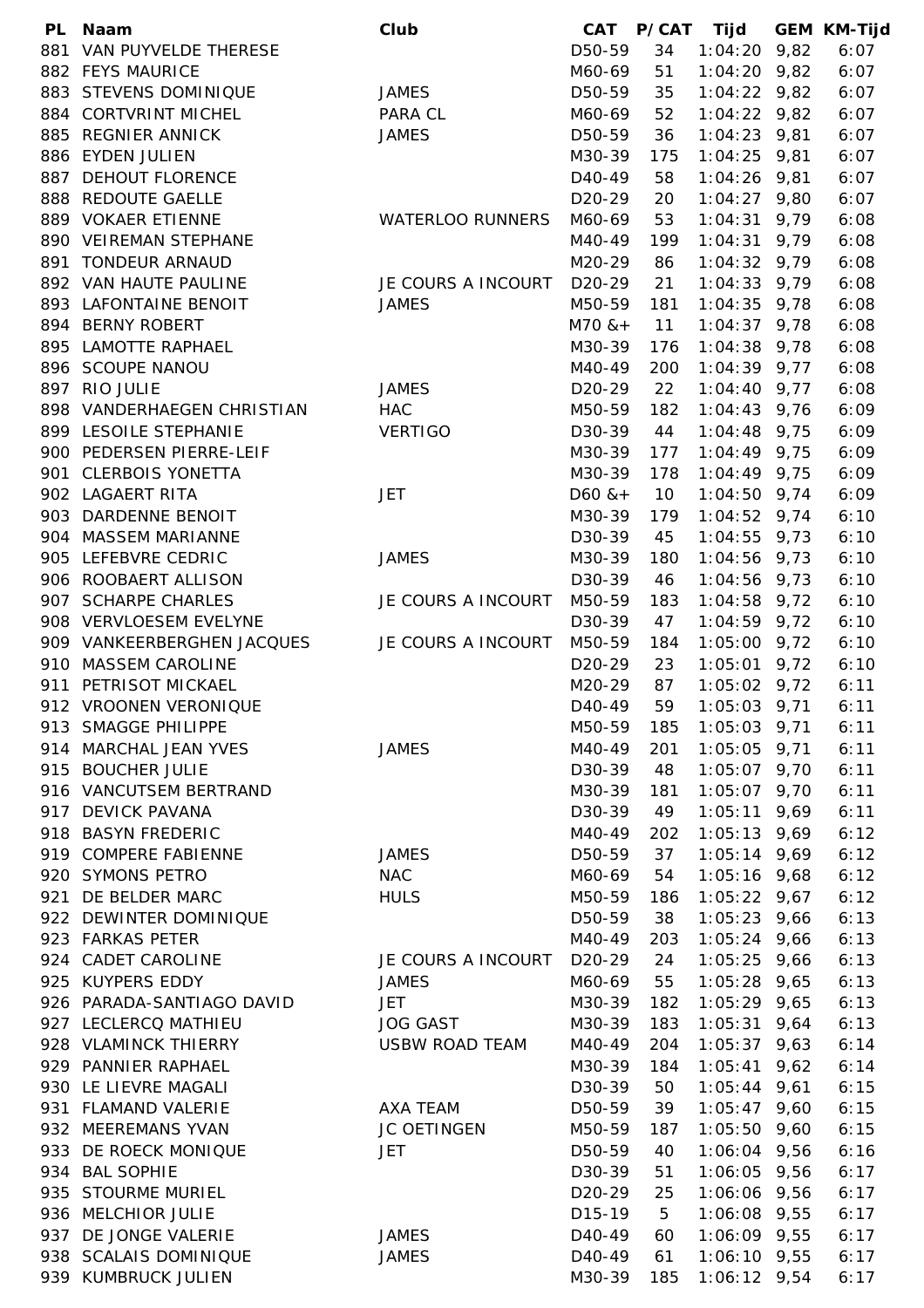| <b>PL</b> | <b>Naam</b>                                      | Club                    | <b>CAT</b>          | P/CAT | Tijd           | <b>GEM KM-Tijd</b> |
|-----------|--------------------------------------------------|-------------------------|---------------------|-------|----------------|--------------------|
| 881       | VAN PUYVELDE THERESE                             |                         | D50-59              | 34    | $1:04:20$ 9,82 | 6:07               |
|           | 882 FEYS MAURICE                                 |                         | M60-69              | 51    | $1:04:20$ 9,82 | 6:07               |
|           | 883 STEVENS DOMINIQUE                            | <b>JAMES</b>            | D50-59              | 35    | $1:04:22$ 9,82 | 6:07               |
| 884       | <b>CORTVRINT MICHEL</b>                          | PARA CL                 | M60-69              | 52    | $1:04:22$ 9,82 | 6:07               |
| 885       | <b>REGNIER ANNICK</b>                            | <b>JAMES</b>            | D50-59              | 36    | $1:04:23$ 9,81 | 6:07               |
|           | 886 EYDEN JULIEN                                 |                         | M30-39              | 175   | $1:04:25$ 9,81 | 6:07               |
| 887       | <b>DEHOUT FLORENCE</b>                           |                         | D <sub>40</sub> -49 | 58    | $1:04:26$ 9,81 | 6:07               |
| 888       | <b>REDOUTE GAELLE</b>                            |                         | D <sub>20</sub> -29 | 20    | $1:04:27$ 9,80 | 6:07               |
|           | 889 VOKAER ETIENNE                               | <b>WATERLOO RUNNERS</b> | M60-69              | 53    | $1:04:31$ 9,79 | 6:08               |
|           | 890 VEIREMAN STEPHANE                            |                         | M40-49              | 199   | $1:04:31$ 9,79 | 6:08               |
| 891       | <b>TONDEUR ARNAUD</b>                            |                         | M20-29              | 86    | $1:04:32$ 9,79 | 6:08               |
|           | 892 VAN HAUTE PAULINE                            | JE COURS A INCOURT      | D20-29              | 21    | $1:04:33$ 9,79 | 6:08               |
|           | 893 LAFONTAINE BENOIT                            | <b>JAMES</b>            | M50-59              | 181   | $1:04:35$ 9,78 | 6:08               |
|           | 894 BERNY ROBERT                                 |                         | $M70$ & +           | 11    | $1:04:37$ 9,78 | 6:08               |
|           | 895 LAMOTTE RAPHAEL                              |                         | M30-39              | 176   | $1:04:38$ 9,78 | 6:08               |
|           | 896 SCOUPE NANOU                                 |                         | M40-49              | 200   | $1:04:39$ 9,77 | 6:08               |
|           | 897 RIO JULIE                                    | <b>JAMES</b>            | D <sub>20</sub> -29 | 22    | $1:04:40$ 9,77 | 6:08               |
|           | 898 VANDERHAEGEN CHRISTIAN                       | <b>HAC</b>              | M50-59              | 182   | $1:04:43$ 9,76 | 6:09               |
|           | 899 LESOILE STEPHANIE                            | <b>VERTIGO</b>          | D30-39              | 44    | $1:04:48$ 9,75 | 6:09               |
| 900       | PEDERSEN PIERRE-LEIF                             |                         | M30-39              | 177   | $1:04:49$ 9,75 | 6:09               |
| 901       | <b>CLERBOIS YONETTA</b>                          |                         | M30-39              | 178   | $1:04:49$ 9,75 | 6:09               |
|           | 902 LAGAERT RITA                                 | JET                     | $D60$ & +           | 10    | $1:04:50$ 9,74 | 6:09               |
| 903       | DARDENNE BENOIT                                  |                         | M30-39              | 179   | $1:04:52$ 9,74 | 6:10               |
|           | 904 MASSEM MARIANNE                              |                         | D30-39              |       | $1:04:55$ 9,73 | 6:10               |
|           | 905 LEFEBVRE CEDRIC                              | <b>JAMES</b>            |                     | 45    | $1:04:56$ 9,73 | 6:10               |
|           | 906 ROOBAERT ALLISON                             |                         | M30-39              | 180   |                |                    |
|           |                                                  |                         | D30-39              | 46    | $1:04:56$ 9,73 | 6:10               |
| 907       | <b>SCHARPE CHARLES</b><br>908 VERVLOESEM EVELYNE | JE COURS A INCOURT      | M50-59              | 183   | $1:04:58$ 9,72 | 6:10               |
|           |                                                  |                         | D30-39              | 47    | $1:04:59$ 9,72 | 6:10               |
|           | 909 VANKEERBERGHEN JACQUES                       | JE COURS A INCOURT      | M50-59              | 184   | $1:05:00$ 9,72 | 6:10               |
| 910       | <b>MASSEM CAROLINE</b>                           |                         | D <sub>20</sub> -29 | 23    | $1:05:01$ 9,72 | 6:10               |
| 911       | PETRISOT MICKAEL                                 |                         | M20-29              | 87    | $1:05:02$ 9,72 | 6:11               |
|           | 912 VROONEN VERONIQUE                            |                         | D <sub>40</sub> -49 | 59    | $1:05:03$ 9,71 | 6:11               |
|           | 913 SMAGGE PHILIPPE                              |                         | M50-59              | 185   | $1:05:03$ 9,71 | 6:11               |
|           | 914 MARCHAL JEAN YVES                            | <b>JAMES</b>            | M40-49              | 201   | $1:05:05$ 9,71 | 6:11               |
|           | 915 BOUCHER JULIE                                |                         | D30-39              | 48    | $1:05:07$ 9,70 | 6:11               |
|           | 916 VANCUTSEM BERTRAND                           |                         | M30-39              | 181   | $1:05:07$ 9,70 | 6:11               |
|           | 917 DEVICK PAVANA                                |                         | D30-39              | 49    | $1:05:11$ 9,69 | 6:11               |
|           | 918 BASYN FREDERIC                               |                         | M40-49              | 202   | $1:05:13$ 9,69 | 6:12               |
|           | 919 COMPERE FABIENNE                             | <b>JAMES</b>            | D50-59              | 37    | $1:05:14$ 9,69 | 6:12               |
|           | 920 SYMONS PETRO                                 | <b>NAC</b>              | M60-69              | 54    | $1:05:16$ 9,68 | 6:12               |
|           | 921 DE BELDER MARC                               | <b>HULS</b>             | M50-59              | 186   | $1:05:22$ 9,67 | 6:12               |
|           | 922 DEWINTER DOMINIQUE                           |                         | D50-59              | 38    | $1:05:23$ 9,66 | 6:13               |
|           | 923 FARKAS PETER                                 |                         | M40-49              | 203   | $1:05:24$ 9,66 | 6:13               |
|           | 924 CADET CAROLINE                               | JE COURS A INCOURT      | D <sub>20</sub> -29 | 24    | $1:05:25$ 9,66 | 6:13               |
|           | 925 KUYPERS EDDY                                 | <b>JAMES</b>            | M60-69              | 55    | $1:05:28$ 9,65 | 6:13               |
|           | 926 PARADA-SANTIAGO DAVID                        | <b>JET</b>              | M30-39              | 182   | $1:05:29$ 9,65 | 6:13               |
|           | 927 LECLERCQ MATHIEU                             | <b>JOG GAST</b>         | M30-39              | 183   | $1:05:31$ 9,64 | 6:13               |
|           | 928 VLAMINCK THIERRY                             | <b>USBW ROAD TEAM</b>   | M40-49              | 204   | $1:05:37$ 9,63 | 6:14               |
|           | 929 PANNIER RAPHAEL                              |                         | M30-39              | 184   | $1:05:41$ 9,62 | 6:14               |
|           | 930 LE LIEVRE MAGALI                             |                         | D30-39              | 50    | $1:05:44$ 9,61 | 6:15               |
|           | 931 FLAMAND VALERIE                              | AXA TEAM                | D50-59              | 39    | $1:05:47$ 9,60 | 6:15               |
|           | 932 MEEREMANS YVAN                               | JC OETINGEN             | M50-59              | 187   | $1:05:50$ 9,60 | 6:15               |
| 933       | DE ROECK MONIQUE                                 | <b>JET</b>              | D50-59              | 40    | $1:06:04$ 9,56 | 6:16               |
|           | 934 BAL SOPHIE                                   |                         | D30-39              | 51    | $1:06:05$ 9,56 | 6:17               |
|           | 935 STOURME MURIEL                               |                         | D <sub>20</sub> -29 | 25    | $1:06:06$ 9,56 | 6:17               |
|           | 936 MELCHIOR JULIE                               |                         | D <sub>15</sub> -19 | 5     | $1:06:08$ 9,55 | 6:17               |
| 937       | DE JONGE VALERIE                                 | <b>JAMES</b>            | D <sub>40</sub> -49 | 60    | $1:06:09$ 9,55 | 6:17               |
|           | 938 SCALAIS DOMINIQUE                            | <b>JAMES</b>            | D <sub>40</sub> -49 | 61    | $1:06:10$ 9,55 | 6:17               |
| 939       | KUMBRUCK JULIEN                                  |                         | M30-39              | 185   | $1:06:12$ 9,54 | 6:17               |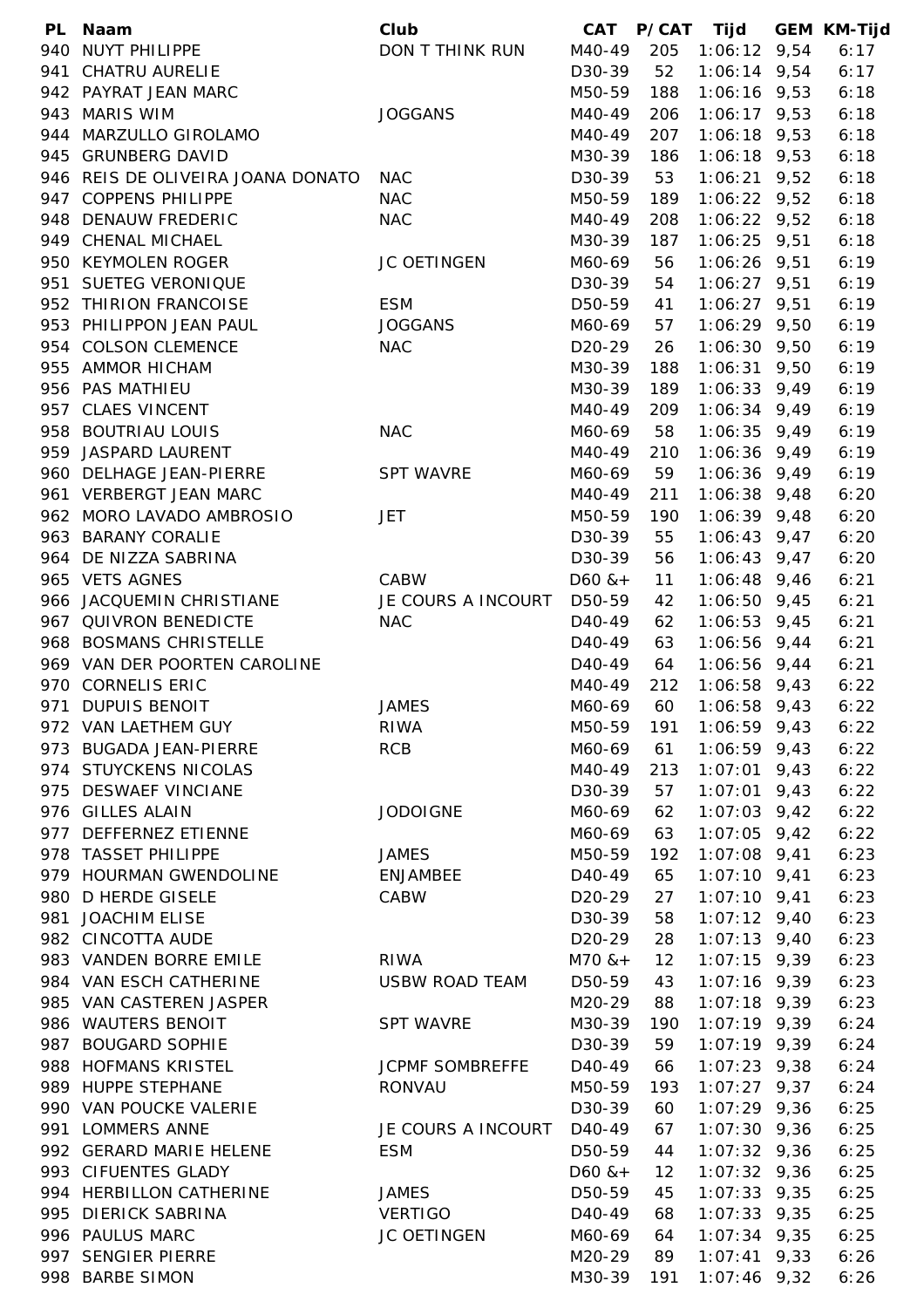|     | PL Naam                           | Club                   | CAT                 | P/CAT Tijd |                | <b>GEM KM-Tijd</b> |
|-----|-----------------------------------|------------------------|---------------------|------------|----------------|--------------------|
|     | 940 NUYT PHILIPPE                 | DON T THINK RUN        | M40-49              | 205        | $1:06:12$ 9,54 | 6:17               |
| 941 | CHATRU AURELIE                    |                        | D30-39              | 52         | $1:06:14$ 9,54 | 6:17               |
|     | 942 PAYRAT JEAN MARC              |                        | M50-59              | 188        | $1:06:16$ 9,53 | 6:18               |
|     | 943 MARIS WIM                     | <b>JOGGANS</b>         | M40-49              | 206        | $1:06:17$ 9,53 | 6:18               |
|     | 944 MARZULLO GIROLAMO             |                        | M40-49              | 207        | $1:06:18$ 9,53 | 6:18               |
|     | 945 GRUNBERG DAVID                |                        | M30-39              | 186        | $1:06:18$ 9,53 | 6:18               |
|     | 946 REIS DE OLIVEIRA JOANA DONATO | <b>NAC</b>             | D30-39              | 53         | $1:06:21$ 9,52 | 6:18               |
|     | 947 COPPENS PHILIPPE              | <b>NAC</b>             | M50-59              | 189        | $1:06:22$ 9,52 | 6:18               |
|     | 948 DENAUW FREDERIC               | <b>NAC</b>             | M40-49              | 208        | $1:06:22$ 9,52 | 6:18               |
|     | 949 CHENAL MICHAEL                |                        | M30-39              | 187        | $1:06:25$ 9,51 | 6:18               |
|     | 950 KEYMOLEN ROGER                | JC OETINGEN            | M60-69              | 56         | $1:06:26$ 9,51 | 6:19               |
|     | 951 SUETEG VERONIQUE              |                        | D30-39              | 54         | $1:06:27$ 9,51 | 6:19               |
|     | 952 THIRION FRANCOISE             | <b>ESM</b>             | D50-59              | 41         | $1:06:27$ 9,51 | 6:19               |
|     | 953 PHILIPPON JEAN PAUL           | <b>JOGGANS</b>         | M60-69              | 57         | $1:06:29$ 9,50 | 6:19               |
|     | 954 COLSON CLEMENCE               | <b>NAC</b>             | D <sub>20</sub> -29 |            | $1:06:30$ 9,50 | 6:19               |
|     |                                   |                        |                     | 26         |                |                    |
|     | 955 AMMOR HICHAM                  |                        | M30-39              | 188        | $1:06:31$ 9,50 | 6:19               |
|     | 956 PAS MATHIEU                   |                        | M30-39              | 189        | $1:06:33$ 9,49 | 6:19               |
|     | 957 CLAES VINCENT                 |                        | M40-49              | 209        | $1:06:34$ 9,49 | 6:19               |
|     | 958 BOUTRIAU LOUIS                | <b>NAC</b>             | M60-69              | 58         | $1:06:35$ 9,49 | 6:19               |
|     | 959 JASPARD LAURENT               |                        | M40-49              | 210        | $1:06:36$ 9,49 | 6:19               |
|     | 960 DELHAGE JEAN-PIERRE           | <b>SPT WAVRE</b>       | M60-69              | 59         | $1:06:36$ 9,49 | 6:19               |
|     | 961 VERBERGT JEAN MARC            |                        | M40-49              | 211        | $1:06:38$ 9,48 | 6:20               |
|     | 962 MORO LAVADO AMBROSIO          | JET                    | M50-59              | 190        | $1:06:39$ 9,48 | 6:20               |
|     | 963 BARANY CORALIE                |                        | D30-39              | 55         | $1:06:43$ 9,47 | 6:20               |
|     | 964 DE NIZZA SABRINA              |                        | D30-39              | 56         | $1:06:43$ 9,47 | 6:20               |
|     | 965 VETS AGNES                    | CABW                   | $D60$ & +           | 11         | $1:06:48$ 9,46 | 6:21               |
|     | 966 JACQUEMIN CHRISTIANE          | JE COURS A INCOURT     | D50-59              | 42         | $1:06:50$ 9,45 | 6:21               |
|     | 967 QUIVRON BENEDICTE             | <b>NAC</b>             | D <sub>40</sub> -49 | 62         | $1:06:53$ 9,45 | 6:21               |
|     | 968 BOSMANS CHRISTELLE            |                        | D40-49              | 63         | $1:06:56$ 9,44 | 6:21               |
|     | 969 VAN DER POORTEN CAROLINE      |                        | D <sub>40</sub> -49 | 64         | $1:06:56$ 9,44 | 6:21               |
|     | 970 CORNELIS ERIC                 |                        | M40-49              | 212        | $1:06:58$ 9,43 | 6:22               |
|     | 971 DUPUIS BENOIT                 | <b>JAMES</b>           | M60-69              | 60         | $1:06:58$ 9,43 | 6:22               |
|     | 972 VAN LAETHEM GUY               | <b>RIWA</b>            | M50-59              | 191        | $1:06:59$ 9,43 | 6:22               |
|     | 973 BUGADA JEAN-PIERRE            | <b>RCB</b>             | M60-69              | 61         | $1:06:59$ 9,43 | 6:22               |
|     | 974 STUYCKENS NICOLAS             |                        | M40-49              | 213        | $1:07:01$ 9,43 | 6:22               |
|     | 975 DESWAEF VINCIANE              |                        | D30-39              | 57         | $1:07:01$ 9,43 | 6:22               |
|     | 976 GILLES ALAIN                  | <b>JODOIGNE</b>        | M60-69              | 62         | $1:07:03$ 9,42 | 6:22               |
|     | 977 DEFFERNEZ ETIENNE             |                        | M60-69              | 63         | $1:07:05$ 9,42 | 6:22               |
|     | 978 TASSET PHILIPPE               | <b>JAMES</b>           | M50-59              | 192        | $1:07:08$ 9,41 | 6:23               |
|     | 979 HOURMAN GWENDOLINE            | <b>ENJAMBEE</b>        | D <sub>40</sub> -49 | 65         | $1:07:10$ 9,41 | 6:23               |
|     | 980 D HERDE GISELE                | CABW                   | D <sub>20</sub> -29 | 27         | $1:07:10$ 9,41 | 6:23               |
| 981 | <b>JOACHIM ELISE</b>              |                        | D30-39              | 58         | $1:07:12$ 9,40 | 6:23               |
|     | 982 CINCOTTA AUDE                 |                        | D <sub>20</sub> -29 | 28         | $1:07:13$ 9,40 | 6:23               |
|     | 983 VANDEN BORRE EMILE            |                        |                     |            |                |                    |
|     |                                   | <b>RIWA</b>            | $M70$ & +           | 12         | $1:07:15$ 9,39 | 6:23               |
|     | 984 VAN ESCH CATHERINE            | <b>USBW ROAD TEAM</b>  | D50-59              | 43         | $1:07:16$ 9,39 | 6:23               |
|     | 985 VAN CASTEREN JASPER           |                        | M20-29              | 88         | $1:07:18$ 9,39 | 6:23               |
|     | 986 WAUTERS BENOIT                | <b>SPT WAVRE</b>       | M30-39              | 190        | $1:07:19$ 9,39 | 6:24               |
|     | 987 BOUGARD SOPHIE                |                        | D30-39              | 59         | $1:07:19$ 9,39 | 6:24               |
|     | 988 HOFMANS KRISTEL               | <b>JCPMF SOMBREFFE</b> | D <sub>40</sub> -49 | 66         | $1:07:23$ 9,38 | 6:24               |
|     | 989 HUPPE STEPHANE                | <b>RONVAU</b>          | M50-59              | 193        | $1:07:27$ 9,37 | 6:24               |
|     | 990 VAN POUCKE VALERIE            |                        | D30-39              | 60         | $1:07:29$ 9,36 | 6:25               |
|     | 991 LOMMERS ANNE                  | JE COURS A INCOURT     | D <sub>40</sub> -49 | 67         | $1:07:30$ 9,36 | 6:25               |
|     | 992 GERARD MARIE HELENE           | <b>ESM</b>             | D50-59              | 44         | $1:07:32$ 9,36 | 6:25               |
|     | 993 CIFUENTES GLADY               |                        | $D60$ & +           | 12         | $1:07:32$ 9,36 | 6:25               |
|     | 994 HERBILLON CATHERINE           | <b>JAMES</b>           | D50-59              | 45         | $1:07:33$ 9,35 | 6:25               |
|     | 995 DIERICK SABRINA               | <b>VERTIGO</b>         | D <sub>40</sub> -49 | 68         | $1:07:33$ 9,35 | 6:25               |
|     | 996 PAULUS MARC                   | JC OETINGEN            | M60-69              | 64         | $1:07:34$ 9,35 | 6:25               |
|     | 997 SENGIER PIERRE                |                        | M20-29              | 89         | $1:07:41$ 9,33 | 6:26               |
|     | 998 BARBE SIMON                   |                        | M30-39              | 191        | $1:07:46$ 9,32 | 6:26               |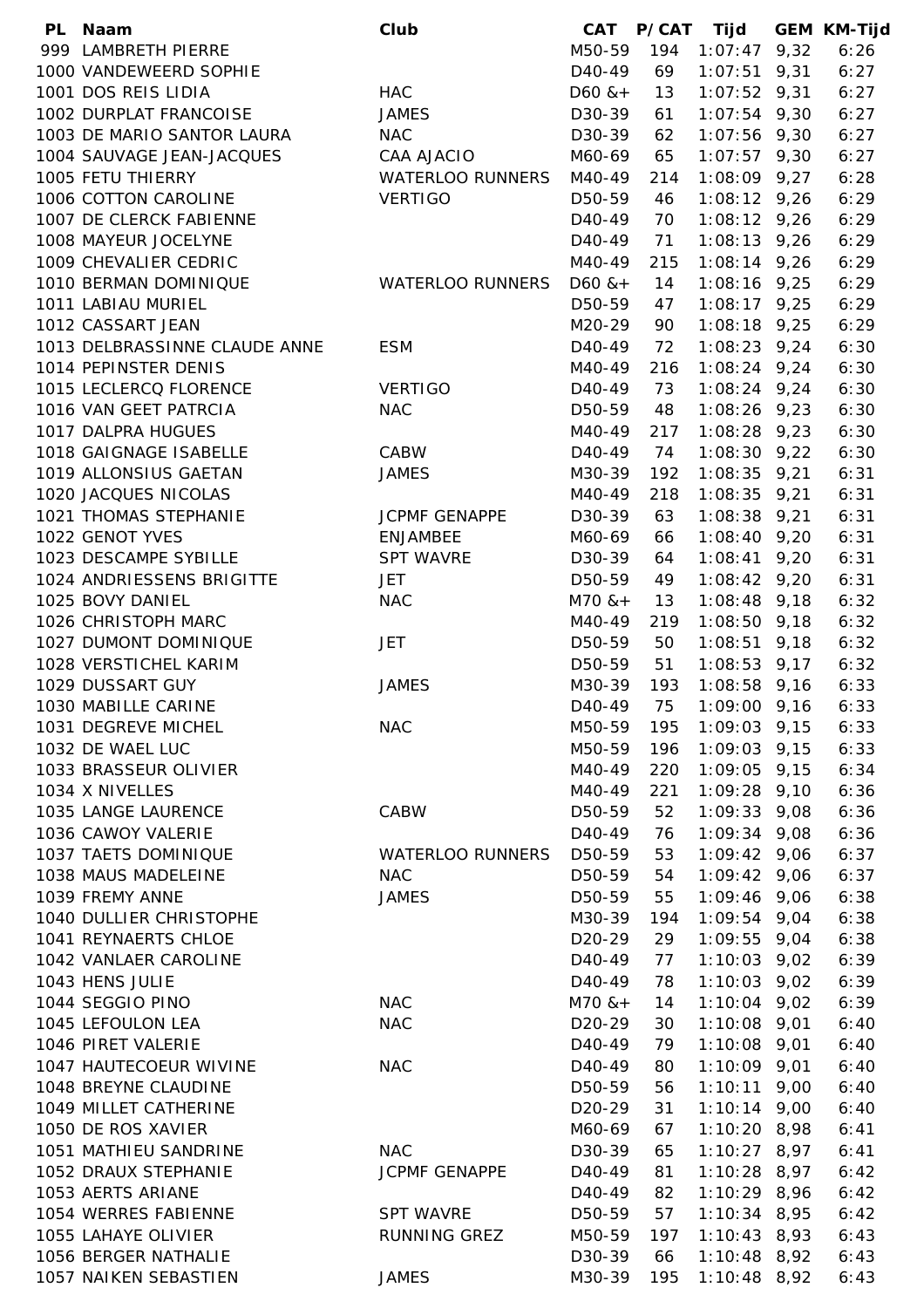| PL. | Naam                          | Club                    | CAT                 | <b>P/CAT</b> | Tijd           | <b>GEM KM-Tijd</b> |
|-----|-------------------------------|-------------------------|---------------------|--------------|----------------|--------------------|
|     | 999 LAMBRETH PIERRE           |                         | M50-59              | 194          | $1:07:47$ 9,32 | 6:26               |
|     | 1000 VANDEWEERD SOPHIE        |                         | D40-49              | 69           | $1:07:51$ 9,31 | 6:27               |
|     | 1001 DOS REIS LIDIA           | <b>HAC</b>              | $D60$ & +           | 13           | $1:07:52$ 9,31 | 6:27               |
|     | 1002 DURPLAT FRANCOISE        | <b>JAMES</b>            | D30-39              | 61           | $1:07:54$ 9,30 | 6:27               |
|     | 1003 DE MARIO SANTOR LAURA    | <b>NAC</b>              | D30-39              | 62           | $1:07:56$ 9,30 | 6:27               |
|     | 1004 SAUVAGE JEAN-JACQUES     | <b>CAA AJACIO</b>       | M60-69              | 65           | $1:07:57$ 9,30 | 6:27               |
|     | 1005 FETU THIERRY             | <b>WATERLOO RUNNERS</b> | M40-49              | 214          | $1:08:09$ 9,27 | 6:28               |
|     | 1006 COTTON CAROLINE          | <b>VERTIGO</b>          | D50-59              | 46           | $1:08:12$ 9,26 | 6:29               |
|     | 1007 DE CLERCK FABIENNE       |                         | D <sub>40</sub> -49 | 70           | $1:08:12$ 9,26 | 6:29               |
|     | 1008 MAYEUR JOCELYNE          |                         | D <sub>40</sub> -49 | 71           | $1:08:13$ 9,26 | 6:29               |
|     | 1009 CHEVALIER CEDRIC         |                         | M40-49              | 215          | $1:08:14$ 9,26 | 6:29               |
|     | 1010 BERMAN DOMINIQUE         | <b>WATERLOO RUNNERS</b> | $D60$ & +           | 14           | $1:08:16$ 9,25 | 6:29               |
|     | 1011 LABIAU MURIEL            |                         | D50-59              | 47           | $1:08:17$ 9,25 | 6:29               |
|     | 1012 CASSART JEAN             |                         | M20-29              | 90           | $1:08:18$ 9,25 | 6:29               |
|     | 1013 DELBRASSINNE CLAUDE ANNE | <b>ESM</b>              | D40-49              | 72           | $1:08:23$ 9,24 | 6:30               |
|     | 1014 PEPINSTER DENIS          |                         | M40-49              | 216          | $1:08:24$ 9,24 | 6:30               |
|     | 1015 LECLERCQ FLORENCE        | <b>VERTIGO</b>          | D <sub>40</sub> -49 | 73           | $1:08:24$ 9,24 | 6:30               |
|     | 1016 VAN GEET PATRCIA         | <b>NAC</b>              | D50-59              | 48           | $1:08:26$ 9,23 | 6:30               |
|     | 1017 DALPRA HUGUES            |                         | M40-49              | 217          | $1:08:28$ 9,23 | 6:30               |
|     | 1018 GAIGNAGE ISABELLE        | CABW                    | D <sub>40</sub> -49 | 74           | $1:08:30$ 9,22 | 6:30               |
|     | 1019 ALLONSIUS GAETAN         | <b>JAMES</b>            | M30-39              | 192          | $1:08:35$ 9,21 | 6:31               |
|     | 1020 JACQUES NICOLAS          |                         | M40-49              | 218          | $1:08:35$ 9,21 | 6:31               |
|     | 1021 THOMAS STEPHANIE         | <b>JCPMF GENAPPE</b>    | D30-39              | 63           | $1:08:38$ 9,21 | 6:31               |
|     | 1022 GENOT YVES               | <b>ENJAMBEE</b>         | M60-69              | 66           | $1:08:40$ 9,20 | 6:31               |
|     | 1023 DESCAMPE SYBILLE         | <b>SPT WAVRE</b>        | D30-39              | 64           | $1:08:41$ 9,20 | 6:31               |
|     | 1024 ANDRIESSENS BRIGITTE     | <b>JET</b>              | D50-59              | 49           | $1:08:42$ 9,20 | 6:31               |
|     | 1025 BOVY DANIEL              | <b>NAC</b>              | $M70$ & +           | 13           | $1:08:48$ 9,18 | 6:32               |
|     | 1026 CHRISTOPH MARC           |                         | M40-49              | 219          | $1:08:50$ 9,18 | 6:32               |
|     | 1027 DUMONT DOMINIQUE         | <b>JET</b>              | D50-59              | 50           | $1:08:51$ 9,18 | 6:32               |
|     | 1028 VERSTICHEL KARIM         |                         | D50-59              | 51           | $1:08:53$ 9,17 | 6:32               |
|     | 1029 DUSSART GUY              | <b>JAMES</b>            | M30-39              | 193          | $1:08:58$ 9,16 | 6:33               |
|     | 1030 MABILLE CARINE           |                         | D <sub>40</sub> -49 | 75           | $1:09:00$ 9,16 | 6:33               |
|     | 1031 DEGREVE MICHEL           | <b>NAC</b>              | M50-59              | 195          | $1:09:03$ 9,15 | 6:33               |
|     | 1032 DE WAEL LUC              |                         | M50-59              | 196          | $1:09:03$ 9,15 | 6:33               |
|     | 1033 BRASSEUR OLIVIER         |                         | M40-49              | 220          | $1:09:05$ 9,15 | 6:34               |
|     | 1034 X NIVELLES               |                         | M40-49              | 221          | $1:09:28$ 9,10 | 6:36               |
|     | 1035 LANGE LAURENCE           | <b>CABW</b>             | D50-59              | 52           | $1:09:33$ 9,08 | 6:36               |
|     | 1036 CAWOY VALERIE            |                         | D <sub>40</sub> -49 | 76           | $1:09:34$ 9,08 | 6:36               |
|     | 1037 TAETS DOMINIQUE          | <b>WATERLOO RUNNERS</b> | D50-59              | 53           | $1:09:42$ 9,06 | 6:37               |
|     | 1038 MAUS MADELEINE           | <b>NAC</b>              | D50-59              | 54           | $1:09:42$ 9,06 | 6:37               |
|     | 1039 FREMY ANNE               | <b>JAMES</b>            | D50-59              | 55           | $1:09:46$ 9,06 | 6:38               |
|     | 1040 DULLIER CHRISTOPHE       |                         | M30-39              | 194          | $1:09:54$ 9,04 | 6:38               |
|     | 1041 REYNAERTS CHLOE          |                         | D <sub>20</sub> -29 | 29           | $1:09:55$ 9,04 | 6:38               |
|     | 1042 VANLAER CAROLINE         |                         | D <sub>40</sub> -49 | 77           | $1:10:03$ 9,02 | 6:39               |
|     | 1043 HENS JULIE               |                         | D <sub>40</sub> -49 | 78           | $1:10:03$ 9,02 | 6:39               |
|     | 1044 SEGGIO PINO              | <b>NAC</b>              | $M70$ & +           | 14           | $1:10:04$ 9,02 | 6:39               |
|     | 1045 LEFOULON LEA             | <b>NAC</b>              | D20-29              | 30           | $1:10:08$ 9,01 | 6:40               |
|     | 1046 PIRET VALERIE            |                         | D <sub>40</sub> -49 | 79           | $1:10:08$ 9,01 | 6:40               |
|     | 1047 HAUTECOEUR WIVINE        | <b>NAC</b>              | D <sub>40</sub> -49 | 80           | $1:10:09$ 9,01 | 6:40               |
|     | 1048 BREYNE CLAUDINE          |                         | D50-59              | 56           | $1:10:11$ 9,00 | 6:40               |
|     | 1049 MILLET CATHERINE         |                         | D <sub>20</sub> -29 | 31           | $1:10:14$ 9,00 | 6:40               |
|     | 1050 DE ROS XAVIER            |                         | M60-69              | 67           | $1:10:20$ 8,98 | 6:41               |
|     | 1051 MATHIEU SANDRINE         | <b>NAC</b>              | D30-39              | 65           | $1:10:27$ 8,97 | 6:41               |
|     | 1052 DRAUX STEPHANIE          | <b>JCPMF GENAPPE</b>    | D <sub>40</sub> -49 | 81           | $1:10:28$ 8,97 | 6:42               |
|     | 1053 AERTS ARIANE             |                         | D <sub>40</sub> -49 | 82           | $1:10:29$ 8,96 | 6:42               |
|     | 1054 WERRES FABIENNE          | <b>SPT WAVRE</b>        | D50-59              | 57           | $1:10:34$ 8,95 | 6:42               |
|     | 1055 LAHAYE OLIVIER           | RUNNING GREZ            | M50-59              | 197          | $1:10:43$ 8,93 | 6:43               |
|     | 1056 BERGER NATHALIE          |                         | D30-39              | 66           | $1:10:48$ 8,92 | 6:43               |
|     | 1057 NAIKEN SEBASTIEN         | <b>JAMES</b>            | M30-39              | 195          | $1:10:48$ 8,92 | 6:43               |
|     |                               |                         |                     |              |                |                    |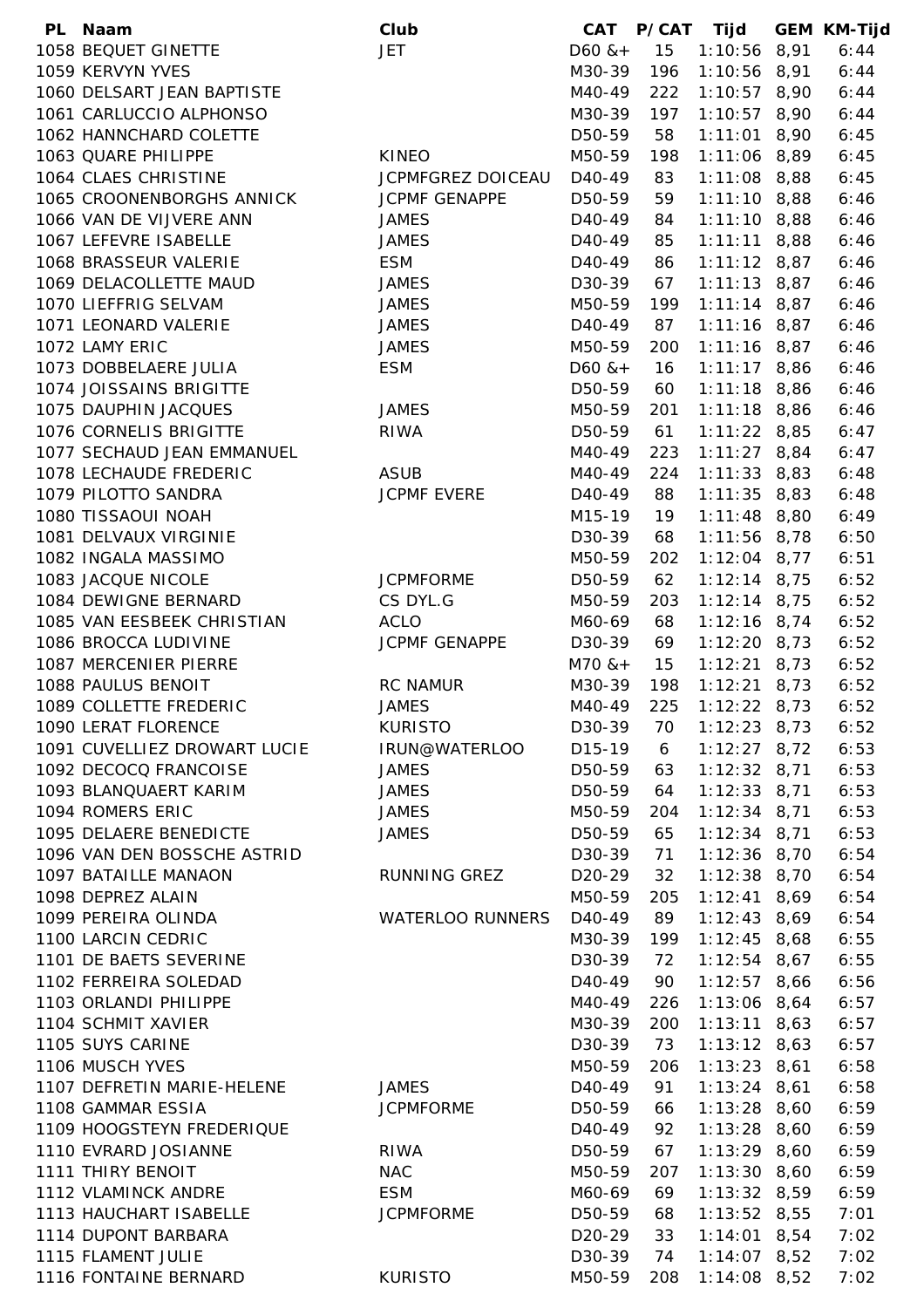| PL Naam                      | Club                     | CAT                 | <b>P/CAT</b> | Tijd           | <b>GEM KM-Tijd</b> |
|------------------------------|--------------------------|---------------------|--------------|----------------|--------------------|
| 1058 BEQUET GINETTE          | <b>JET</b>               | $D60$ & +           | 15           | $1:10:56$ 8,91 | 6:44               |
| 1059 KERVYN YVES             |                          | M30-39              | 196          | $1:10:56$ 8,91 | 6:44               |
| 1060 DELSART JEAN BAPTISTE   |                          | M40-49              | 222          | $1:10:57$ 8,90 | 6:44               |
| 1061 CARLUCCIO ALPHONSO      |                          | M30-39              | 197          | $1:10:57$ 8,90 | 6:44               |
| 1062 HANNCHARD COLETTE       |                          | D50-59              | 58           | $1:11:01$ 8,90 | 6:45               |
| 1063 QUARE PHILIPPE          | <b>KINEO</b>             | M50-59              | 198          | $1:11:06$ 8,89 | 6:45               |
| 1064 CLAES CHRISTINE         | <b>JCPMFGREZ DOICEAU</b> | D <sub>40</sub> -49 | 83           | $1:11:08$ 8,88 | 6:45               |
| 1065 CROONENBORGHS ANNICK    | <b>JCPMF GENAPPE</b>     | D50-59              | 59           | $1:11:10$ 8,88 | 6:46               |
| 1066 VAN DE VIJVERE ANN      | <b>JAMES</b>             | D <sub>40</sub> -49 | 84           | $1:11:10$ 8,88 | 6:46               |
| 1067 LEFEVRE ISABELLE        | <b>JAMES</b>             | D <sub>40</sub> -49 | 85           | $1:11:11$ 8,88 | 6:46               |
| 1068 BRASSEUR VALERIE        | <b>ESM</b>               | D <sub>40</sub> -49 | 86           | $1:11:12$ 8,87 | 6:46               |
| 1069 DELACOLLETTE MAUD       | <b>JAMES</b>             | D30-39              | 67           | $1:11:13$ 8,87 | 6:46               |
| 1070 LIEFFRIG SELVAM         | <b>JAMES</b>             | M50-59              | 199          | $1:11:14$ 8,87 | 6:46               |
| 1071 LEONARD VALERIE         | <b>JAMES</b>             | D40-49              | 87           | $1:11:16$ 8,87 | 6:46               |
| 1072 LAMY ERIC               | <b>JAMES</b>             | M50-59              | 200          | $1:11:16$ 8,87 | 6:46               |
| 1073 DOBBELAERE JULIA        | <b>ESM</b>               | $D60$ & +           | 16           | $1:11:17$ 8,86 | 6:46               |
| 1074 JOISSAINS BRIGITTE      |                          | D50-59              | 60           | $1:11:18$ 8,86 | 6:46               |
| 1075 DAUPHIN JACQUES         | <b>JAMES</b>             | M50-59              | 201          | $1:11:18$ 8,86 | 6:46               |
| 1076 CORNELIS BRIGITTE       | <b>RIWA</b>              | D50-59              | 61           | $1:11:22$ 8,85 | 6:47               |
| 1077 SECHAUD JEAN EMMANUEL   |                          | M40-49              | 223          | $1:11:27$ 8,84 | 6:47               |
| 1078 LECHAUDE FREDERIC       | <b>ASUB</b>              | M40-49              | 224          | $1:11:33$ 8,83 | 6:48               |
| 1079 PILOTTO SANDRA          | <b>JCPMF EVERE</b>       | D <sub>40</sub> -49 | 88           | $1:11:35$ 8,83 | 6:48               |
| 1080 TISSAOUI NOAH           |                          | M15-19              | 19           | $1:11:48$ 8,80 | 6:49               |
| 1081 DELVAUX VIRGINIE        |                          | D30-39              | 68           | $1:11:56$ 8,78 | 6:50               |
| 1082 INGALA MASSIMO          |                          | M50-59              | 202          | $1:12:04$ 8,77 | 6:51               |
| 1083 JACQUE NICOLE           | <b>JCPMFORME</b>         | D50-59              | 62           | $1:12:14$ 8,75 | 6:52               |
| 1084 DEWIGNE BERNARD         | CS DYL.G                 | M50-59              | 203          | $1:12:14$ 8,75 | 6:52               |
| 1085 VAN EESBEEK CHRISTIAN   | <b>ACLO</b>              | M60-69              | 68           | $1:12:16$ 8,74 | 6:52               |
| 1086 BROCCA LUDIVINE         | <b>JCPMF GENAPPE</b>     | D30-39              | 69           | $1:12:20$ 8,73 | 6:52               |
| 1087 MERCENIER PIERRE        |                          | $M70$ & +           | 15           | $1:12:21$ 8,73 | 6:52               |
| 1088 PAULUS BENOIT           | <b>RC NAMUR</b>          | M30-39              | 198          | $1:12:21$ 8,73 | 6:52               |
| 1089 COLLETTE FREDERIC       | <b>JAMES</b>             | M40-49              | 225          | $1:12:22$ 8,73 | 6:52               |
| 1090 LERAT FLORENCE          | <b>KURISTO</b>           | D30-39              | 70           | $1:12:23$ 8,73 | 6:52               |
| 1091 CUVELLIEZ DROWART LUCIE | IRUN@WATERLOO            | D15-19              | 6            | $1:12:27$ 8,72 | 6:53               |
| 1092 DECOCQ FRANCOISE        | <b>JAMES</b>             | D50-59              | 63           | $1:12:32$ 8,71 | 6:53               |
| 1093 BLANQUAERT KARIM        | <b>JAMES</b>             | D50-59              | 64           | $1:12:33$ 8,71 | 6:53               |
| 1094 ROMERS ERIC             | <b>JAMES</b>             | M50-59              | 204          | $1:12:34$ 8,71 | 6:53               |
| 1095 DELAERE BENEDICTE       | <b>JAMES</b>             | D50-59              | 65           | $1:12:34$ 8,71 | 6:53               |
| 1096 VAN DEN BOSSCHE ASTRID  |                          | D30-39              | 71           | $1:12:36$ 8,70 | 6:54               |
| 1097 BATAILLE MANAON         | RUNNING GREZ             | D <sub>20</sub> -29 | 32           | $1:12:38$ 8,70 | 6:54               |
| 1098 DEPREZ ALAIN            |                          | M50-59              | 205          | $1:12:41$ 8,69 | 6:54               |
| 1099 PEREIRA OLINDA          | <b>WATERLOO RUNNERS</b>  | D <sub>40</sub> -49 | 89           | $1:12:43$ 8,69 | 6:54               |
| 1100 LARCIN CEDRIC           |                          | M30-39              | 199          | $1:12:45$ 8,68 | 6:55               |
| 1101 DE BAETS SEVERINE       |                          | D30-39              | 72           | $1:12:54$ 8,67 | 6:55               |
| 1102 FERREIRA SOLEDAD        |                          | D <sub>40</sub> -49 | 90           | $1:12:57$ 8,66 | 6:56               |
| 1103 ORLANDI PHILIPPE        |                          | M40-49              | 226          | $1:13:06$ 8,64 | 6:57               |
|                              |                          |                     |              |                |                    |
| 1104 SCHMIT XAVIER           |                          | M30-39              | 200          | $1:13:11$ 8,63 | 6:57               |
| 1105 SUYS CARINE             |                          | D30-39              | 73           | $1:13:12$ 8,63 | 6:57               |
| 1106 MUSCH YVES              |                          | M50-59              | 206          | $1:13:23$ 8,61 | 6:58               |
| 1107 DEFRETIN MARIE-HELENE   | <b>JAMES</b>             | D <sub>40</sub> -49 | 91           | $1:13:24$ 8,61 | 6:58               |
| 1108 GAMMAR ESSIA            | <b>JCPMFORME</b>         | D50-59              | 66           | $1:13:28$ 8,60 | 6:59               |
| 1109 HOOGSTEYN FREDERIQUE    |                          | D <sub>40</sub> -49 | 92           | $1:13:28$ 8,60 | 6:59               |
| 1110 EVRARD JOSIANNE         | <b>RIWA</b>              | D50-59              | 67           | $1:13:29$ 8,60 | 6:59               |
| 1111 THIRY BENOIT            | <b>NAC</b>               | M50-59              | 207          | $1:13:30$ 8,60 | 6:59               |
| 1112 VLAMINCK ANDRE          | <b>ESM</b>               | M60-69              | 69           | $1:13:32$ 8,59 | 6:59               |
| 1113 HAUCHART ISABELLE       | <b>JCPMFORME</b>         | D50-59              | 68           | $1:13:52$ 8,55 | 7:01               |
| 1114 DUPONT BARBARA          |                          | D <sub>20</sub> -29 | 33           | $1:14:01$ 8,54 | 7:02               |
| 1115 FLAMENT JULIE           |                          | D30-39              | 74           | $1:14:07$ 8,52 | 7:02               |
| 1116 FONTAINE BERNARD        | <b>KURISTO</b>           | M50-59              | 208          | $1:14:08$ 8,52 | 7:02               |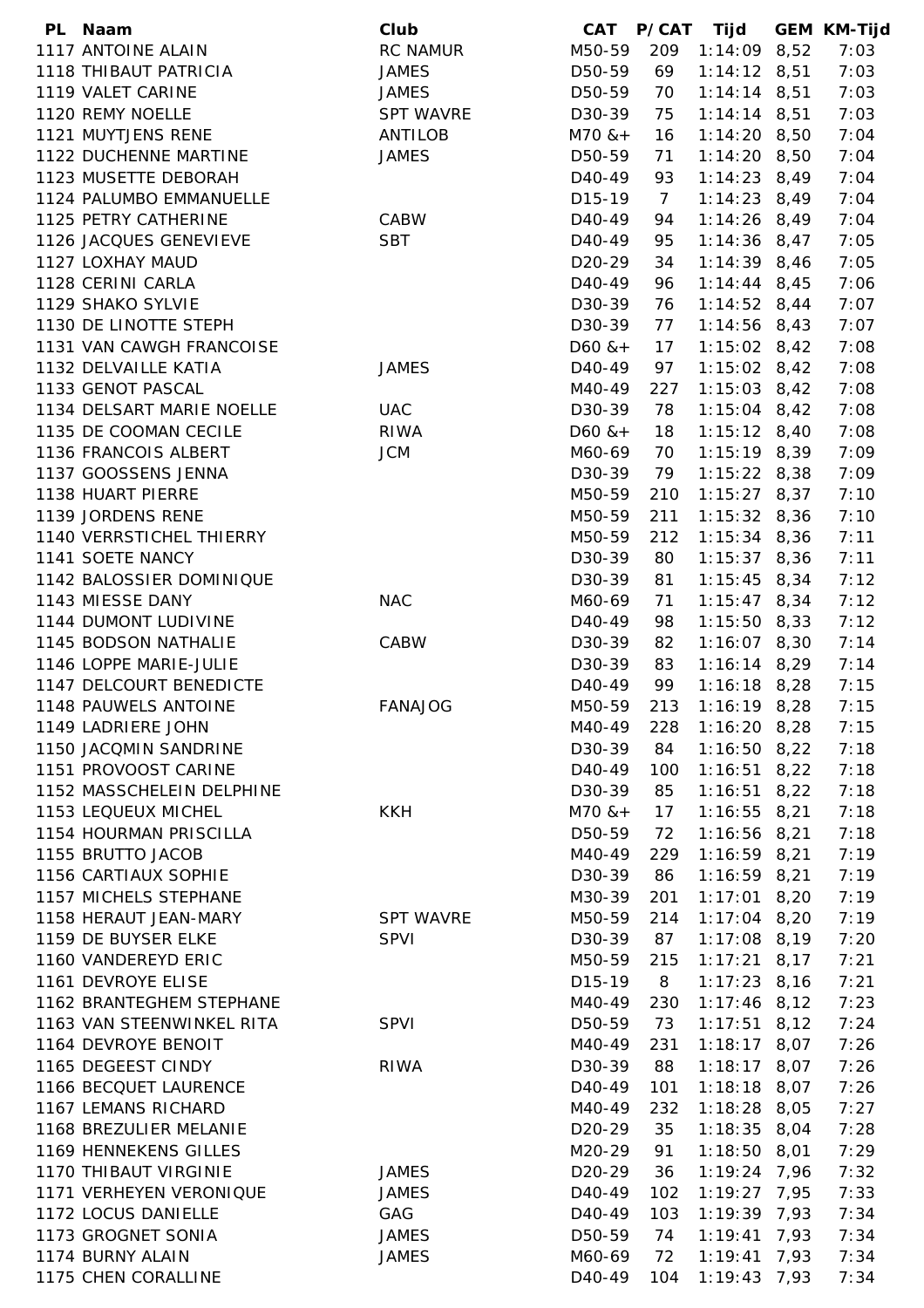| PL Naam                   | Club             | CAT                 | <b>P/CAT</b>   | Tijd           |      | <b>GEM KM-Tijd</b> |
|---------------------------|------------------|---------------------|----------------|----------------|------|--------------------|
| 1117 ANTOINE ALAIN        | <b>RC NAMUR</b>  | M50-59              | 209            | $1:14:09$ 8,52 |      | 7:03               |
| 1118 THIBAUT PATRICIA     | <b>JAMES</b>     | D50-59              | 69             | $1:14:12$ 8,51 |      | 7:03               |
| 1119 VALET CARINE         | <b>JAMES</b>     | D50-59              | 70             | $1:14:14$ 8,51 |      | 7:03               |
| 1120 REMY NOELLE          | <b>SPT WAVRE</b> | D30-39              | 75             | $1:14:14$ 8,51 |      | 7:03               |
| 1121 MUYTJENS RENE        | ANTILOB          | $M70$ & +           | 16             | $1:14:20$ 8,50 |      | 7:04               |
| 1122 DUCHENNE MARTINE     | <b>JAMES</b>     | D50-59              | 71             | $1:14:20$ 8,50 |      | 7:04               |
| 1123 MUSETTE DEBORAH      |                  | D <sub>40</sub> -49 | 93             | $1:14:23$ 8,49 |      | 7:04               |
| 1124 PALUMBO EMMANUELLE   |                  | D <sub>15</sub> -19 | $\overline{7}$ | $1:14:23$ 8,49 |      | 7:04               |
| 1125 PETRY CATHERINE      | CABW             | D <sub>40</sub> -49 | 94             | $1:14:26$ 8,49 |      | 7:04               |
| 1126 JACQUES GENEVIEVE    | <b>SBT</b>       | D <sub>40</sub> -49 | 95             | $1:14:36$ 8,47 |      | 7:05               |
| 1127 LOXHAY MAUD          |                  | D <sub>20</sub> -29 | 34             | $1:14:39$ 8,46 |      | 7:05               |
| 1128 CERINI CARLA         |                  | D40-49              | 96             | $1:14:44$ 8,45 |      | 7:06               |
| 1129 SHAKO SYLVIE         |                  | D30-39              | 76             | $1:14:52$ 8,44 |      | 7:07               |
| 1130 DE LINOTTE STEPH     |                  | D30-39              | 77             | $1:14:56$ 8,43 |      | 7:07               |
| 1131 VAN CAWGH FRANCOISE  |                  | $D60$ & +           | 17             | $1:15:02$ 8,42 |      | 7:08               |
| 1132 DELVAILLE KATIA      | <b>JAMES</b>     | D40-49              | 97             | $1:15:02$ 8,42 |      | 7:08               |
| 1133 GENOT PASCAL         |                  | M40-49              | 227            | $1:15:03$ 8,42 |      | 7:08               |
| 1134 DELSART MARIE NOELLE | <b>UAC</b>       | D30-39              | 78             | $1:15:04$ 8,42 |      | 7:08               |
| 1135 DE COOMAN CECILE     | <b>RIWA</b>      | $D60$ & +           | 18             | $1:15:12$ 8,40 |      | 7:08               |
| 1136 FRANCOIS ALBERT      | <b>JCM</b>       | M60-69              | 70             | $1:15:19$ 8,39 |      | 7:09               |
| 1137 GOOSSENS JENNA       |                  | D30-39              | 79             | $1:15:22$ 8,38 |      | 7:09               |
| 1138 HUART PIERRE         |                  | M50-59              | 210            | $1:15:27$ 8,37 |      | 7:10               |
| 1139 JORDENS RENE         |                  | M50-59              | 211            | $1:15:32$ 8,36 |      | 7:10               |
| 1140 VERRSTICHEL THIERRY  |                  | M50-59              | 212            | $1:15:34$ 8,36 |      | 7:11               |
| 1141 SOETE NANCY          |                  | D30-39              | 80             | $1:15:37$ 8,36 |      | 7:11               |
| 1142 BALOSSIER DOMINIQUE  |                  | D30-39              | 81             | $1:15:45$ 8,34 |      | 7:12               |
| 1143 MIESSE DANY          | <b>NAC</b>       | M60-69              | 71             | $1:15:47$ 8,34 |      | 7:12               |
| 1144 DUMONT LUDIVINE      |                  | D <sub>40</sub> -49 | 98             | $1:15:50$ 8,33 |      | 7:12               |
| 1145 BODSON NATHALIE      | CABW             | D30-39              | 82             | $1:16:07$ 8,30 |      | 7:14               |
| 1146 LOPPE MARIE-JULIE    |                  | D30-39              | 83             | $1:16:14$ 8,29 |      | 7:14               |
| 1147 DELCOURT BENEDICTE   |                  | D40-49              | 99             | $1:16:18$ 8,28 |      | 7:15               |
| 1148 PAUWELS ANTOINE      | <b>FANAJOG</b>   | M50-59              | 213            | $1:16:19$ 8,28 |      | 7:15               |
| 1149 LADRIERE JOHN        |                  | M40-49              |                |                |      | 7:15               |
| 1150 JACQMIN SANDRINE     |                  | D30-39              | 228            | $1:16:20$ 8,28 |      | 7:18               |
|                           |                  |                     | 84             | $1:16:50$ 8,22 |      |                    |
| 1151 PROVOOST CARINE      |                  | D <sub>40</sub> -49 | 100            | $1:16:51$ 8,22 |      | 7:18               |
| 1152 MASSCHELEIN DELPHINE |                  | D30-39              | 85             | $1:16:51$ 8,22 |      | 7:18               |
| 1153 LEQUEUX MICHEL       | <b>KKH</b>       | $M70$ & +           | 17             | $1:16:55$ 8,21 |      | 7:18               |
| 1154 HOURMAN PRISCILLA    |                  | D50-59              | 72             | $1:16:56$ 8,21 |      | 7:18               |
| 1155 BRUTTO JACOB         |                  | M40-49              | 229            | $1:16:59$ 8,21 |      | 7:19               |
| 1156 CARTIAUX SOPHIE      |                  | D30-39              | 86             | $1:16:59$ 8,21 |      | 7:19               |
| 1157 MICHELS STEPHANE     |                  | M30-39              | 201            | $1:17:01$ 8,20 |      | 7:19               |
| 1158 HERAUT JEAN-MARY     | <b>SPT WAVRE</b> | M50-59              | 214            | $1:17:04$ 8,20 |      | 7:19               |
| 1159 DE BUYSER ELKE       | <b>SPVI</b>      | D30-39              | 87             | $1:17:08$ 8,19 |      | 7:20               |
| 1160 VANDEREYD ERIC       |                  | M50-59              | 215            | 1:17:21        | 8,17 | 7:21               |
| 1161 DEVROYE ELISE        |                  | D15-19              | 8              | $1:17:23$ 8,16 |      | 7:21               |
| 1162 BRANTEGHEM STEPHANE  |                  | M40-49              | 230            | $1:17:46$ 8,12 |      | 7:23               |
| 1163 VAN STEENWINKEL RITA | <b>SPVI</b>      | D50-59              | 73             | $1:17:51$ 8,12 |      | 7:24               |
| 1164 DEVROYE BENOIT       |                  | M40-49              | 231            | $1:18:17$ 8,07 |      | 7:26               |
| 1165 DEGEEST CINDY        | <b>RIWA</b>      | D30-39              | 88             | $1:18:17$ 8,07 |      | 7:26               |
| 1166 BECQUET LAURENCE     |                  | D40-49              | 101            | $1:18:18$ 8,07 |      | 7:26               |
| 1167 LEMANS RICHARD       |                  | M40-49              | 232            | $1:18:28$ 8,05 |      | 7:27               |
| 1168 BREZULIER MELANIE    |                  | D <sub>20</sub> -29 | 35             | $1:18:35$ 8,04 |      | 7:28               |
| 1169 HENNEKENS GILLES     |                  | M20-29              | 91             | $1:18:50$ 8,01 |      | 7:29               |
| 1170 THIBAUT VIRGINIE     | JAMES            | D20-29              | 36             | 1:19:24 7,96   |      | 7:32               |
| 1171 VERHEYEN VERONIQUE   | <b>JAMES</b>     | D40-49              | 102            | 1:19:27 7,95   |      | 7:33               |
| 1172 LOCUS DANIELLE       | GAG              | D <sub>40</sub> -49 | 103            | $1:19:39$ 7,93 |      | 7:34               |
| 1173 GROGNET SONIA        | <b>JAMES</b>     | D50-59              | 74             | $1:19:41$ 7,93 |      | 7:34               |
| 1174 BURNY ALAIN          | <b>JAMES</b>     | M60-69              | 72             | $1:19:41$ 7,93 |      | 7:34               |
| 1175 CHEN CORALLINE       |                  | D40-49              | 104            | $1:19:43$ 7,93 |      | 7:34               |